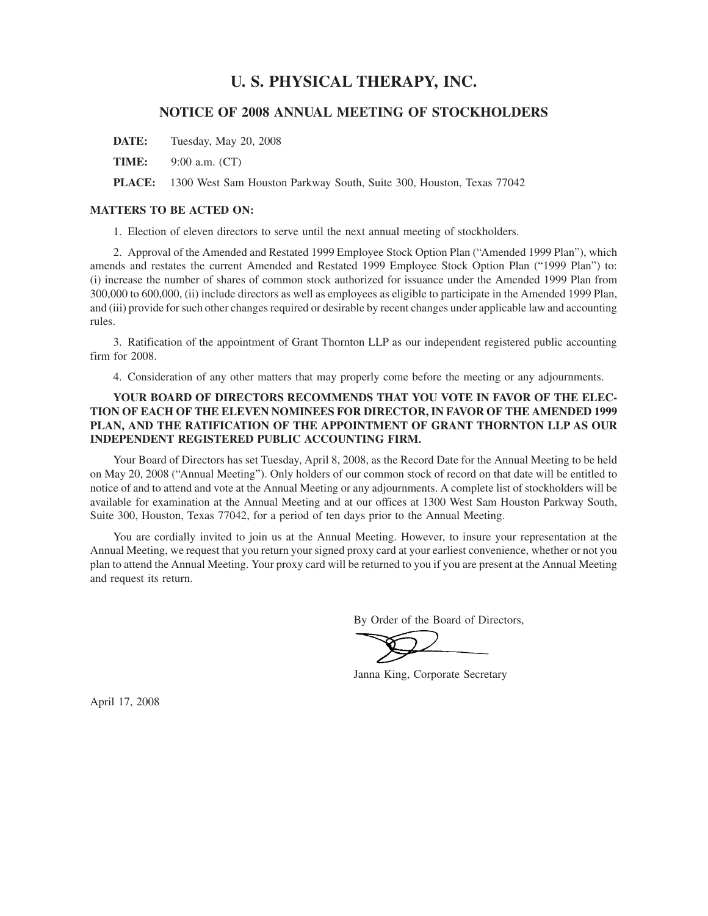# **U. S. PHYSICAL THERAPY, INC.**

# **NOTICE OF 2008 ANNUAL MEETING OF STOCKHOLDERS**

**DATE:** Tuesday, May 20, 2008

**TIME:** 9:00 a.m. (CT)

**PLACE:** 1300 West Sam Houston Parkway South, Suite 300, Houston, Texas 77042

# **MATTERS TO BE ACTED ON:**

1. Election of eleven directors to serve until the next annual meeting of stockholders.

2. Approval of the Amended and Restated 1999 Employee Stock Option Plan ("Amended 1999 Plan"), which amends and restates the current Amended and Restated 1999 Employee Stock Option Plan ("1999 Plan") to: (i) increase the number of shares of common stock authorized for issuance under the Amended 1999 Plan from 300,000 to 600,000, (ii) include directors as well as employees as eligible to participate in the Amended 1999 Plan, and (iii) provide for such other changes required or desirable by recent changes under applicable law and accounting rules.

3. Ratification of the appointment of Grant Thornton LLP as our independent registered public accounting firm for 2008.

4. Consideration of any other matters that may properly come before the meeting or any adjournments.

# **YOUR BOARD OF DIRECTORS RECOMMENDS THAT YOU VOTE IN FAVOR OF THE ELEC-TION OF EACH OF THE ELEVEN NOMINEES FOR DIRECTOR, IN FAVOR OF THE AMENDED 1999 PLAN, AND THE RATIFICATION OF THE APPOINTMENT OF GRANT THORNTON LLP AS OUR INDEPENDENT REGISTERED PUBLIC ACCOUNTING FIRM.**

Your Board of Directors has set Tuesday, April 8, 2008, as the Record Date for the Annual Meeting to be held on May 20, 2008 ("Annual Meeting"). Only holders of our common stock of record on that date will be entitled to notice of and to attend and vote at the Annual Meeting or any adjournments. A complete list of stockholders will be available for examination at the Annual Meeting and at our offices at 1300 West Sam Houston Parkway South, Suite 300, Houston, Texas 77042, for a period of ten days prior to the Annual Meeting.

You are cordially invited to join us at the Annual Meeting. However, to insure your representation at the Annual Meeting, we request that you return your signed proxy card at your earliest convenience, whether or not you plan to attend the Annual Meeting. Your proxy card will be returned to you if you are present at the Annual Meeting and request its return.

By Order of the Board of Directors,

Janna King, Corporate Secretary

April 17, 2008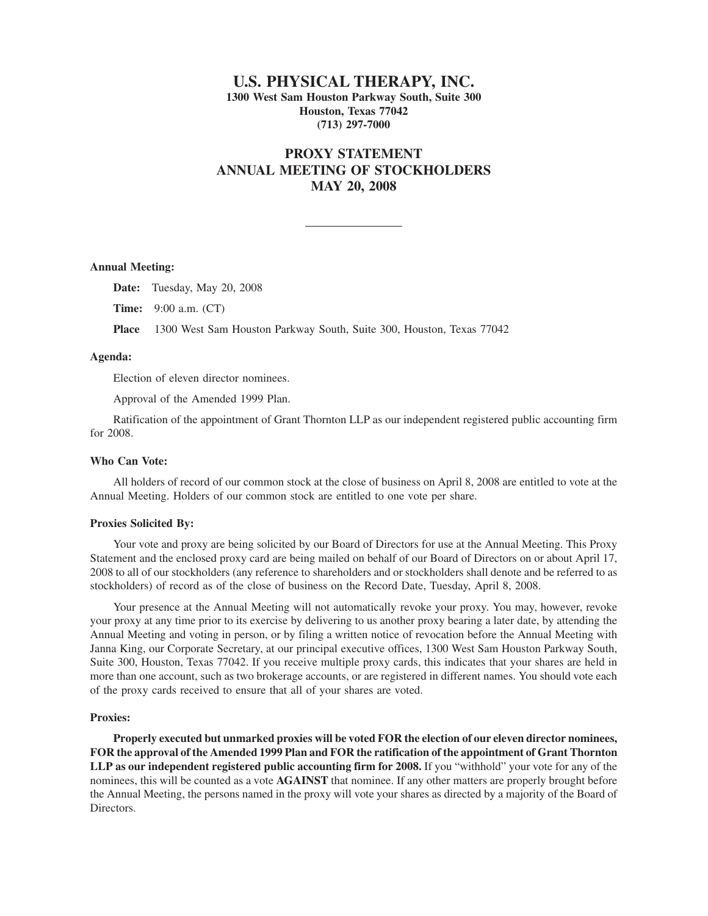# **U.S. PHYSICAL THERAPY, INC. 1300 West Sam Houston Parkway South, Suite 300 Houston, Texas 77042 (713) 297-7000**

# **PROXY STATEMENT ANNUAL MEETING OF STOCKHOLDERS MAY 20, 2008**

### **Annual Meeting:**

**Date:** Tuesday, May 20, 2008

**Time:** 9:00 a.m. (CT)

**Place** 1300 West Sam Houston Parkway South, Suite 300, Houston, Texas 77042

# **Agenda:**

Election of eleven director nominees.

Approval of the Amended 1999 Plan.

Ratification of the appointment of Grant Thornton LLP as our independent registered public accounting firm for 2008.

#### **Who Can Vote:**

All holders of record of our common stock at the close of business on April 8, 2008 are entitled to vote at the Annual Meeting. Holders of our common stock are entitled to one vote per share.

# **Proxies Solicited By:**

Your vote and proxy are being solicited by our Board of Directors for use at the Annual Meeting. This Proxy Statement and the enclosed proxy card are being mailed on behalf of our Board of Directors on or about April 17, 2008 to all of our stockholders (any reference to shareholders and or stockholders shall denote and be referred to as stockholders) of record as of the close of business on the Record Date, Tuesday, April 8, 2008.

Your presence at the Annual Meeting will not automatically revoke your proxy. You may, however, revoke your proxy at any time prior to its exercise by delivering to us another proxy bearing a later date, by attending the Annual Meeting and voting in person, or by filing a written notice of revocation before the Annual Meeting with Janna King, our Corporate Secretary, at our principal executive offices, 1300 West Sam Houston Parkway South, Suite 300, Houston, Texas 77042. If you receive multiple proxy cards, this indicates that your shares are held in more than one account, such as two brokerage accounts, or are registered in different names. You should vote each of the proxy cards received to ensure that all of your shares are voted.

# **Proxies:**

**Properly executed but unmarked proxies will be voted FOR the election of our eleven director nominees, FOR the approval of the Amended 1999 Plan and FOR the ratification of the appointment of Grant Thornton LLP as our independent registered public accounting firm for 2008.** If you "withhold" your vote for any of the nominees, this will be counted as a vote **AGAINST** that nominee. If any other matters are properly brought before the Annual Meeting, the persons named in the proxy will vote your shares as directed by a majority of the Board of Directors.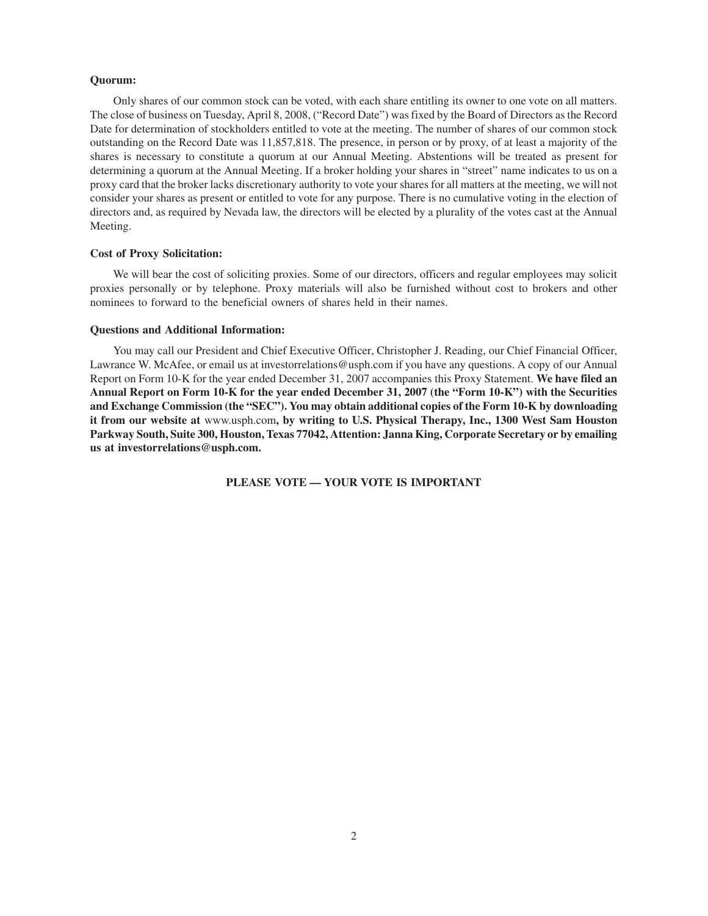# **Quorum:**

Only shares of our common stock can be voted, with each share entitling its owner to one vote on all matters. The close of business on Tuesday, April 8, 2008, ("Record Date") was fixed by the Board of Directors as the Record Date for determination of stockholders entitled to vote at the meeting. The number of shares of our common stock outstanding on the Record Date was 11,857,818. The presence, in person or by proxy, of at least a majority of the shares is necessary to constitute a quorum at our Annual Meeting. Abstentions will be treated as present for determining a quorum at the Annual Meeting. If a broker holding your shares in "street" name indicates to us on a proxy card that the broker lacks discretionary authority to vote your shares for all matters at the meeting, we will not consider your shares as present or entitled to vote for any purpose. There is no cumulative voting in the election of directors and, as required by Nevada law, the directors will be elected by a plurality of the votes cast at the Annual Meeting.

# **Cost of Proxy Solicitation:**

We will bear the cost of soliciting proxies. Some of our directors, officers and regular employees may solicit proxies personally or by telephone. Proxy materials will also be furnished without cost to brokers and other nominees to forward to the beneficial owners of shares held in their names.

# **Questions and Additional Information:**

You may call our President and Chief Executive Officer, Christopher J. Reading, our Chief Financial Officer, Lawrance W. McAfee, or email us at investorrelations@usph.com if you have any questions. A copy of our Annual Report on Form 10-K for the year ended December 31, 2007 accompanies this Proxy Statement. **We have filed an Annual Report on Form 10-K for the year ended December 31, 2007 (the "Form 10-K") with the Securities and Exchange Commission (the "SEC"). You may obtain additional copies of the Form 10-K by downloading it from our website at** www.usph.com**, by writing to U.S. Physical Therapy, Inc., 1300 West Sam Houston Parkway South, Suite 300, Houston, Texas 77042, Attention: Janna King, Corporate Secretary or by emailing us at investorrelations@usph.com.**

**PLEASE VOTE — YOUR VOTE IS IMPORTANT**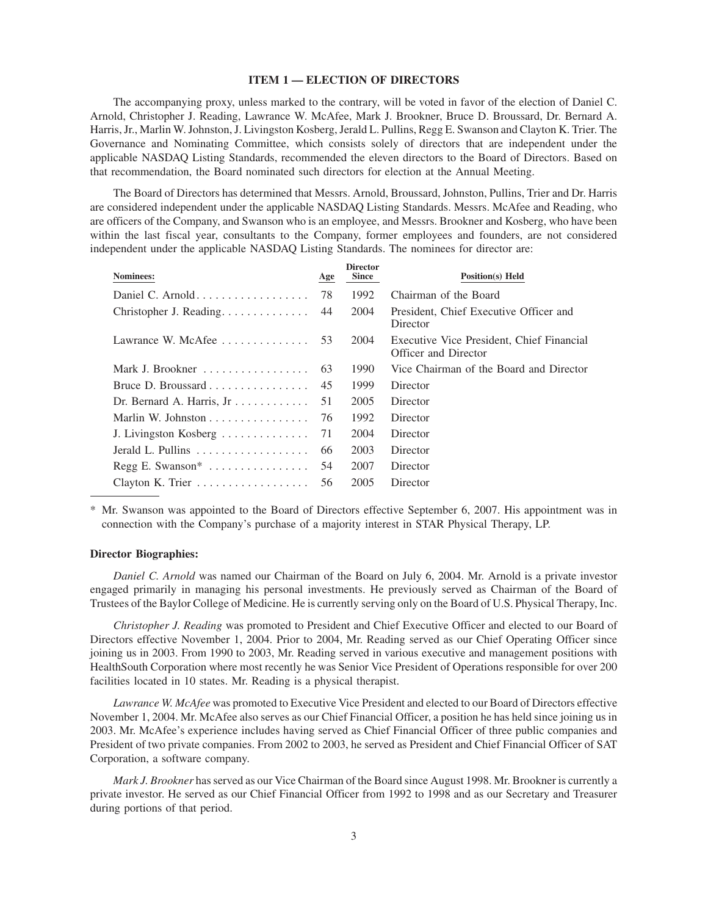# **ITEM 1 — ELECTION OF DIRECTORS**

The accompanying proxy, unless marked to the contrary, will be voted in favor of the election of Daniel C. Arnold, Christopher J. Reading, Lawrance W. McAfee, Mark J. Brookner, Bruce D. Broussard, Dr. Bernard A. Harris, Jr., Marlin W. Johnston, J. Livingston Kosberg, Jerald L. Pullins, Regg E. Swanson and Clayton K. Trier. The Governance and Nominating Committee, which consists solely of directors that are independent under the applicable NASDAQ Listing Standards, recommended the eleven directors to the Board of Directors. Based on that recommendation, the Board nominated such directors for election at the Annual Meeting.

The Board of Directors has determined that Messrs. Arnold, Broussard, Johnston, Pullins, Trier and Dr. Harris are considered independent under the applicable NASDAQ Listing Standards. Messrs. McAfee and Reading, who are officers of the Company, and Swanson who is an employee, and Messrs. Brookner and Kosberg, who have been within the last fiscal year, consultants to the Company, former employees and founders, are not considered independent under the applicable NASDAQ Listing Standards. The nominees for director are:

| Nominees:                                              | Age | <b>Director</b><br><b>Since</b> | <b>Position(s)</b> Held                                           |
|--------------------------------------------------------|-----|---------------------------------|-------------------------------------------------------------------|
|                                                        | 78  | 1992                            | Chairman of the Board                                             |
| Christopher J. Reading.                                | 44  | 2004                            | President, Chief Executive Officer and<br>Director                |
| Lawrance W. McAfee $\ldots$ , $\ldots$                 | 53  | 2004                            | Executive Vice President, Chief Financial<br>Officer and Director |
|                                                        | 63  | 1990                            | Vice Chairman of the Board and Director                           |
|                                                        | 45  | 1999                            | Director                                                          |
| Dr. Bernard A. Harris, Jr                              | 51  | 2005                            | Director                                                          |
|                                                        | 76  | 1992                            | Director                                                          |
| J. Livingston Kosberg                                  | 71  | 2004                            | Director                                                          |
| Jerald L. Pullins $\ldots \ldots \ldots \ldots \ldots$ | 66  | 2003                            | Director                                                          |
| $Regg E. Swanson*$                                     | 54  | 2007                            | Director                                                          |
| Clayton K. Trier $\dots \dots \dots \dots \dots$       | 56  | 2005                            | Director                                                          |

\* Mr. Swanson was appointed to the Board of Directors effective September 6, 2007. His appointment was in connection with the Company's purchase of a majority interest in STAR Physical Therapy, LP.

# **Director Biographies:**

*Daniel C. Arnold* was named our Chairman of the Board on July 6, 2004. Mr. Arnold is a private investor engaged primarily in managing his personal investments. He previously served as Chairman of the Board of Trustees of the Baylor College of Medicine. He is currently serving only on the Board of U.S. Physical Therapy, Inc.

*Christopher J. Reading* was promoted to President and Chief Executive Officer and elected to our Board of Directors effective November 1, 2004. Prior to 2004, Mr. Reading served as our Chief Operating Officer since joining us in 2003. From 1990 to 2003, Mr. Reading served in various executive and management positions with HealthSouth Corporation where most recently he was Senior Vice President of Operations responsible for over 200 facilities located in 10 states. Mr. Reading is a physical therapist.

*Lawrance W. McAfee* was promoted to Executive Vice President and elected to our Board of Directors effective November 1, 2004. Mr. McAfee also serves as our Chief Financial Officer, a position he has held since joining us in 2003. Mr. McAfee's experience includes having served as Chief Financial Officer of three public companies and President of two private companies. From 2002 to 2003, he served as President and Chief Financial Officer of SAT Corporation, a software company.

*Mark J. Brookner* has served as our Vice Chairman of the Board since August 1998. Mr. Brookner is currently a private investor. He served as our Chief Financial Officer from 1992 to 1998 and as our Secretary and Treasurer during portions of that period.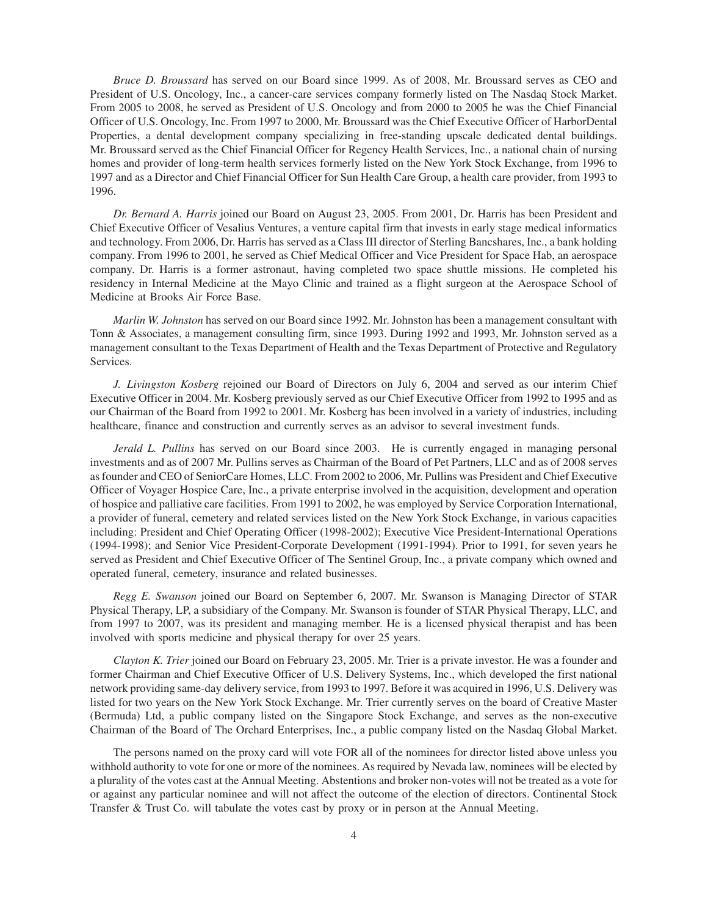*Bruce D. Broussard* has served on our Board since 1999. As of 2008, Mr. Broussard serves as CEO and President of U.S. Oncology, Inc., a cancer-care services company formerly listed on The Nasdaq Stock Market. From 2005 to 2008, he served as President of U.S. Oncology and from 2000 to 2005 he was the Chief Financial Officer of U.S. Oncology, Inc. From 1997 to 2000, Mr. Broussard was the Chief Executive Officer of HarborDental Properties, a dental development company specializing in free-standing upscale dedicated dental buildings. Mr. Broussard served as the Chief Financial Officer for Regency Health Services, Inc., a national chain of nursing homes and provider of long-term health services formerly listed on the New York Stock Exchange, from 1996 to 1997 and as a Director and Chief Financial Officer for Sun Health Care Group, a health care provider, from 1993 to 1996.

*Dr. Bernard A. Harris* joined our Board on August 23, 2005. From 2001, Dr. Harris has been President and Chief Executive Officer of Vesalius Ventures, a venture capital firm that invests in early stage medical informatics and technology. From 2006, Dr. Harris has served as a Class III director of Sterling Bancshares, Inc., a bank holding company. From 1996 to 2001, he served as Chief Medical Officer and Vice President for Space Hab, an aerospace company. Dr. Harris is a former astronaut, having completed two space shuttle missions. He completed his residency in Internal Medicine at the Mayo Clinic and trained as a flight surgeon at the Aerospace School of Medicine at Brooks Air Force Base.

*Marlin W. Johnston* has served on our Board since 1992. Mr. Johnston has been a management consultant with Tonn & Associates, a management consulting firm, since 1993. During 1992 and 1993, Mr. Johnston served as a management consultant to the Texas Department of Health and the Texas Department of Protective and Regulatory Services.

*J. Livingston Kosberg* rejoined our Board of Directors on July 6, 2004 and served as our interim Chief Executive Officer in 2004. Mr. Kosberg previously served as our Chief Executive Officer from 1992 to 1995 and as our Chairman of the Board from 1992 to 2001. Mr. Kosberg has been involved in a variety of industries, including healthcare, finance and construction and currently serves as an advisor to several investment funds.

*Jerald L. Pullins* has served on our Board since 2003. He is currently engaged in managing personal investments and as of 2007 Mr. Pullins serves as Chairman of the Board of Pet Partners, LLC and as of 2008 serves as founder and CEO of SeniorCare Homes, LLC. From 2002 to 2006, Mr. Pullins was President and Chief Executive Officer of Voyager Hospice Care, Inc., a private enterprise involved in the acquisition, development and operation of hospice and palliative care facilities. From 1991 to 2002, he was employed by Service Corporation International, a provider of funeral, cemetery and related services listed on the New York Stock Exchange, in various capacities including: President and Chief Operating Officer (1998-2002); Executive Vice President-International Operations (1994-1998); and Senior Vice President-Corporate Development (1991-1994). Prior to 1991, for seven years he served as President and Chief Executive Officer of The Sentinel Group, Inc., a private company which owned and operated funeral, cemetery, insurance and related businesses.

*Regg E. Swanson* joined our Board on September 6, 2007. Mr. Swanson is Managing Director of STAR Physical Therapy, LP, a subsidiary of the Company. Mr. Swanson is founder of STAR Physical Therapy, LLC, and from 1997 to 2007, was its president and managing member. He is a licensed physical therapist and has been involved with sports medicine and physical therapy for over 25 years.

*Clayton K. Trier* joined our Board on February 23, 2005. Mr. Trier is a private investor. He was a founder and former Chairman and Chief Executive Officer of U.S. Delivery Systems, Inc., which developed the first national network providing same-day delivery service, from 1993 to 1997. Before it was acquired in 1996, U.S. Delivery was listed for two years on the New York Stock Exchange. Mr. Trier currently serves on the board of Creative Master (Bermuda) Ltd, a public company listed on the Singapore Stock Exchange, and serves as the non-executive Chairman of the Board of The Orchard Enterprises, Inc., a public company listed on the Nasdaq Global Market.

The persons named on the proxy card will vote FOR all of the nominees for director listed above unless you withhold authority to vote for one or more of the nominees. As required by Nevada law, nominees will be elected by a plurality of the votes cast at the Annual Meeting. Abstentions and broker non-votes will not be treated as a vote for or against any particular nominee and will not affect the outcome of the election of directors. Continental Stock Transfer & Trust Co. will tabulate the votes cast by proxy or in person at the Annual Meeting.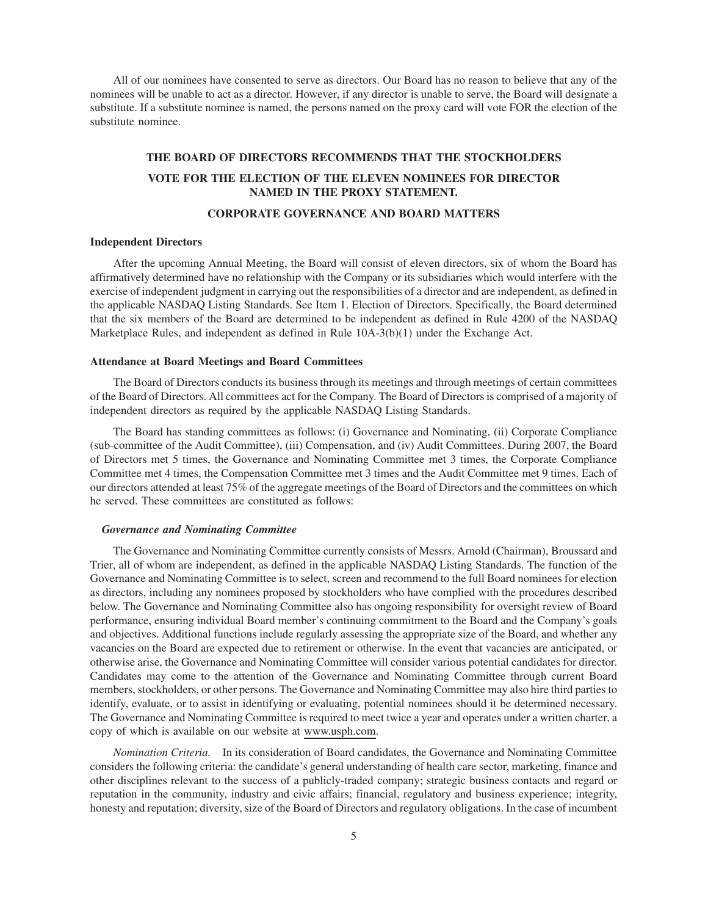All of our nominees have consented to serve as directors. Our Board has no reason to believe that any of the nominees will be unable to act as a director. However, if any director is unable to serve, the Board will designate a substitute. If a substitute nominee is named, the persons named on the proxy card will vote FOR the election of the substitute nominee.

# **THE BOARD OF DIRECTORS RECOMMENDS THAT THE STOCKHOLDERS VOTE FOR THE ELECTION OF THE ELEVEN NOMINEES FOR DIRECTOR NAMED IN THE PROXY STATEMENT.**

# **CORPORATE GOVERNANCE AND BOARD MATTERS**

# **Independent Directors**

After the upcoming Annual Meeting, the Board will consist of eleven directors, six of whom the Board has affirmatively determined have no relationship with the Company or its subsidiaries which would interfere with the exercise of independent judgment in carrying out the responsibilities of a director and are independent, as defined in the applicable NASDAQ Listing Standards. See Item 1. Election of Directors. Specifically, the Board determined that the six members of the Board are determined to be independent as defined in Rule 4200 of the NASDAQ Marketplace Rules, and independent as defined in Rule 10A-3(b)(1) under the Exchange Act.

# **Attendance at Board Meetings and Board Committees**

The Board of Directors conducts its business through its meetings and through meetings of certain committees of the Board of Directors. All committees act for the Company. The Board of Directors is comprised of a majority of independent directors as required by the applicable NASDAQ Listing Standards.

The Board has standing committees as follows: (i) Governance and Nominating, (ii) Corporate Compliance (sub-committee of the Audit Committee), (iii) Compensation, and (iv) Audit Committees. During 2007, the Board of Directors met 5 times, the Governance and Nominating Committee met 3 times, the Corporate Compliance Committee met 4 times, the Compensation Committee met 3 times and the Audit Committee met 9 times. Each of our directors attended at least 75% of the aggregate meetings of the Board of Directors and the committees on which he served. These committees are constituted as follows:

#### *Governance and Nominating Committee*

The Governance and Nominating Committee currently consists of Messrs. Arnold (Chairman), Broussard and Trier, all of whom are independent, as defined in the applicable NASDAQ Listing Standards. The function of the Governance and Nominating Committee is to select, screen and recommend to the full Board nominees for election as directors, including any nominees proposed by stockholders who have complied with the procedures described below. The Governance and Nominating Committee also has ongoing responsibility for oversight review of Board performance, ensuring individual Board member's continuing commitment to the Board and the Company's goals and objectives. Additional functions include regularly assessing the appropriate size of the Board, and whether any vacancies on the Board are expected due to retirement or otherwise. In the event that vacancies are anticipated, or otherwise arise, the Governance and Nominating Committee will consider various potential candidates for director. Candidates may come to the attention of the Governance and Nominating Committee through current Board members, stockholders, or other persons. The Governance and Nominating Committee may also hire third parties to identify, evaluate, or to assist in identifying or evaluating, potential nominees should it be determined necessary. The Governance and Nominating Committee is required to meet twice a year and operates under a written charter, a copy of which is available on our website at www.usph.com.

*Nomination Criteria.* In its consideration of Board candidates, the Governance and Nominating Committee considers the following criteria: the candidate's general understanding of health care sector, marketing, finance and other disciplines relevant to the success of a publicly-traded company; strategic business contacts and regard or reputation in the community, industry and civic affairs; financial, regulatory and business experience; integrity, honesty and reputation; diversity, size of the Board of Directors and regulatory obligations. In the case of incumbent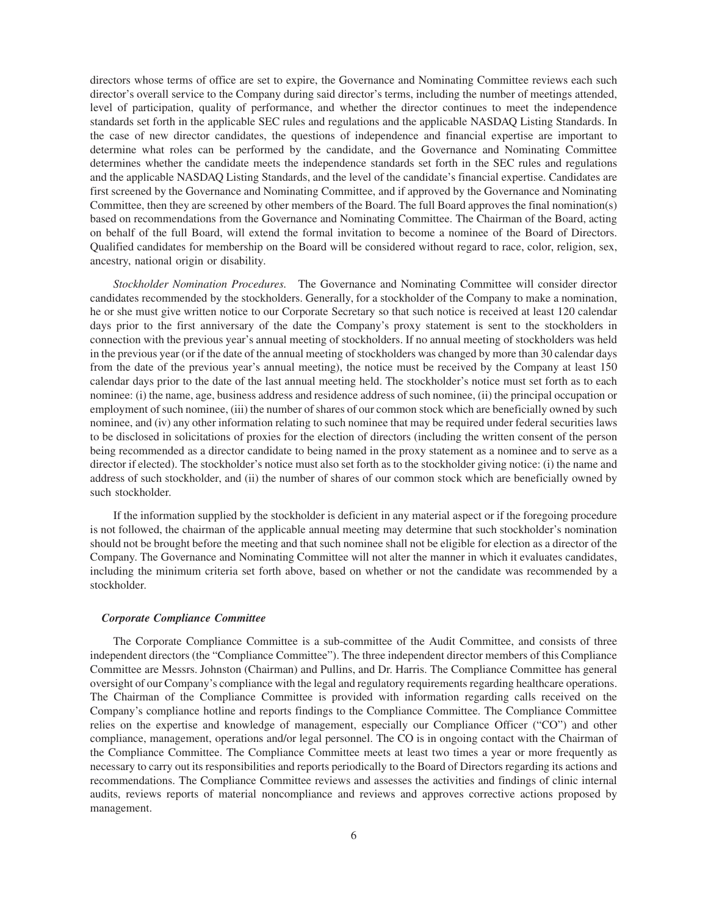directors whose terms of office are set to expire, the Governance and Nominating Committee reviews each such director's overall service to the Company during said director's terms, including the number of meetings attended, level of participation, quality of performance, and whether the director continues to meet the independence standards set forth in the applicable SEC rules and regulations and the applicable NASDAQ Listing Standards. In the case of new director candidates, the questions of independence and financial expertise are important to determine what roles can be performed by the candidate, and the Governance and Nominating Committee determines whether the candidate meets the independence standards set forth in the SEC rules and regulations and the applicable NASDAQ Listing Standards, and the level of the candidate's financial expertise. Candidates are first screened by the Governance and Nominating Committee, and if approved by the Governance and Nominating Committee, then they are screened by other members of the Board. The full Board approves the final nomination(s) based on recommendations from the Governance and Nominating Committee. The Chairman of the Board, acting on behalf of the full Board, will extend the formal invitation to become a nominee of the Board of Directors. Qualified candidates for membership on the Board will be considered without regard to race, color, religion, sex, ancestry, national origin or disability.

*Stockholder Nomination Procedures.* The Governance and Nominating Committee will consider director candidates recommended by the stockholders. Generally, for a stockholder of the Company to make a nomination, he or she must give written notice to our Corporate Secretary so that such notice is received at least 120 calendar days prior to the first anniversary of the date the Company's proxy statement is sent to the stockholders in connection with the previous year's annual meeting of stockholders. If no annual meeting of stockholders was held in the previous year (or if the date of the annual meeting of stockholders was changed by more than 30 calendar days from the date of the previous year's annual meeting), the notice must be received by the Company at least 150 calendar days prior to the date of the last annual meeting held. The stockholder's notice must set forth as to each nominee: (i) the name, age, business address and residence address of such nominee, (ii) the principal occupation or employment of such nominee, (iii) the number of shares of our common stock which are beneficially owned by such nominee, and (iv) any other information relating to such nominee that may be required under federal securities laws to be disclosed in solicitations of proxies for the election of directors (including the written consent of the person being recommended as a director candidate to being named in the proxy statement as a nominee and to serve as a director if elected). The stockholder's notice must also set forth as to the stockholder giving notice: (i) the name and address of such stockholder, and (ii) the number of shares of our common stock which are beneficially owned by such stockholder.

If the information supplied by the stockholder is deficient in any material aspect or if the foregoing procedure is not followed, the chairman of the applicable annual meeting may determine that such stockholder's nomination should not be brought before the meeting and that such nominee shall not be eligible for election as a director of the Company. The Governance and Nominating Committee will not alter the manner in which it evaluates candidates, including the minimum criteria set forth above, based on whether or not the candidate was recommended by a stockholder.

#### *Corporate Compliance Committee*

The Corporate Compliance Committee is a sub-committee of the Audit Committee, and consists of three independent directors (the "Compliance Committee"). The three independent director members of this Compliance Committee are Messrs. Johnston (Chairman) and Pullins, and Dr. Harris. The Compliance Committee has general oversight of our Company's compliance with the legal and regulatory requirements regarding healthcare operations. The Chairman of the Compliance Committee is provided with information regarding calls received on the Company's compliance hotline and reports findings to the Compliance Committee. The Compliance Committee relies on the expertise and knowledge of management, especially our Compliance Officer ("CO") and other compliance, management, operations and/or legal personnel. The CO is in ongoing contact with the Chairman of the Compliance Committee. The Compliance Committee meets at least two times a year or more frequently as necessary to carry out its responsibilities and reports periodically to the Board of Directors regarding its actions and recommendations. The Compliance Committee reviews and assesses the activities and findings of clinic internal audits, reviews reports of material noncompliance and reviews and approves corrective actions proposed by management.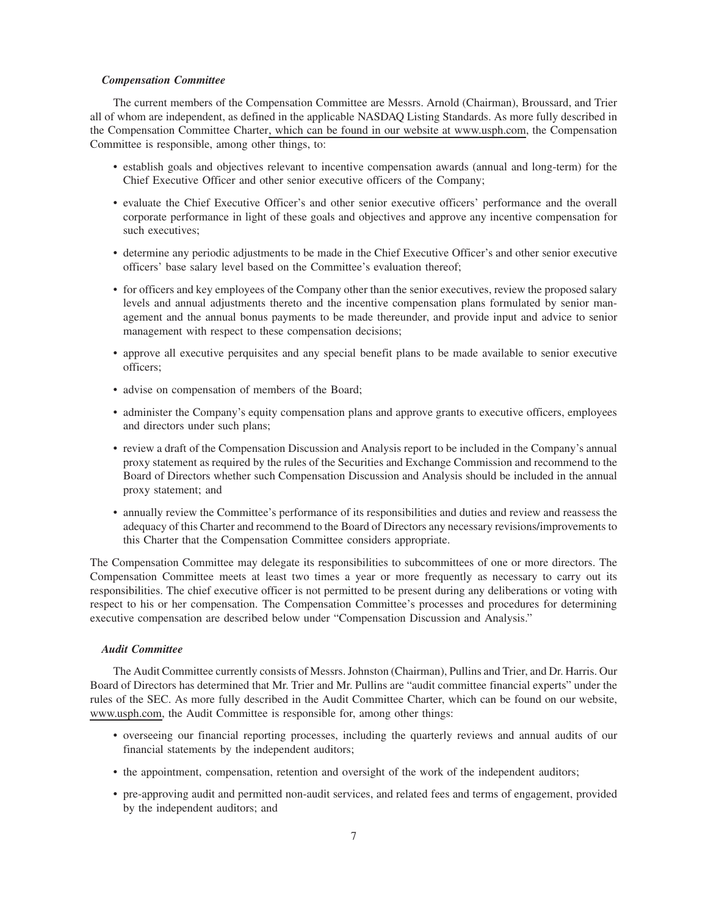# *Compensation Committee*

The current members of the Compensation Committee are Messrs. Arnold (Chairman), Broussard, and Trier all of whom are independent, as defined in the applicable NASDAQ Listing Standards. As more fully described in the Compensation Committee Charter, which can be found in our website at www.usph.com, the Compensation Committee is responsible, among other things, to:

- establish goals and objectives relevant to incentive compensation awards (annual and long-term) for the Chief Executive Officer and other senior executive officers of the Company;
- evaluate the Chief Executive Officer's and other senior executive officers' performance and the overall corporate performance in light of these goals and objectives and approve any incentive compensation for such executives;
- determine any periodic adjustments to be made in the Chief Executive Officer's and other senior executive officers' base salary level based on the Committee's evaluation thereof;
- for officers and key employees of the Company other than the senior executives, review the proposed salary levels and annual adjustments thereto and the incentive compensation plans formulated by senior management and the annual bonus payments to be made thereunder, and provide input and advice to senior management with respect to these compensation decisions;
- approve all executive perquisites and any special benefit plans to be made available to senior executive officers;
- advise on compensation of members of the Board;
- administer the Company's equity compensation plans and approve grants to executive officers, employees and directors under such plans;
- review a draft of the Compensation Discussion and Analysis report to be included in the Company's annual proxy statement as required by the rules of the Securities and Exchange Commission and recommend to the Board of Directors whether such Compensation Discussion and Analysis should be included in the annual proxy statement; and
- annually review the Committee's performance of its responsibilities and duties and review and reassess the adequacy of this Charter and recommend to the Board of Directors any necessary revisions/improvements to this Charter that the Compensation Committee considers appropriate.

The Compensation Committee may delegate its responsibilities to subcommittees of one or more directors. The Compensation Committee meets at least two times a year or more frequently as necessary to carry out its responsibilities. The chief executive officer is not permitted to be present during any deliberations or voting with respect to his or her compensation. The Compensation Committee's processes and procedures for determining executive compensation are described below under "Compensation Discussion and Analysis."

# *Audit Committee*

The Audit Committee currently consists of Messrs. Johnston (Chairman), Pullins and Trier, and Dr. Harris. Our Board of Directors has determined that Mr. Trier and Mr. Pullins are "audit committee financial experts" under the rules of the SEC. As more fully described in the Audit Committee Charter, which can be found on our website, www.usph.com, the Audit Committee is responsible for, among other things:

- overseeing our financial reporting processes, including the quarterly reviews and annual audits of our financial statements by the independent auditors;
- the appointment, compensation, retention and oversight of the work of the independent auditors;
- pre-approving audit and permitted non-audit services, and related fees and terms of engagement, provided by the independent auditors; and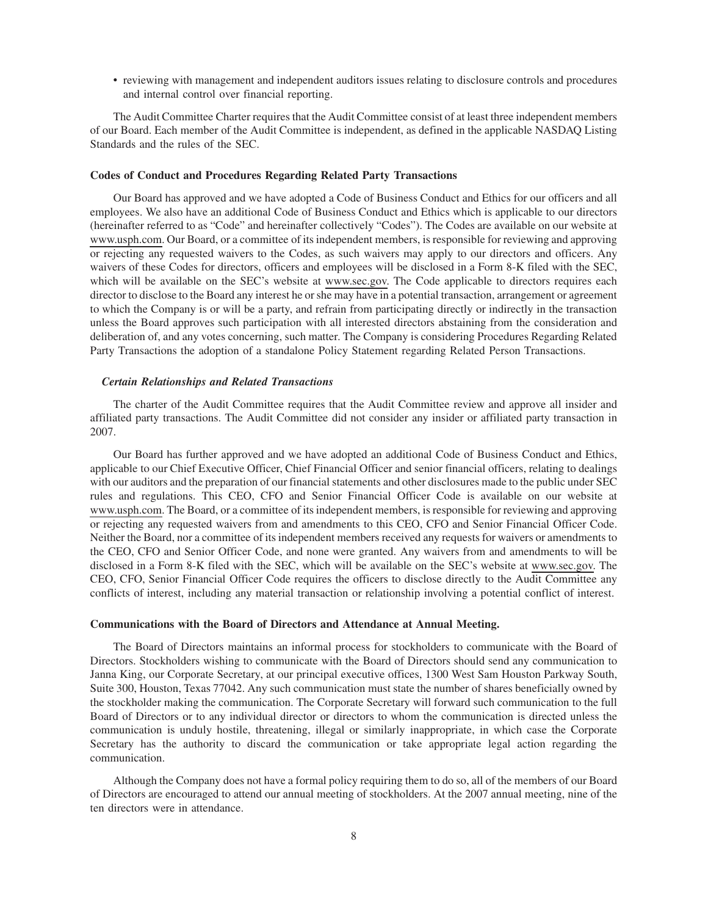• reviewing with management and independent auditors issues relating to disclosure controls and procedures and internal control over financial reporting.

The Audit Committee Charter requires that the Audit Committee consist of at least three independent members of our Board. Each member of the Audit Committee is independent, as defined in the applicable NASDAQ Listing Standards and the rules of the SEC.

#### **Codes of Conduct and Procedures Regarding Related Party Transactions**

Our Board has approved and we have adopted a Code of Business Conduct and Ethics for our officers and all employees. We also have an additional Code of Business Conduct and Ethics which is applicable to our directors (hereinafter referred to as "Code" and hereinafter collectively "Codes"). The Codes are available on our website at www.usph.com. Our Board, or a committee of its independent members, is responsible for reviewing and approving or rejecting any requested waivers to the Codes, as such waivers may apply to our directors and officers. Any waivers of these Codes for directors, officers and employees will be disclosed in a Form 8-K filed with the SEC, which will be available on the SEC's website at www.sec.gov. The Code applicable to directors requires each director to disclose to the Board any interest he or she may have in a potential transaction, arrangement or agreement to which the Company is or will be a party, and refrain from participating directly or indirectly in the transaction unless the Board approves such participation with all interested directors abstaining from the consideration and deliberation of, and any votes concerning, such matter. The Company is considering Procedures Regarding Related Party Transactions the adoption of a standalone Policy Statement regarding Related Person Transactions.

# *Certain Relationships and Related Transactions*

The charter of the Audit Committee requires that the Audit Committee review and approve all insider and affiliated party transactions. The Audit Committee did not consider any insider or affiliated party transaction in 2007.

Our Board has further approved and we have adopted an additional Code of Business Conduct and Ethics, applicable to our Chief Executive Officer, Chief Financial Officer and senior financial officers, relating to dealings with our auditors and the preparation of our financial statements and other disclosures made to the public under SEC rules and regulations. This CEO, CFO and Senior Financial Officer Code is available on our website at www.usph.com. The Board, or a committee of its independent members, is responsible for reviewing and approving or rejecting any requested waivers from and amendments to this CEO, CFO and Senior Financial Officer Code. Neither the Board, nor a committee of its independent members received any requests for waivers or amendments to the CEO, CFO and Senior Officer Code, and none were granted. Any waivers from and amendments to will be disclosed in a Form 8-K filed with the SEC, which will be available on the SEC's website at www.sec.gov. The CEO, CFO, Senior Financial Officer Code requires the officers to disclose directly to the Audit Committee any conflicts of interest, including any material transaction or relationship involving a potential conflict of interest.

# **Communications with the Board of Directors and Attendance at Annual Meeting.**

The Board of Directors maintains an informal process for stockholders to communicate with the Board of Directors. Stockholders wishing to communicate with the Board of Directors should send any communication to Janna King, our Corporate Secretary, at our principal executive offices, 1300 West Sam Houston Parkway South, Suite 300, Houston, Texas 77042. Any such communication must state the number of shares beneficially owned by the stockholder making the communication. The Corporate Secretary will forward such communication to the full Board of Directors or to any individual director or directors to whom the communication is directed unless the communication is unduly hostile, threatening, illegal or similarly inappropriate, in which case the Corporate Secretary has the authority to discard the communication or take appropriate legal action regarding the communication.

Although the Company does not have a formal policy requiring them to do so, all of the members of our Board of Directors are encouraged to attend our annual meeting of stockholders. At the 2007 annual meeting, nine of the ten directors were in attendance.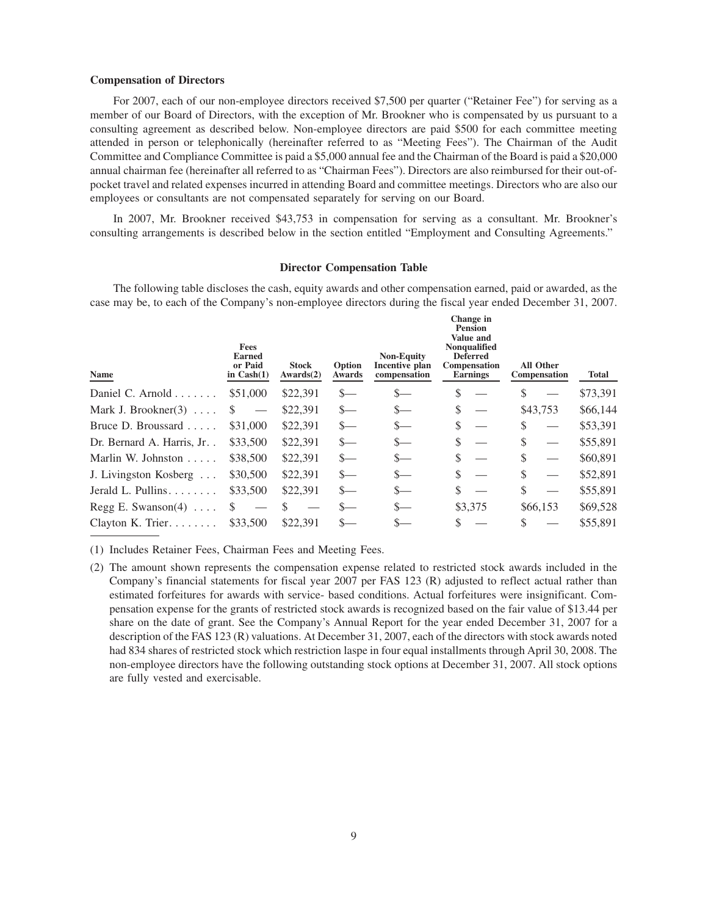# **Compensation of Directors**

For 2007, each of our non-employee directors received \$7,500 per quarter ("Retainer Fee") for serving as a member of our Board of Directors, with the exception of Mr. Brookner who is compensated by us pursuant to a consulting agreement as described below. Non-employee directors are paid \$500 for each committee meeting attended in person or telephonically (hereinafter referred to as "Meeting Fees"). The Chairman of the Audit Committee and Compliance Committee is paid a \$5,000 annual fee and the Chairman of the Board is paid a \$20,000 annual chairman fee (hereinafter all referred to as "Chairman Fees"). Directors are also reimbursed for their out-ofpocket travel and related expenses incurred in attending Board and committee meetings. Directors who are also our employees or consultants are not compensated separately for serving on our Board.

In 2007, Mr. Brookner received \$43,753 in compensation for serving as a consultant. Mr. Brookner's consulting arrangements is described below in the section entitled "Employment and Consulting Agreements."

### **Director Compensation Table**

The following table discloses the cash, equity awards and other compensation earned, paid or awarded, as the case may be, to each of the Company's non-employee directors during the fiscal year ended December 31, 2007.

| Change in<br><b>Pension</b><br>Value and<br><b>Fees</b><br>Nonqualified<br><b>Non-Equity</b><br><b>Earned</b><br><b>Deferred</b><br>or Paid<br><b>All Other</b><br>Option<br>Incentive plan<br><b>Stock</b><br><b>Compensation</b><br>Name<br>in $Cash(1)$<br>Awards(2)<br>Awards<br>compensation<br><b>Earnings</b><br><b>Compensation</b> | <b>Total</b> |
|---------------------------------------------------------------------------------------------------------------------------------------------------------------------------------------------------------------------------------------------------------------------------------------------------------------------------------------------|--------------|
| \$<br>\$51,000<br>\$22,391<br>\$<br>Daniel C. Arnold $\ldots$<br>$\mathbf{S}$<br>S—                                                                                                                                                                                                                                                         | \$73,391     |
| \$<br>\$43,753<br>\$<br>\$22,391<br>Mark J. Brookner $(3)$<br>$S-$<br>$_{-}$                                                                                                                                                                                                                                                                | \$66,144     |
| \$<br>\$22,391<br>\$<br>Bruce D. Broussard<br>\$31,000<br>$S-$<br>$S-$                                                                                                                                                                                                                                                                      | \$53,391     |
| \$<br>\$<br>\$33,500<br>\$22,391<br>$S-$<br>Dr. Bernard A. Harris, Jr<br>$\frac{S}{2}$                                                                                                                                                                                                                                                      | \$55,891     |
| \$<br>\$<br>\$38,500<br>\$22,391<br>Marlin W. Johnston $\ldots$ .<br>$S-$<br>$S-$                                                                                                                                                                                                                                                           | \$60,891     |
| \$<br>\$<br>\$30,500<br>\$22,391<br>$s-$<br>J. Livingston Kosberg<br>$S-$                                                                                                                                                                                                                                                                   | \$52,891     |
| \$<br>\$<br>Jerald L. Pullins.<br>\$22,391<br>\$33,500<br>$S-$<br>$S-$                                                                                                                                                                                                                                                                      | \$55,891     |
| \$3,375<br>$S-$<br>\$66,153<br>\$<br>Regg E. Swanson(4) $\dots$                                                                                                                                                                                                                                                                             | \$69,528     |
| \$33,500<br>\$22,391<br>\$<br>Clayton K. Trier.                                                                                                                                                                                                                                                                                             | \$55,891     |

(1) Includes Retainer Fees, Chairman Fees and Meeting Fees.

(2) The amount shown represents the compensation expense related to restricted stock awards included in the Company's financial statements for fiscal year 2007 per FAS 123 (R) adjusted to reflect actual rather than estimated forfeitures for awards with service- based conditions. Actual forfeitures were insignificant. Compensation expense for the grants of restricted stock awards is recognized based on the fair value of \$13.44 per share on the date of grant. See the Company's Annual Report for the year ended December 31, 2007 for a description of the FAS 123 (R) valuations. At December 31, 2007, each of the directors with stock awards noted had 834 shares of restricted stock which restriction laspe in four equal installments through April 30, 2008. The non-employee directors have the following outstanding stock options at December 31, 2007. All stock options are fully vested and exercisable.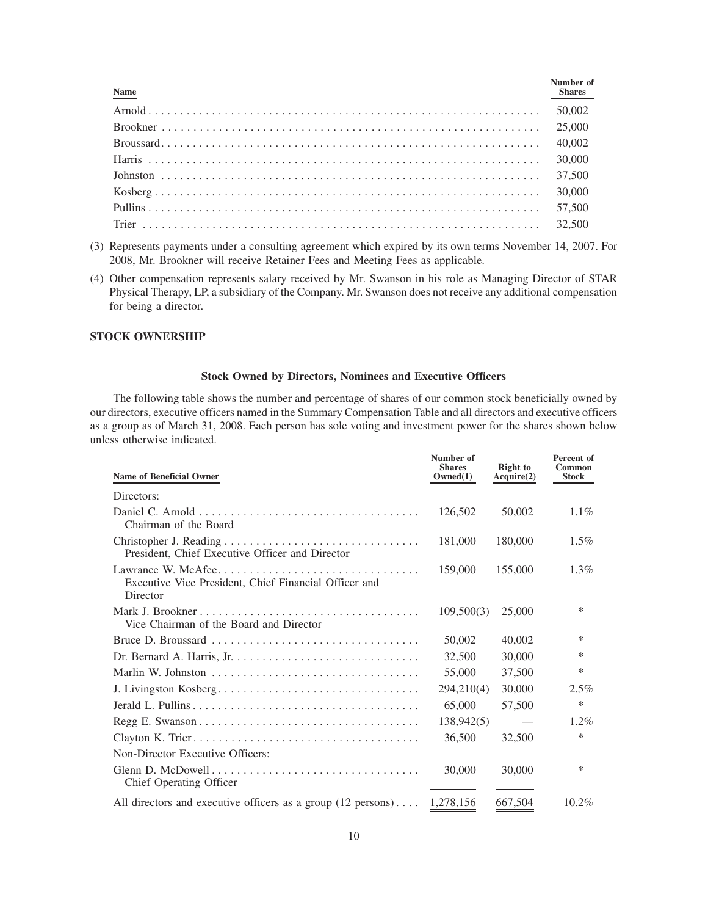| <b>Name</b> | Number of<br>Shares |
|-------------|---------------------|
|             |                     |
|             |                     |
|             |                     |
|             |                     |
|             |                     |
|             |                     |
|             |                     |
|             |                     |

- (3) Represents payments under a consulting agreement which expired by its own terms November 14, 2007. For 2008, Mr. Brookner will receive Retainer Fees and Meeting Fees as applicable.
- (4) Other compensation represents salary received by Mr. Swanson in his role as Managing Director of STAR Physical Therapy, LP, a subsidiary of the Company. Mr. Swanson does not receive any additional compensation for being a director.

# **STOCK OWNERSHIP**

# **Stock Owned by Directors, Nominees and Executive Officers**

The following table shows the number and percentage of shares of our common stock beneficially owned by our directors, executive officers named in the Summary Compensation Table and all directors and executive officers as a group as of March 31, 2008. Each person has sole voting and investment power for the shares shown below unless otherwise indicated.

| <b>Name of Beneficial Owner</b>                                                        | Number of<br><b>Shares</b><br>Owned(1) | <b>Right</b> to<br>Acquire(2) | Percent of<br>Common<br><b>Stock</b> |
|----------------------------------------------------------------------------------------|----------------------------------------|-------------------------------|--------------------------------------|
| Directors:                                                                             |                                        |                               |                                      |
| Chairman of the Board                                                                  | 126,502                                | 50,002                        | $1.1\%$                              |
| President, Chief Executive Officer and Director                                        | 181,000                                | 180,000                       | $1.5\%$                              |
| Executive Vice President, Chief Financial Officer and<br>Director                      | 159,000                                | 155,000                       | $1.3\%$                              |
| Vice Chairman of the Board and Director                                                | 109,500(3)                             | 25,000                        | ∗                                    |
|                                                                                        | 50,002                                 | 40,002                        | ∗                                    |
|                                                                                        | 32,500                                 | 30,000                        | *                                    |
|                                                                                        | 55,000                                 | 37,500                        | *                                    |
| J. Livingston Kosberg                                                                  | 294,210(4)                             | 30,000                        | 2.5%                                 |
|                                                                                        | 65,000                                 | 57,500                        | *                                    |
|                                                                                        | 138,942(5)                             |                               | $1.2\%$                              |
|                                                                                        | 36,500                                 | 32,500                        | *                                    |
| Non-Director Executive Officers:                                                       |                                        |                               |                                      |
| Chief Operating Officer                                                                | 30,000                                 | 30,000                        | ∗                                    |
| All directors and executive officers as a group $(12 \text{ persons}) \dots 1,278,156$ |                                        | 667,504                       | $10.2\%$                             |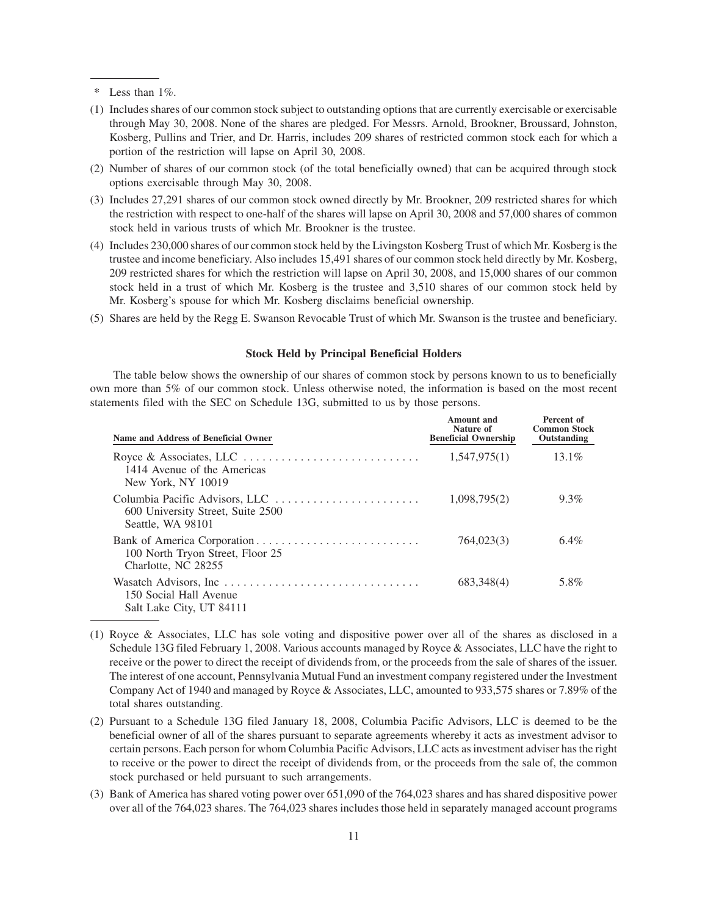\* Less than 1%.

- (1) Includes shares of our common stock subject to outstanding options that are currently exercisable or exercisable through May 30, 2008. None of the shares are pledged. For Messrs. Arnold, Brookner, Broussard, Johnston, Kosberg, Pullins and Trier, and Dr. Harris, includes 209 shares of restricted common stock each for which a portion of the restriction will lapse on April 30, 2008.
- (2) Number of shares of our common stock (of the total beneficially owned) that can be acquired through stock options exercisable through May 30, 2008.
- (3) Includes 27,291 shares of our common stock owned directly by Mr. Brookner, 209 restricted shares for which the restriction with respect to one-half of the shares will lapse on April 30, 2008 and 57,000 shares of common stock held in various trusts of which Mr. Brookner is the trustee.
- (4) Includes 230,000 shares of our common stock held by the Livingston Kosberg Trust of which Mr. Kosberg is the trustee and income beneficiary. Also includes 15,491 shares of our common stock held directly by Mr. Kosberg, 209 restricted shares for which the restriction will lapse on April 30, 2008, and 15,000 shares of our common stock held in a trust of which Mr. Kosberg is the trustee and 3,510 shares of our common stock held by Mr. Kosberg's spouse for which Mr. Kosberg disclaims beneficial ownership.
- (5) Shares are held by the Regg E. Swanson Revocable Trust of which Mr. Swanson is the trustee and beneficiary.

#### **Stock Held by Principal Beneficial Holders**

The table below shows the ownership of our shares of common stock by persons known to us to beneficially own more than 5% of our common stock. Unless otherwise noted, the information is based on the most recent statements filed with the SEC on Schedule 13G, submitted to us by those persons.

| Name and Address of Beneficial Owner                    | Amount and<br>Nature of<br><b>Beneficial Ownership</b> | Percent of<br><b>Common Stock</b><br>Outstanding |
|---------------------------------------------------------|--------------------------------------------------------|--------------------------------------------------|
| 1414 Avenue of the Americas<br>New York, NY 10019       | 1,547,975(1)                                           | $13.1\%$                                         |
| 600 University Street, Suite 2500<br>Seattle, WA 98101  | 1,098,795(2)                                           | $9.3\%$                                          |
| 100 North Tryon Street, Floor 25<br>Charlotte, NC 28255 | 764,023(3)                                             | $6.4\%$                                          |
| 150 Social Hall Avenue<br>Salt Lake City, UT 84111      | 683,348(4)                                             | 5.8%                                             |

- (1) Royce & Associates, LLC has sole voting and dispositive power over all of the shares as disclosed in a Schedule 13G filed February 1, 2008. Various accounts managed by Royce & Associates, LLC have the right to receive or the power to direct the receipt of dividends from, or the proceeds from the sale of shares of the issuer. The interest of one account, Pennsylvania Mutual Fund an investment company registered under the Investment Company Act of 1940 and managed by Royce & Associates, LLC, amounted to 933,575 shares or 7.89% of the total shares outstanding.
- (2) Pursuant to a Schedule 13G filed January 18, 2008, Columbia Pacific Advisors, LLC is deemed to be the beneficial owner of all of the shares pursuant to separate agreements whereby it acts as investment advisor to certain persons. Each person for whom Columbia Pacific Advisors, LLC acts as investment adviser has the right to receive or the power to direct the receipt of dividends from, or the proceeds from the sale of, the common stock purchased or held pursuant to such arrangements.
- (3) Bank of America has shared voting power over 651,090 of the 764,023 shares and has shared dispositive power over all of the 764,023 shares. The 764,023 shares includes those held in separately managed account programs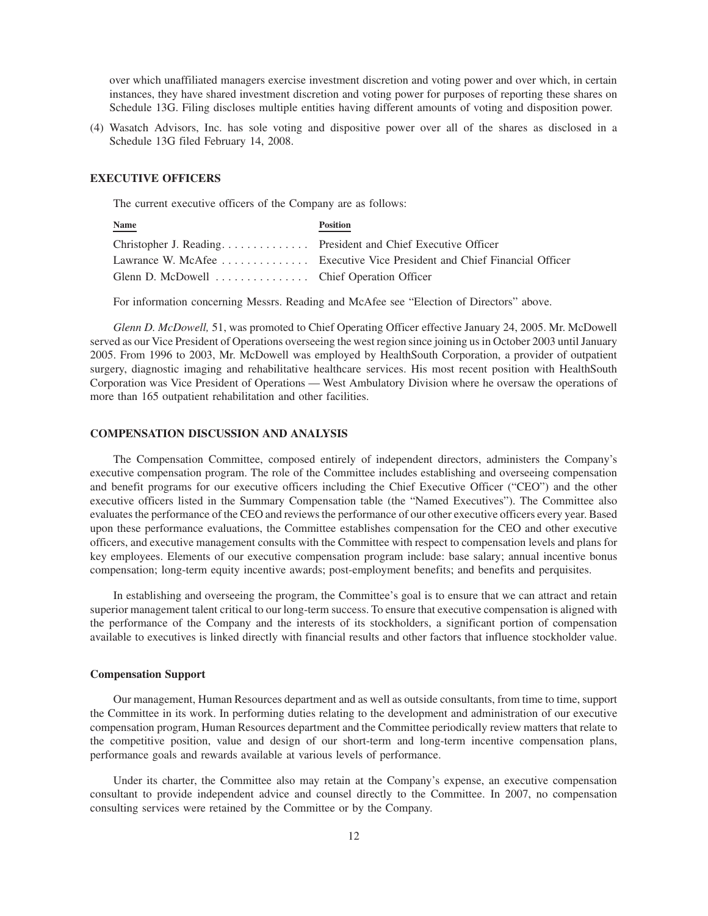over which unaffiliated managers exercise investment discretion and voting power and over which, in certain instances, they have shared investment discretion and voting power for purposes of reporting these shares on Schedule 13G. Filing discloses multiple entities having different amounts of voting and disposition power.

(4) Wasatch Advisors, Inc. has sole voting and dispositive power over all of the shares as disclosed in a Schedule 13G filed February 14, 2008.

# **EXECUTIVE OFFICERS**

The current executive officers of the Company are as follows:

| <b>Name</b>                                | <b>Position</b>                                                         |
|--------------------------------------------|-------------------------------------------------------------------------|
|                                            |                                                                         |
|                                            | Lawrance W. McAfee Executive Vice President and Chief Financial Officer |
| Glenn D. McDowell  Chief Operation Officer |                                                                         |

For information concerning Messrs. Reading and McAfee see "Election of Directors" above.

*Glenn D. McDowell,* 51, was promoted to Chief Operating Officer effective January 24, 2005. Mr. McDowell served as our Vice President of Operations overseeing the west region since joining us in October 2003 until January 2005. From 1996 to 2003, Mr. McDowell was employed by HealthSouth Corporation, a provider of outpatient surgery, diagnostic imaging and rehabilitative healthcare services. His most recent position with HealthSouth Corporation was Vice President of Operations — West Ambulatory Division where he oversaw the operations of more than 165 outpatient rehabilitation and other facilities.

### **COMPENSATION DISCUSSION AND ANALYSIS**

The Compensation Committee, composed entirely of independent directors, administers the Company's executive compensation program. The role of the Committee includes establishing and overseeing compensation and benefit programs for our executive officers including the Chief Executive Officer ("CEO") and the other executive officers listed in the Summary Compensation table (the "Named Executives"). The Committee also evaluates the performance of the CEO and reviews the performance of our other executive officers every year. Based upon these performance evaluations, the Committee establishes compensation for the CEO and other executive officers, and executive management consults with the Committee with respect to compensation levels and plans for key employees. Elements of our executive compensation program include: base salary; annual incentive bonus compensation; long-term equity incentive awards; post-employment benefits; and benefits and perquisites.

In establishing and overseeing the program, the Committee's goal is to ensure that we can attract and retain superior management talent critical to our long-term success. To ensure that executive compensation is aligned with the performance of the Company and the interests of its stockholders, a significant portion of compensation available to executives is linked directly with financial results and other factors that influence stockholder value.

### **Compensation Support**

Our management, Human Resources department and as well as outside consultants, from time to time, support the Committee in its work. In performing duties relating to the development and administration of our executive compensation program, Human Resources department and the Committee periodically review matters that relate to the competitive position, value and design of our short-term and long-term incentive compensation plans, performance goals and rewards available at various levels of performance.

Under its charter, the Committee also may retain at the Company's expense, an executive compensation consultant to provide independent advice and counsel directly to the Committee. In 2007, no compensation consulting services were retained by the Committee or by the Company.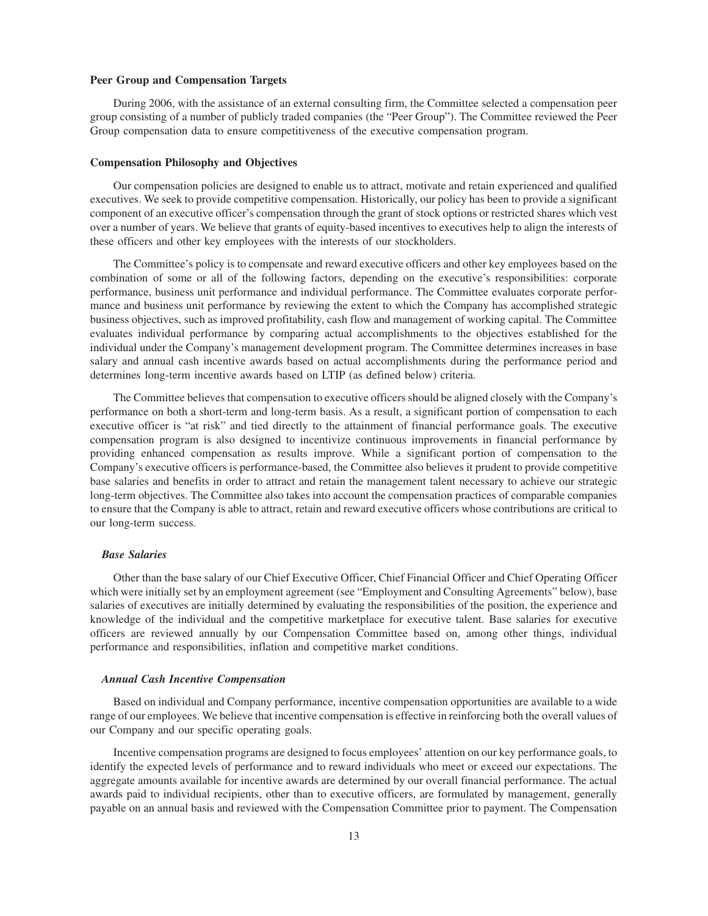#### **Peer Group and Compensation Targets**

During 2006, with the assistance of an external consulting firm, the Committee selected a compensation peer group consisting of a number of publicly traded companies (the "Peer Group"). The Committee reviewed the Peer Group compensation data to ensure competitiveness of the executive compensation program.

#### **Compensation Philosophy and Objectives**

Our compensation policies are designed to enable us to attract, motivate and retain experienced and qualified executives. We seek to provide competitive compensation. Historically, our policy has been to provide a significant component of an executive officer's compensation through the grant of stock options or restricted shares which vest over a number of years. We believe that grants of equity-based incentives to executives help to align the interests of these officers and other key employees with the interests of our stockholders.

The Committee's policy is to compensate and reward executive officers and other key employees based on the combination of some or all of the following factors, depending on the executive's responsibilities: corporate performance, business unit performance and individual performance. The Committee evaluates corporate performance and business unit performance by reviewing the extent to which the Company has accomplished strategic business objectives, such as improved profitability, cash flow and management of working capital. The Committee evaluates individual performance by comparing actual accomplishments to the objectives established for the individual under the Company's management development program. The Committee determines increases in base salary and annual cash incentive awards based on actual accomplishments during the performance period and determines long-term incentive awards based on LTIP (as defined below) criteria.

The Committee believes that compensation to executive officers should be aligned closely with the Company's performance on both a short-term and long-term basis. As a result, a significant portion of compensation to each executive officer is "at risk" and tied directly to the attainment of financial performance goals. The executive compensation program is also designed to incentivize continuous improvements in financial performance by providing enhanced compensation as results improve. While a significant portion of compensation to the Company's executive officers is performance-based, the Committee also believes it prudent to provide competitive base salaries and benefits in order to attract and retain the management talent necessary to achieve our strategic long-term objectives. The Committee also takes into account the compensation practices of comparable companies to ensure that the Company is able to attract, retain and reward executive officers whose contributions are critical to our long-term success.

#### *Base Salaries*

Other than the base salary of our Chief Executive Officer, Chief Financial Officer and Chief Operating Officer which were initially set by an employment agreement (see "Employment and Consulting Agreements" below), base salaries of executives are initially determined by evaluating the responsibilities of the position, the experience and knowledge of the individual and the competitive marketplace for executive talent. Base salaries for executive officers are reviewed annually by our Compensation Committee based on, among other things, individual performance and responsibilities, inflation and competitive market conditions.

## *Annual Cash Incentive Compensation*

Based on individual and Company performance, incentive compensation opportunities are available to a wide range of our employees. We believe that incentive compensation is effective in reinforcing both the overall values of our Company and our specific operating goals.

Incentive compensation programs are designed to focus employees' attention on our key performance goals, to identify the expected levels of performance and to reward individuals who meet or exceed our expectations. The aggregate amounts available for incentive awards are determined by our overall financial performance. The actual awards paid to individual recipients, other than to executive officers, are formulated by management, generally payable on an annual basis and reviewed with the Compensation Committee prior to payment. The Compensation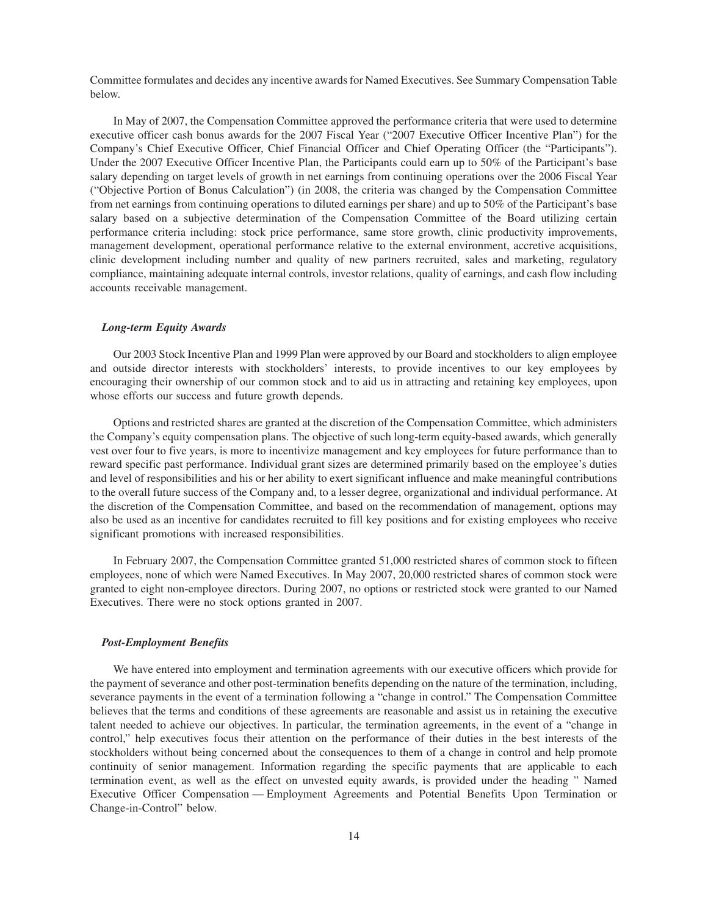Committee formulates and decides any incentive awards for Named Executives. See Summary Compensation Table below.

In May of 2007, the Compensation Committee approved the performance criteria that were used to determine executive officer cash bonus awards for the 2007 Fiscal Year ("2007 Executive Officer Incentive Plan") for the Company's Chief Executive Officer, Chief Financial Officer and Chief Operating Officer (the "Participants"). Under the 2007 Executive Officer Incentive Plan, the Participants could earn up to 50% of the Participant's base salary depending on target levels of growth in net earnings from continuing operations over the 2006 Fiscal Year ("Objective Portion of Bonus Calculation") (in 2008, the criteria was changed by the Compensation Committee from net earnings from continuing operations to diluted earnings per share) and up to 50% of the Participant's base salary based on a subjective determination of the Compensation Committee of the Board utilizing certain performance criteria including: stock price performance, same store growth, clinic productivity improvements, management development, operational performance relative to the external environment, accretive acquisitions, clinic development including number and quality of new partners recruited, sales and marketing, regulatory compliance, maintaining adequate internal controls, investor relations, quality of earnings, and cash flow including accounts receivable management.

#### *Long-term Equity Awards*

Our 2003 Stock Incentive Plan and 1999 Plan were approved by our Board and stockholders to align employee and outside director interests with stockholders' interests, to provide incentives to our key employees by encouraging their ownership of our common stock and to aid us in attracting and retaining key employees, upon whose efforts our success and future growth depends.

Options and restricted shares are granted at the discretion of the Compensation Committee, which administers the Company's equity compensation plans. The objective of such long-term equity-based awards, which generally vest over four to five years, is more to incentivize management and key employees for future performance than to reward specific past performance. Individual grant sizes are determined primarily based on the employee's duties and level of responsibilities and his or her ability to exert significant influence and make meaningful contributions to the overall future success of the Company and, to a lesser degree, organizational and individual performance. At the discretion of the Compensation Committee, and based on the recommendation of management, options may also be used as an incentive for candidates recruited to fill key positions and for existing employees who receive significant promotions with increased responsibilities.

In February 2007, the Compensation Committee granted 51,000 restricted shares of common stock to fifteen employees, none of which were Named Executives. In May 2007, 20,000 restricted shares of common stock were granted to eight non-employee directors. During 2007, no options or restricted stock were granted to our Named Executives. There were no stock options granted in 2007.

# *Post-Employment Benefits*

We have entered into employment and termination agreements with our executive officers which provide for the payment of severance and other post-termination benefits depending on the nature of the termination, including, severance payments in the event of a termination following a "change in control." The Compensation Committee believes that the terms and conditions of these agreements are reasonable and assist us in retaining the executive talent needed to achieve our objectives. In particular, the termination agreements, in the event of a "change in control," help executives focus their attention on the performance of their duties in the best interests of the stockholders without being concerned about the consequences to them of a change in control and help promote continuity of senior management. Information regarding the specific payments that are applicable to each termination event, as well as the effect on unvested equity awards, is provided under the heading " Named Executive Officer Compensation — Employment Agreements and Potential Benefits Upon Termination or Change-in-Control" below.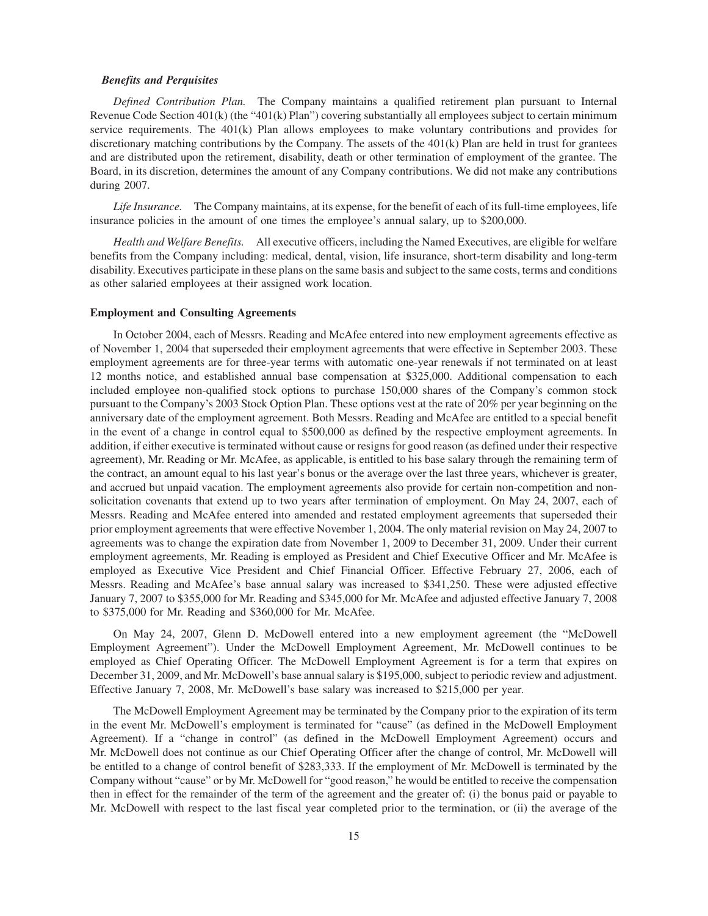#### *Benefits and Perquisites*

*Defined Contribution Plan.* The Company maintains a qualified retirement plan pursuant to Internal Revenue Code Section 401(k) (the "401(k) Plan") covering substantially all employees subject to certain minimum service requirements. The 401(k) Plan allows employees to make voluntary contributions and provides for discretionary matching contributions by the Company. The assets of the 401(k) Plan are held in trust for grantees and are distributed upon the retirement, disability, death or other termination of employment of the grantee. The Board, in its discretion, determines the amount of any Company contributions. We did not make any contributions during 2007.

*Life Insurance.* The Company maintains, at its expense, for the benefit of each of its full-time employees, life insurance policies in the amount of one times the employee's annual salary, up to \$200,000.

*Health and Welfare Benefits.* All executive officers, including the Named Executives, are eligible for welfare benefits from the Company including: medical, dental, vision, life insurance, short-term disability and long-term disability. Executives participate in these plans on the same basis and subject to the same costs, terms and conditions as other salaried employees at their assigned work location.

#### **Employment and Consulting Agreements**

In October 2004, each of Messrs. Reading and McAfee entered into new employment agreements effective as of November 1, 2004 that superseded their employment agreements that were effective in September 2003. These employment agreements are for three-year terms with automatic one-year renewals if not terminated on at least 12 months notice, and established annual base compensation at \$325,000. Additional compensation to each included employee non-qualified stock options to purchase 150,000 shares of the Company's common stock pursuant to the Company's 2003 Stock Option Plan. These options vest at the rate of 20% per year beginning on the anniversary date of the employment agreement. Both Messrs. Reading and McAfee are entitled to a special benefit in the event of a change in control equal to \$500,000 as defined by the respective employment agreements. In addition, if either executive is terminated without cause or resigns for good reason (as defined under their respective agreement), Mr. Reading or Mr. McAfee, as applicable, is entitled to his base salary through the remaining term of the contract, an amount equal to his last year's bonus or the average over the last three years, whichever is greater, and accrued but unpaid vacation. The employment agreements also provide for certain non-competition and nonsolicitation covenants that extend up to two years after termination of employment. On May 24, 2007, each of Messrs. Reading and McAfee entered into amended and restated employment agreements that superseded their prior employment agreements that were effective November 1, 2004. The only material revision on May 24, 2007 to agreements was to change the expiration date from November 1, 2009 to December 31, 2009. Under their current employment agreements, Mr. Reading is employed as President and Chief Executive Officer and Mr. McAfee is employed as Executive Vice President and Chief Financial Officer. Effective February 27, 2006, each of Messrs. Reading and McAfee's base annual salary was increased to \$341,250. These were adjusted effective January 7, 2007 to \$355,000 for Mr. Reading and \$345,000 for Mr. McAfee and adjusted effective January 7, 2008 to \$375,000 for Mr. Reading and \$360,000 for Mr. McAfee.

On May 24, 2007, Glenn D. McDowell entered into a new employment agreement (the "McDowell Employment Agreement"). Under the McDowell Employment Agreement, Mr. McDowell continues to be employed as Chief Operating Officer. The McDowell Employment Agreement is for a term that expires on December 31, 2009, and Mr. McDowell's base annual salary is \$195,000, subject to periodic review and adjustment. Effective January 7, 2008, Mr. McDowell's base salary was increased to \$215,000 per year.

The McDowell Employment Agreement may be terminated by the Company prior to the expiration of its term in the event Mr. McDowell's employment is terminated for "cause" (as defined in the McDowell Employment Agreement). If a "change in control" (as defined in the McDowell Employment Agreement) occurs and Mr. McDowell does not continue as our Chief Operating Officer after the change of control, Mr. McDowell will be entitled to a change of control benefit of \$283,333. If the employment of Mr. McDowell is terminated by the Company without "cause" or by Mr. McDowell for "good reason," he would be entitled to receive the compensation then in effect for the remainder of the term of the agreement and the greater of: (i) the bonus paid or payable to Mr. McDowell with respect to the last fiscal year completed prior to the termination, or (ii) the average of the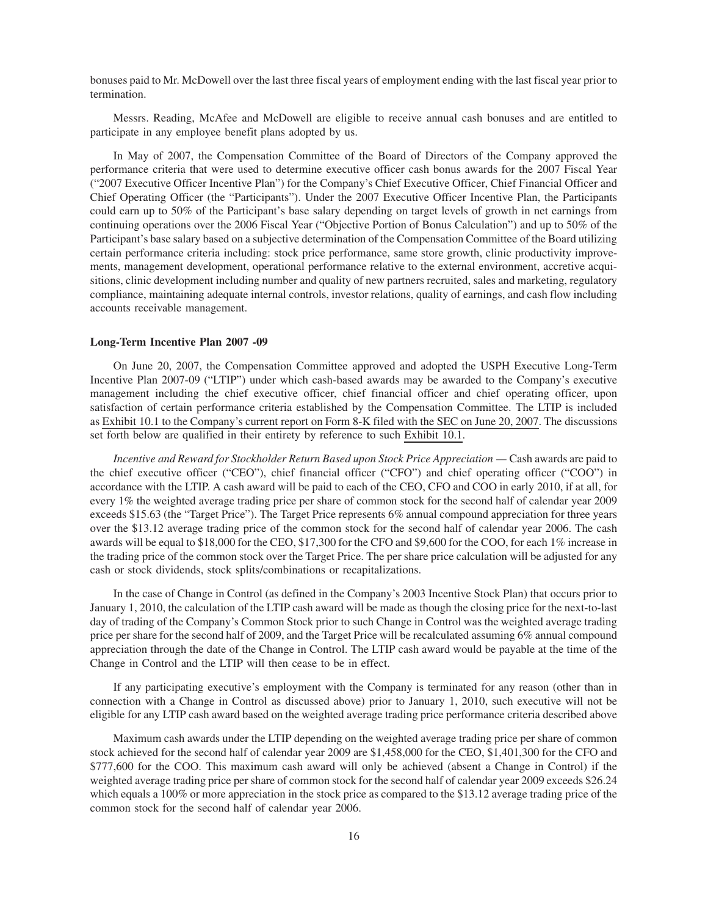bonuses paid to Mr. McDowell over the last three fiscal years of employment ending with the last fiscal year prior to termination.

Messrs. Reading, McAfee and McDowell are eligible to receive annual cash bonuses and are entitled to participate in any employee benefit plans adopted by us.

In May of 2007, the Compensation Committee of the Board of Directors of the Company approved the performance criteria that were used to determine executive officer cash bonus awards for the 2007 Fiscal Year ("2007 Executive Officer Incentive Plan") for the Company's Chief Executive Officer, Chief Financial Officer and Chief Operating Officer (the "Participants"). Under the 2007 Executive Officer Incentive Plan, the Participants could earn up to 50% of the Participant's base salary depending on target levels of growth in net earnings from continuing operations over the 2006 Fiscal Year ("Objective Portion of Bonus Calculation") and up to 50% of the Participant's base salary based on a subjective determination of the Compensation Committee of the Board utilizing certain performance criteria including: stock price performance, same store growth, clinic productivity improvements, management development, operational performance relative to the external environment, accretive acquisitions, clinic development including number and quality of new partners recruited, sales and marketing, regulatory compliance, maintaining adequate internal controls, investor relations, quality of earnings, and cash flow including accounts receivable management.

### **Long-Term Incentive Plan 2007 -09**

On June 20, 2007, the Compensation Committee approved and adopted the USPH Executive Long-Term Incentive Plan 2007-09 ("LTIP") under which cash-based awards may be awarded to the Company's executive management including the chief executive officer, chief financial officer and chief operating officer, upon satisfaction of certain performance criteria established by the Compensation Committee. The LTIP is included as Exhibit 10.1 to the Company's current report on Form 8-K filed with the SEC on June 20, 2007. The discussions set forth below are qualified in their entirety by reference to such Exhibit 10.1.

*Incentive and Reward for Stockholder Return Based upon Stock Price Appreciation —* Cash awards are paid to the chief executive officer ("CEO"), chief financial officer ("CFO") and chief operating officer ("COO") in accordance with the LTIP. A cash award will be paid to each of the CEO, CFO and COO in early 2010, if at all, for every 1% the weighted average trading price per share of common stock for the second half of calendar year 2009 exceeds \$15.63 (the "Target Price"). The Target Price represents 6% annual compound appreciation for three years over the \$13.12 average trading price of the common stock for the second half of calendar year 2006. The cash awards will be equal to \$18,000 for the CEO, \$17,300 for the CFO and \$9,600 for the COO, for each 1% increase in the trading price of the common stock over the Target Price. The per share price calculation will be adjusted for any cash or stock dividends, stock splits/combinations or recapitalizations.

In the case of Change in Control (as defined in the Company's 2003 Incentive Stock Plan) that occurs prior to January 1, 2010, the calculation of the LTIP cash award will be made as though the closing price for the next-to-last day of trading of the Company's Common Stock prior to such Change in Control was the weighted average trading price per share for the second half of 2009, and the Target Price will be recalculated assuming 6% annual compound appreciation through the date of the Change in Control. The LTIP cash award would be payable at the time of the Change in Control and the LTIP will then cease to be in effect.

If any participating executive's employment with the Company is terminated for any reason (other than in connection with a Change in Control as discussed above) prior to January 1, 2010, such executive will not be eligible for any LTIP cash award based on the weighted average trading price performance criteria described above

Maximum cash awards under the LTIP depending on the weighted average trading price per share of common stock achieved for the second half of calendar year 2009 are \$1,458,000 for the CEO, \$1,401,300 for the CFO and \$777,600 for the COO. This maximum cash award will only be achieved (absent a Change in Control) if the weighted average trading price per share of common stock for the second half of calendar year 2009 exceeds \$26.24 which equals a 100% or more appreciation in the stock price as compared to the \$13.12 average trading price of the common stock for the second half of calendar year 2006.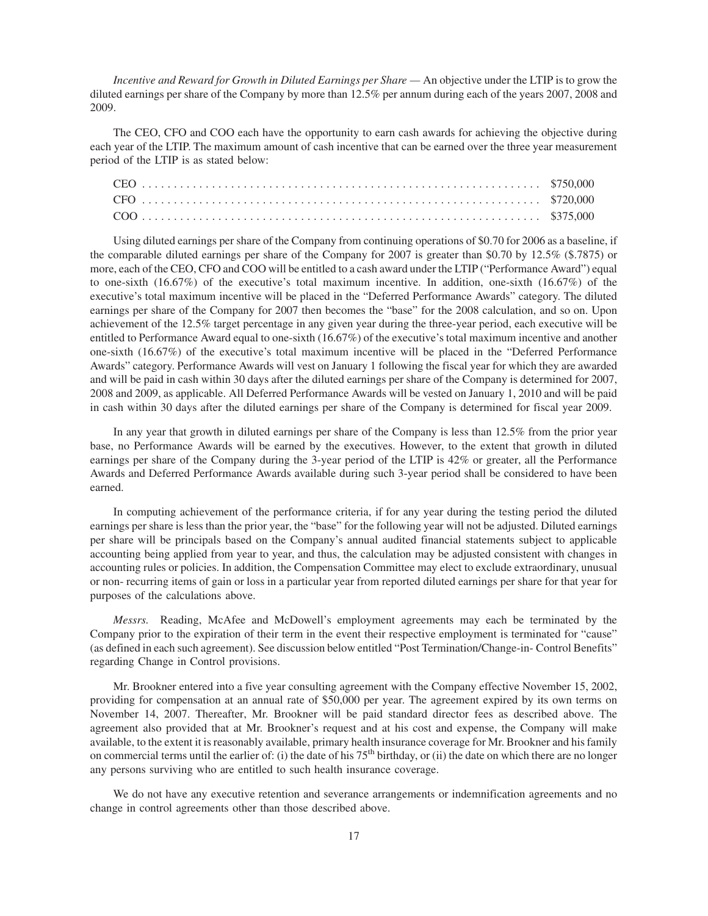*Incentive and Reward for Growth in Diluted Earnings per Share —* An objective under the LTIP is to grow the diluted earnings per share of the Company by more than 12.5% per annum during each of the years 2007, 2008 and 2009.

The CEO, CFO and COO each have the opportunity to earn cash awards for achieving the objective during each year of the LTIP. The maximum amount of cash incentive that can be earned over the three year measurement period of the LTIP is as stated below:

Using diluted earnings per share of the Company from continuing operations of \$0.70 for 2006 as a baseline, if the comparable diluted earnings per share of the Company for 2007 is greater than \$0.70 by 12.5% (\$.7875) or more, each of the CEO, CFO and COO will be entitled to a cash award under the LTIP ("Performance Award") equal to one-sixth (16.67%) of the executive's total maximum incentive. In addition, one-sixth (16.67%) of the executive's total maximum incentive will be placed in the "Deferred Performance Awards" category. The diluted earnings per share of the Company for 2007 then becomes the "base" for the 2008 calculation, and so on. Upon achievement of the 12.5% target percentage in any given year during the three-year period, each executive will be entitled to Performance Award equal to one-sixth (16.67%) of the executive's total maximum incentive and another one-sixth (16.67%) of the executive's total maximum incentive will be placed in the "Deferred Performance Awards" category. Performance Awards will vest on January 1 following the fiscal year for which they are awarded and will be paid in cash within 30 days after the diluted earnings per share of the Company is determined for 2007, 2008 and 2009, as applicable. All Deferred Performance Awards will be vested on January 1, 2010 and will be paid in cash within 30 days after the diluted earnings per share of the Company is determined for fiscal year 2009.

In any year that growth in diluted earnings per share of the Company is less than 12.5% from the prior year base, no Performance Awards will be earned by the executives. However, to the extent that growth in diluted earnings per share of the Company during the 3-year period of the LTIP is 42% or greater, all the Performance Awards and Deferred Performance Awards available during such 3-year period shall be considered to have been earned.

In computing achievement of the performance criteria, if for any year during the testing period the diluted earnings per share is less than the prior year, the "base" for the following year will not be adjusted. Diluted earnings per share will be principals based on the Company's annual audited financial statements subject to applicable accounting being applied from year to year, and thus, the calculation may be adjusted consistent with changes in accounting rules or policies. In addition, the Compensation Committee may elect to exclude extraordinary, unusual or non- recurring items of gain or loss in a particular year from reported diluted earnings per share for that year for purposes of the calculations above.

*Messrs.* Reading, McAfee and McDowell's employment agreements may each be terminated by the Company prior to the expiration of their term in the event their respective employment is terminated for "cause" (as defined in each such agreement). See discussion below entitled "Post Termination/Change-in- Control Benefits" regarding Change in Control provisions.

Mr. Brookner entered into a five year consulting agreement with the Company effective November 15, 2002, providing for compensation at an annual rate of \$50,000 per year. The agreement expired by its own terms on November 14, 2007. Thereafter, Mr. Brookner will be paid standard director fees as described above. The agreement also provided that at Mr. Brookner's request and at his cost and expense, the Company will make available, to the extent it is reasonably available, primary health insurance coverage for Mr. Brookner and his family on commercial terms until the earlier of: (i) the date of his  $75<sup>th</sup>$  birthday, or (ii) the date on which there are no longer any persons surviving who are entitled to such health insurance coverage.

We do not have any executive retention and severance arrangements or indemnification agreements and no change in control agreements other than those described above.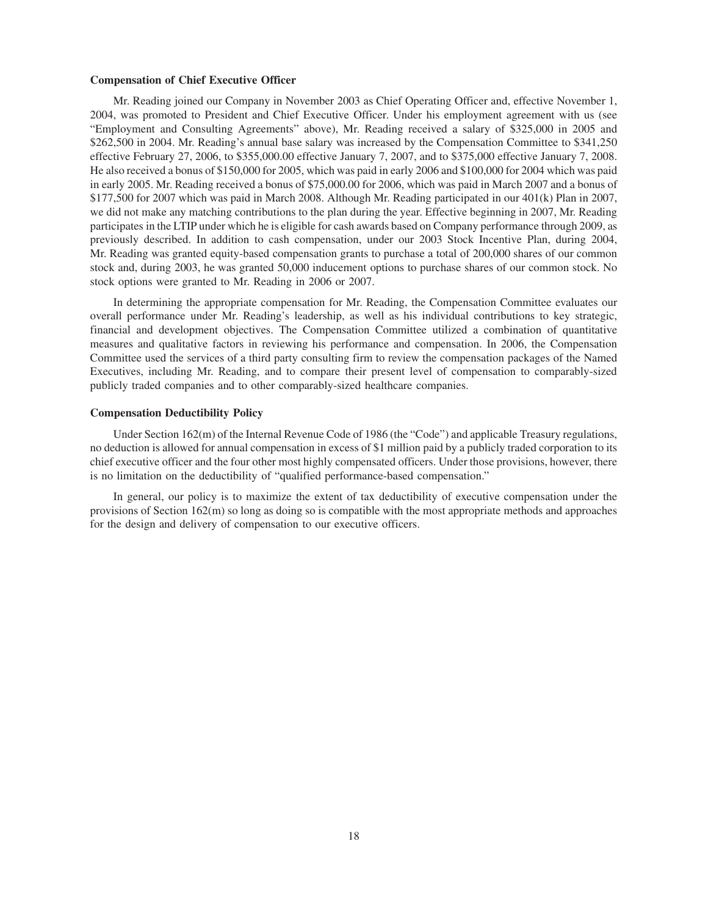#### **Compensation of Chief Executive Officer**

Mr. Reading joined our Company in November 2003 as Chief Operating Officer and, effective November 1, 2004, was promoted to President and Chief Executive Officer. Under his employment agreement with us (see "Employment and Consulting Agreements" above), Mr. Reading received a salary of \$325,000 in 2005 and \$262,500 in 2004. Mr. Reading's annual base salary was increased by the Compensation Committee to \$341,250 effective February 27, 2006, to \$355,000.00 effective January 7, 2007, and to \$375,000 effective January 7, 2008. He also received a bonus of \$150,000 for 2005, which was paid in early 2006 and \$100,000 for 2004 which was paid in early 2005. Mr. Reading received a bonus of \$75,000.00 for 2006, which was paid in March 2007 and a bonus of \$177,500 for 2007 which was paid in March 2008. Although Mr. Reading participated in our 401(k) Plan in 2007, we did not make any matching contributions to the plan during the year. Effective beginning in 2007, Mr. Reading participates in the LTIP under which he is eligible for cash awards based on Company performance through 2009, as previously described. In addition to cash compensation, under our 2003 Stock Incentive Plan, during 2004, Mr. Reading was granted equity-based compensation grants to purchase a total of 200,000 shares of our common stock and, during 2003, he was granted 50,000 inducement options to purchase shares of our common stock. No stock options were granted to Mr. Reading in 2006 or 2007.

In determining the appropriate compensation for Mr. Reading, the Compensation Committee evaluates our overall performance under Mr. Reading's leadership, as well as his individual contributions to key strategic, financial and development objectives. The Compensation Committee utilized a combination of quantitative measures and qualitative factors in reviewing his performance and compensation. In 2006, the Compensation Committee used the services of a third party consulting firm to review the compensation packages of the Named Executives, including Mr. Reading, and to compare their present level of compensation to comparably-sized publicly traded companies and to other comparably-sized healthcare companies.

#### **Compensation Deductibility Policy**

Under Section 162(m) of the Internal Revenue Code of 1986 (the "Code") and applicable Treasury regulations, no deduction is allowed for annual compensation in excess of \$1 million paid by a publicly traded corporation to its chief executive officer and the four other most highly compensated officers. Under those provisions, however, there is no limitation on the deductibility of "qualified performance-based compensation."

In general, our policy is to maximize the extent of tax deductibility of executive compensation under the provisions of Section 162(m) so long as doing so is compatible with the most appropriate methods and approaches for the design and delivery of compensation to our executive officers.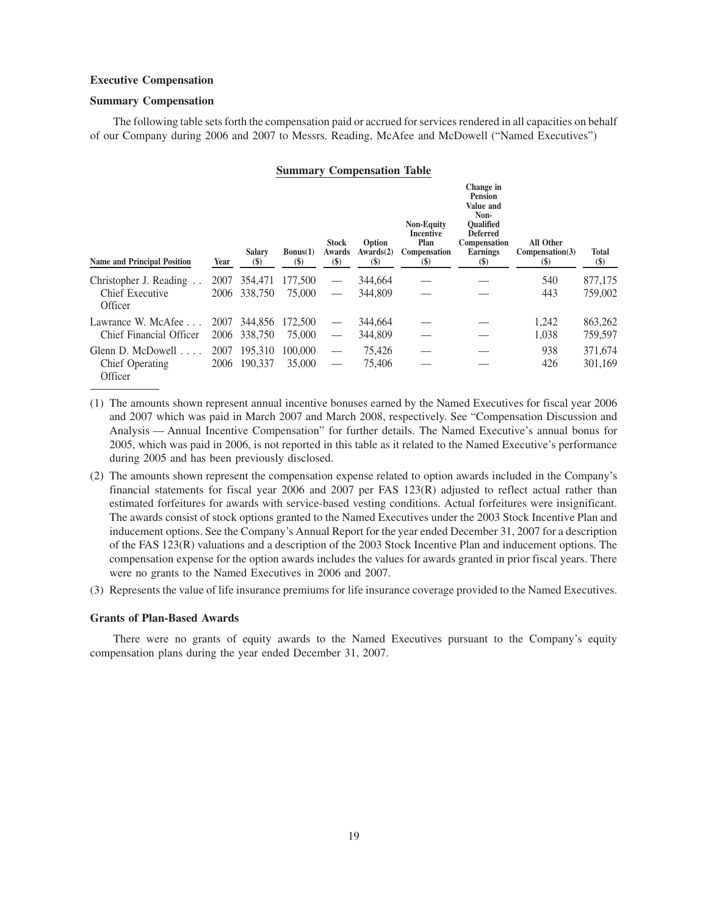# **Executive Compensation**

### **Summary Compensation**

The following table sets forth the compensation paid or accrued for services rendered in all capacities on behalf of our Company during 2006 and 2007 to Messrs. Reading, McAfee and McDowell ("Named Executives")

#### **Summary Compensation Table**

| <b>Name and Principal Position</b>                                | Year         | Salary<br>$\left( \mathbb{S}\right)$ | Bonus(1)<br>$(\$)$ | <b>Stock</b><br>Awards<br>$\left( \mathbb{S}\right)$ | Option<br>Awards(2)<br>$(\$)$ | <b>Non-Equity</b><br>Incentive<br>Plan<br>Compensation<br>$\left( \mathbb{S}\right)$ | Change in<br><b>Pension</b><br>Value and<br>Non-<br><b>Oualified</b><br><b>Deferred</b><br>Compensation<br><b>Earnings</b><br>$\left( \mathbb{S}\right)$ | All Other<br>Compensation(3)<br>(S) | <b>Total</b><br>\$) |
|-------------------------------------------------------------------|--------------|--------------------------------------|--------------------|------------------------------------------------------|-------------------------------|--------------------------------------------------------------------------------------|----------------------------------------------------------------------------------------------------------------------------------------------------------|-------------------------------------|---------------------|
| Christopher J. Reading<br>Chief Executive<br>Officer              | 2007<br>2006 | 354,471<br>338,750                   | 177,500<br>75,000  |                                                      | 344,664<br>344,809            |                                                                                      |                                                                                                                                                          | 540<br>443                          | 877,175<br>759,002  |
| Lawrance W. McAfee<br>Chief Financial Officer                     | 2007<br>2006 | 344,856<br>338,750                   | 172,500<br>75,000  |                                                      | 344,664<br>344,809            |                                                                                      |                                                                                                                                                          | 1.242<br>1,038                      | 863,262<br>759,597  |
| Glenn D. McDowell $\ldots$ .<br><b>Chief Operating</b><br>Officer | 2007<br>2006 | 195,310<br>190.337                   | 100,000<br>35,000  |                                                      | 75.426<br>75.406              |                                                                                      |                                                                                                                                                          | 938<br>426                          | 371,674<br>301,169  |

- (1) The amounts shown represent annual incentive bonuses earned by the Named Executives for fiscal year 2006 and 2007 which was paid in March 2007 and March 2008, respectively. See "Compensation Discussion and Analysis — Annual Incentive Compensation" for further details. The Named Executive's annual bonus for 2005, which was paid in 2006, is not reported in this table as it related to the Named Executive's performance during 2005 and has been previously disclosed.
- (2) The amounts shown represent the compensation expense related to option awards included in the Company's financial statements for fiscal year 2006 and 2007 per FAS 123(R) adjusted to reflect actual rather than estimated forfeitures for awards with service-based vesting conditions. Actual forfeitures were insignificant. The awards consist of stock options granted to the Named Executives under the 2003 Stock Incentive Plan and inducement options. See the Company's Annual Report for the year ended December 31, 2007 for a description of the FAS 123(R) valuations and a description of the 2003 Stock Incentive Plan and inducement options. The compensation expense for the option awards includes the values for awards granted in prior fiscal years. There were no grants to the Named Executives in 2006 and 2007.
- (3) Represents the value of life insurance premiums for life insurance coverage provided to the Named Executives.

# **Grants of Plan-Based Awards**

There were no grants of equity awards to the Named Executives pursuant to the Company's equity compensation plans during the year ended December 31, 2007.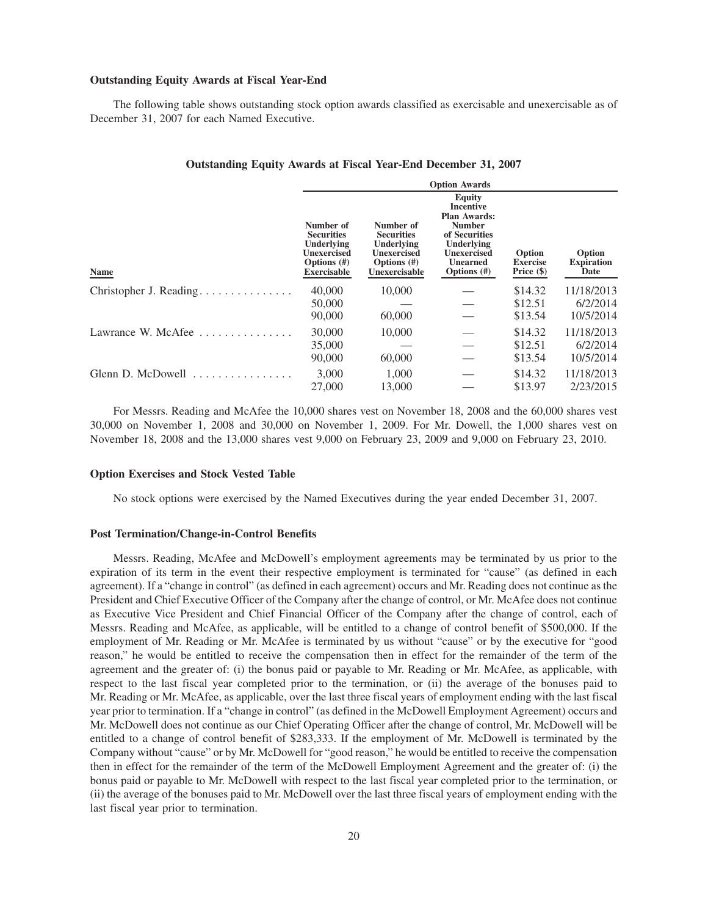#### **Outstanding Equity Awards at Fiscal Year-End**

The following table shows outstanding stock option awards classified as exercisable and unexercisable as of December 31, 2007 for each Named Executive.

| Outstanding Equity Awards at Fiscal Year-End December 31, 2007 |  |
|----------------------------------------------------------------|--|
|----------------------------------------------------------------|--|

|                         | <b>Option Awards</b>                                                                                |                                                                                                       |                                                                                                                                                              |                                         |                                     |  |  |
|-------------------------|-----------------------------------------------------------------------------------------------------|-------------------------------------------------------------------------------------------------------|--------------------------------------------------------------------------------------------------------------------------------------------------------------|-----------------------------------------|-------------------------------------|--|--|
| <b>Name</b>             | Number of<br><b>Securities</b><br>Underlying<br>Unexercised<br>Options $(\#)$<br><b>Exercisable</b> | Number of<br><b>Securities</b><br>Underlying<br><b>Unexercised</b><br>Options $(\#)$<br>Unexercisable | <b>Equity</b><br><b>Incentive</b><br><b>Plan Awards:</b><br><b>Number</b><br>of Securities<br>Underlying<br>Unexercised<br><b>Unearned</b><br>Options $(\#)$ | Option<br><b>Exercise</b><br>Price (\$) | Option<br><b>Expiration</b><br>Date |  |  |
| Christopher J. Reading  | 40,000                                                                                              | 10,000                                                                                                |                                                                                                                                                              | \$14.32                                 | 11/18/2013                          |  |  |
|                         | 50,000                                                                                              |                                                                                                       |                                                                                                                                                              | \$12.51                                 | 6/2/2014                            |  |  |
|                         | 90,000                                                                                              | 60,000                                                                                                |                                                                                                                                                              | \$13.54                                 | 10/5/2014                           |  |  |
| Lawrance W. McAfee<br>. | 30,000                                                                                              | 10,000                                                                                                |                                                                                                                                                              | \$14.32                                 | 11/18/2013                          |  |  |
|                         | 35,000                                                                                              |                                                                                                       |                                                                                                                                                              | \$12.51                                 | 6/2/2014                            |  |  |
|                         | 90,000                                                                                              | 60,000                                                                                                |                                                                                                                                                              | \$13.54                                 | 10/5/2014                           |  |  |
| Glenn D. McDowell<br>.  | 3.000                                                                                               | 1.000                                                                                                 |                                                                                                                                                              | \$14.32                                 | 11/18/2013                          |  |  |
|                         | 27,000                                                                                              | 13,000                                                                                                |                                                                                                                                                              | \$13.97                                 | 2/23/2015                           |  |  |

For Messrs. Reading and McAfee the 10,000 shares vest on November 18, 2008 and the 60,000 shares vest 30,000 on November 1, 2008 and 30,000 on November 1, 2009. For Mr. Dowell, the 1,000 shares vest on November 18, 2008 and the 13,000 shares vest 9,000 on February 23, 2009 and 9,000 on February 23, 2010.

### **Option Exercises and Stock Vested Table**

No stock options were exercised by the Named Executives during the year ended December 31, 2007.

### **Post Termination/Change-in-Control Benefits**

Messrs. Reading, McAfee and McDowell's employment agreements may be terminated by us prior to the expiration of its term in the event their respective employment is terminated for "cause" (as defined in each agreement). If a "change in control" (as defined in each agreement) occurs and Mr. Reading does not continue as the President and Chief Executive Officer of the Company after the change of control, or Mr. McAfee does not continue as Executive Vice President and Chief Financial Officer of the Company after the change of control, each of Messrs. Reading and McAfee, as applicable, will be entitled to a change of control benefit of \$500,000. If the employment of Mr. Reading or Mr. McAfee is terminated by us without "cause" or by the executive for "good reason," he would be entitled to receive the compensation then in effect for the remainder of the term of the agreement and the greater of: (i) the bonus paid or payable to Mr. Reading or Mr. McAfee, as applicable, with respect to the last fiscal year completed prior to the termination, or (ii) the average of the bonuses paid to Mr. Reading or Mr. McAfee, as applicable, over the last three fiscal years of employment ending with the last fiscal year prior to termination. If a "change in control" (as defined in the McDowell Employment Agreement) occurs and Mr. McDowell does not continue as our Chief Operating Officer after the change of control, Mr. McDowell will be entitled to a change of control benefit of \$283,333. If the employment of Mr. McDowell is terminated by the Company without "cause" or by Mr. McDowell for "good reason," he would be entitled to receive the compensation then in effect for the remainder of the term of the McDowell Employment Agreement and the greater of: (i) the bonus paid or payable to Mr. McDowell with respect to the last fiscal year completed prior to the termination, or (ii) the average of the bonuses paid to Mr. McDowell over the last three fiscal years of employment ending with the last fiscal year prior to termination.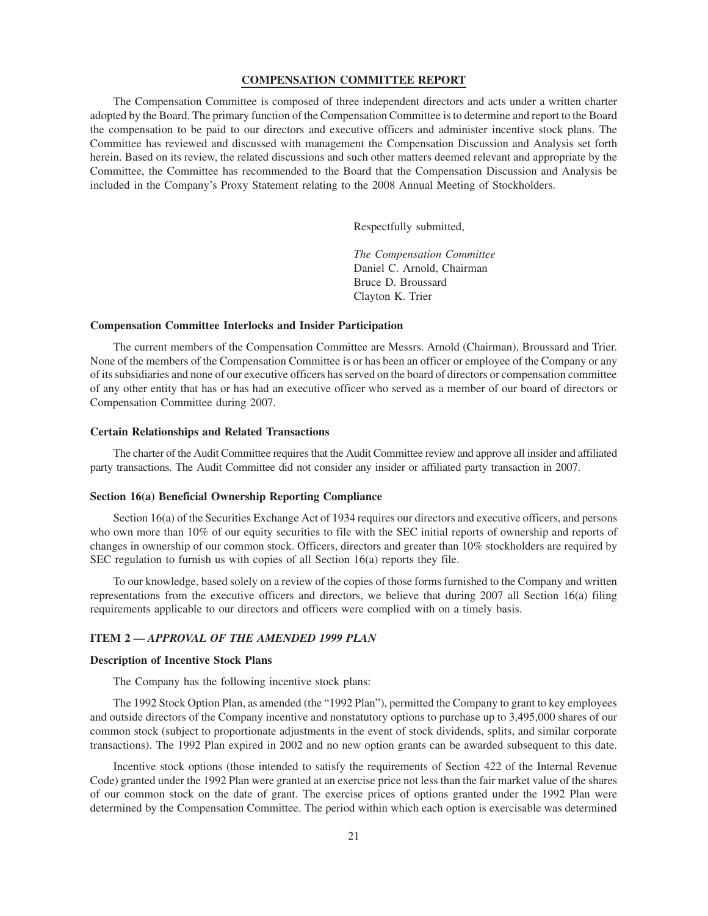# **COMPENSATION COMMITTEE REPORT**

The Compensation Committee is composed of three independent directors and acts under a written charter adopted by the Board. The primary function of the Compensation Committee is to determine and report to the Board the compensation to be paid to our directors and executive officers and administer incentive stock plans. The Committee has reviewed and discussed with management the Compensation Discussion and Analysis set forth herein. Based on its review, the related discussions and such other matters deemed relevant and appropriate by the Committee, the Committee has recommended to the Board that the Compensation Discussion and Analysis be included in the Company's Proxy Statement relating to the 2008 Annual Meeting of Stockholders.

Respectfully submitted,

*The Compensation Committee* Daniel C. Arnold, Chairman Bruce D. Broussard Clayton K. Trier

#### **Compensation Committee Interlocks and Insider Participation**

The current members of the Compensation Committee are Messrs. Arnold (Chairman), Broussard and Trier. None of the members of the Compensation Committee is or has been an officer or employee of the Company or any of its subsidiaries and none of our executive officers has served on the board of directors or compensation committee of any other entity that has or has had an executive officer who served as a member of our board of directors or Compensation Committee during 2007.

### **Certain Relationships and Related Transactions**

The charter of the Audit Committee requires that the Audit Committee review and approve all insider and affiliated party transactions. The Audit Committee did not consider any insider or affiliated party transaction in 2007.

# **Section 16(a) Beneficial Ownership Reporting Compliance**

Section 16(a) of the Securities Exchange Act of 1934 requires our directors and executive officers, and persons who own more than 10% of our equity securities to file with the SEC initial reports of ownership and reports of changes in ownership of our common stock. Officers, directors and greater than 10% stockholders are required by SEC regulation to furnish us with copies of all Section 16(a) reports they file.

To our knowledge, based solely on a review of the copies of those forms furnished to the Company and written representations from the executive officers and directors, we believe that during 2007 all Section 16(a) filing requirements applicable to our directors and officers were complied with on a timely basis.

# **ITEM 2 —** *APPROVAL OF THE AMENDED 1999 PLAN*

### **Description of Incentive Stock Plans**

The Company has the following incentive stock plans:

The 1992 Stock Option Plan, as amended (the "1992 Plan"), permitted the Company to grant to key employees and outside directors of the Company incentive and nonstatutory options to purchase up to 3,495,000 shares of our common stock (subject to proportionate adjustments in the event of stock dividends, splits, and similar corporate transactions). The 1992 Plan expired in 2002 and no new option grants can be awarded subsequent to this date.

Incentive stock options (those intended to satisfy the requirements of Section 422 of the Internal Revenue Code) granted under the 1992 Plan were granted at an exercise price not less than the fair market value of the shares of our common stock on the date of grant. The exercise prices of options granted under the 1992 Plan were determined by the Compensation Committee. The period within which each option is exercisable was determined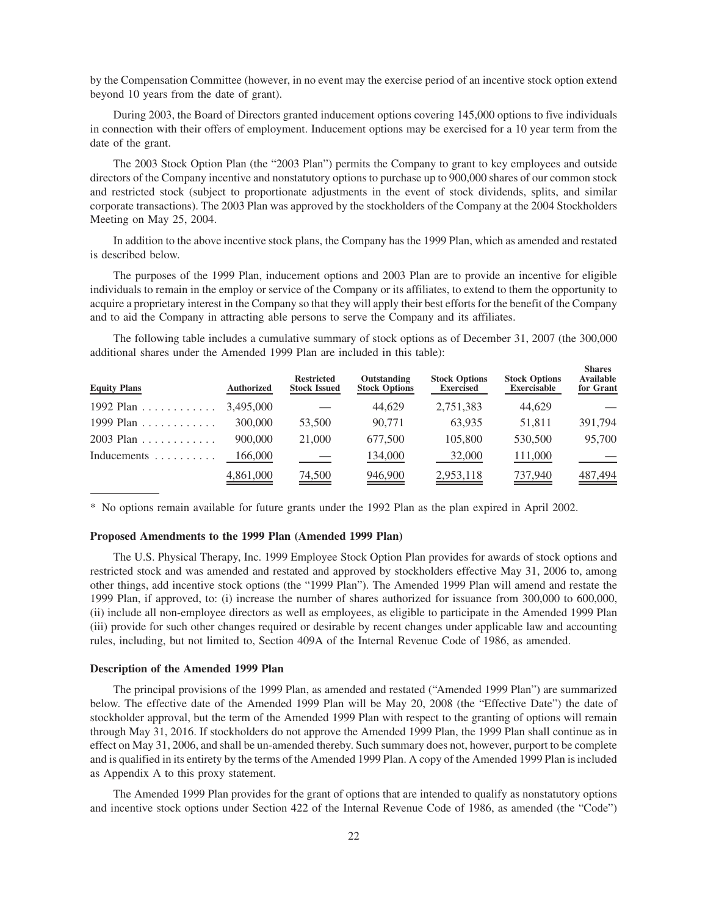by the Compensation Committee (however, in no event may the exercise period of an incentive stock option extend beyond 10 years from the date of grant).

During 2003, the Board of Directors granted inducement options covering 145,000 options to five individuals in connection with their offers of employment. Inducement options may be exercised for a 10 year term from the date of the grant.

The 2003 Stock Option Plan (the "2003 Plan") permits the Company to grant to key employees and outside directors of the Company incentive and nonstatutory options to purchase up to 900,000 shares of our common stock and restricted stock (subject to proportionate adjustments in the event of stock dividends, splits, and similar corporate transactions). The 2003 Plan was approved by the stockholders of the Company at the 2004 Stockholders Meeting on May 25, 2004.

In addition to the above incentive stock plans, the Company has the 1999 Plan, which as amended and restated is described below.

The purposes of the 1999 Plan, inducement options and 2003 Plan are to provide an incentive for eligible individuals to remain in the employ or service of the Company or its affiliates, to extend to them the opportunity to acquire a proprietary interest in the Company so that they will apply their best efforts for the benefit of the Company and to aid the Company in attracting able persons to serve the Company and its affiliates.

The following table includes a cumulative summary of stock options as of December 31, 2007 (the 300,000 additional shares under the Amended 1999 Plan are included in this table):

**Shares**

| <b>Equity Plans</b>              | <b>Authorized</b> | <b>Restricted</b><br><b>Stock Issued</b> | Outstanding<br><b>Stock Options</b> | <b>Stock Options</b><br><b>Exercised</b> | <b>Stock Options</b><br><b>Exercisable</b> | энаг сэ<br><b>Available</b><br>for Grant |
|----------------------------------|-------------------|------------------------------------------|-------------------------------------|------------------------------------------|--------------------------------------------|------------------------------------------|
| 1992 Plan $\ldots \ldots \ldots$ | 3.495,000         |                                          | 44,629                              | 2,751,383                                | 44,629                                     |                                          |
| 1999 Plan $\ldots \ldots \ldots$ | 300,000           | 53,500                                   | 90,771                              | 63.935                                   | 51,811                                     | 391,794                                  |
| $2003$ Plan                      | 900,000           | 21,000                                   | 677,500                             | 105,800                                  | 530,500                                    | 95,700                                   |
| Inducements                      | 166,000           |                                          | 134,000                             | 32,000                                   | 111,000                                    |                                          |
|                                  | 4,861,000         | $\frac{74,500}{2}$                       | 946,900                             | 2,953,118                                | 737,940                                    | $\frac{487,494}{2}$                      |

\* No options remain available for future grants under the 1992 Plan as the plan expired in April 2002.

#### **Proposed Amendments to the 1999 Plan (Amended 1999 Plan)**

The U.S. Physical Therapy, Inc. 1999 Employee Stock Option Plan provides for awards of stock options and restricted stock and was amended and restated and approved by stockholders effective May 31, 2006 to, among other things, add incentive stock options (the "1999 Plan"). The Amended 1999 Plan will amend and restate the 1999 Plan, if approved, to: (i) increase the number of shares authorized for issuance from 300,000 to 600,000, (ii) include all non-employee directors as well as employees, as eligible to participate in the Amended 1999 Plan (iii) provide for such other changes required or desirable by recent changes under applicable law and accounting rules, including, but not limited to, Section 409A of the Internal Revenue Code of 1986, as amended.

### **Description of the Amended 1999 Plan**

The principal provisions of the 1999 Plan, as amended and restated ("Amended 1999 Plan") are summarized below. The effective date of the Amended 1999 Plan will be May 20, 2008 (the "Effective Date") the date of stockholder approval, but the term of the Amended 1999 Plan with respect to the granting of options will remain through May 31, 2016. If stockholders do not approve the Amended 1999 Plan, the 1999 Plan shall continue as in effect on May 31, 2006, and shall be un-amended thereby. Such summary does not, however, purport to be complete and is qualified in its entirety by the terms of the Amended 1999 Plan. A copy of the Amended 1999 Plan is included as Appendix A to this proxy statement.

The Amended 1999 Plan provides for the grant of options that are intended to qualify as nonstatutory options and incentive stock options under Section 422 of the Internal Revenue Code of 1986, as amended (the "Code")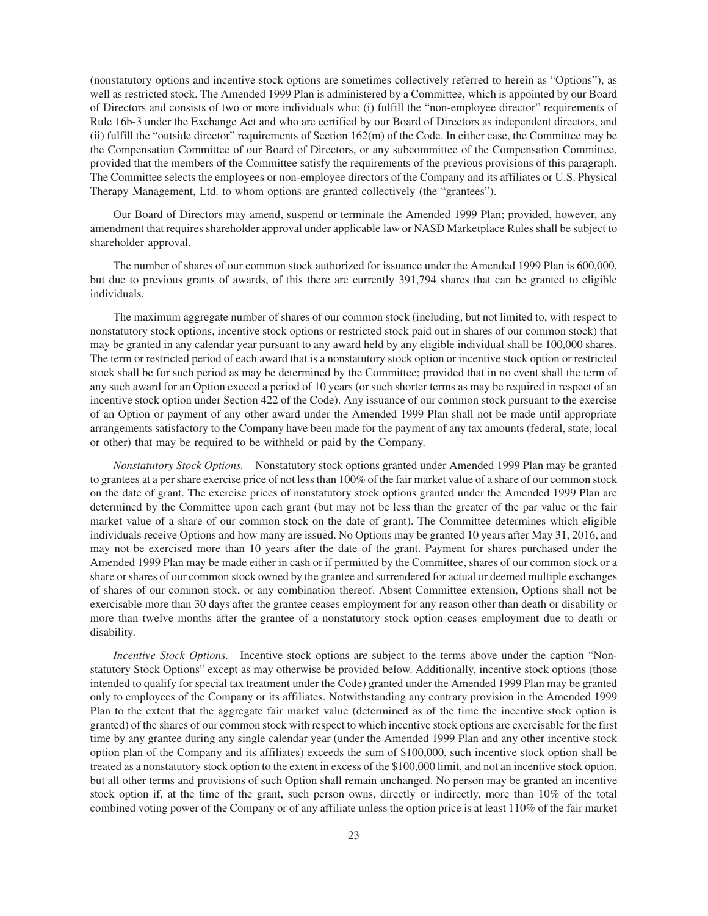(nonstatutory options and incentive stock options are sometimes collectively referred to herein as "Options"), as well as restricted stock. The Amended 1999 Plan is administered by a Committee, which is appointed by our Board of Directors and consists of two or more individuals who: (i) fulfill the "non-employee director" requirements of Rule 16b-3 under the Exchange Act and who are certified by our Board of Directors as independent directors, and (ii) fulfill the "outside director" requirements of Section  $162(m)$  of the Code. In either case, the Committee may be the Compensation Committee of our Board of Directors, or any subcommittee of the Compensation Committee, provided that the members of the Committee satisfy the requirements of the previous provisions of this paragraph. The Committee selects the employees or non-employee directors of the Company and its affiliates or U.S. Physical Therapy Management, Ltd. to whom options are granted collectively (the "grantees").

Our Board of Directors may amend, suspend or terminate the Amended 1999 Plan; provided, however, any amendment that requires shareholder approval under applicable law or NASD Marketplace Rules shall be subject to shareholder approval.

The number of shares of our common stock authorized for issuance under the Amended 1999 Plan is 600,000, but due to previous grants of awards, of this there are currently 391,794 shares that can be granted to eligible individuals.

The maximum aggregate number of shares of our common stock (including, but not limited to, with respect to nonstatutory stock options, incentive stock options or restricted stock paid out in shares of our common stock) that may be granted in any calendar year pursuant to any award held by any eligible individual shall be 100,000 shares. The term or restricted period of each award that is a nonstatutory stock option or incentive stock option or restricted stock shall be for such period as may be determined by the Committee; provided that in no event shall the term of any such award for an Option exceed a period of 10 years (or such shorter terms as may be required in respect of an incentive stock option under Section 422 of the Code). Any issuance of our common stock pursuant to the exercise of an Option or payment of any other award under the Amended 1999 Plan shall not be made until appropriate arrangements satisfactory to the Company have been made for the payment of any tax amounts (federal, state, local or other) that may be required to be withheld or paid by the Company.

*Nonstatutory Stock Options.* Nonstatutory stock options granted under Amended 1999 Plan may be granted to grantees at a per share exercise price of not less than 100% of the fair market value of a share of our common stock on the date of grant. The exercise prices of nonstatutory stock options granted under the Amended 1999 Plan are determined by the Committee upon each grant (but may not be less than the greater of the par value or the fair market value of a share of our common stock on the date of grant). The Committee determines which eligible individuals receive Options and how many are issued. No Options may be granted 10 years after May 31, 2016, and may not be exercised more than 10 years after the date of the grant. Payment for shares purchased under the Amended 1999 Plan may be made either in cash or if permitted by the Committee, shares of our common stock or a share or shares of our common stock owned by the grantee and surrendered for actual or deemed multiple exchanges of shares of our common stock, or any combination thereof. Absent Committee extension, Options shall not be exercisable more than 30 days after the grantee ceases employment for any reason other than death or disability or more than twelve months after the grantee of a nonstatutory stock option ceases employment due to death or disability.

*Incentive Stock Options.* Incentive stock options are subject to the terms above under the caption "Nonstatutory Stock Options" except as may otherwise be provided below. Additionally, incentive stock options (those intended to qualify for special tax treatment under the Code) granted under the Amended 1999 Plan may be granted only to employees of the Company or its affiliates. Notwithstanding any contrary provision in the Amended 1999 Plan to the extent that the aggregate fair market value (determined as of the time the incentive stock option is granted) of the shares of our common stock with respect to which incentive stock options are exercisable for the first time by any grantee during any single calendar year (under the Amended 1999 Plan and any other incentive stock option plan of the Company and its affiliates) exceeds the sum of \$100,000, such incentive stock option shall be treated as a nonstatutory stock option to the extent in excess of the \$100,000 limit, and not an incentive stock option, but all other terms and provisions of such Option shall remain unchanged. No person may be granted an incentive stock option if, at the time of the grant, such person owns, directly or indirectly, more than 10% of the total combined voting power of the Company or of any affiliate unless the option price is at least 110% of the fair market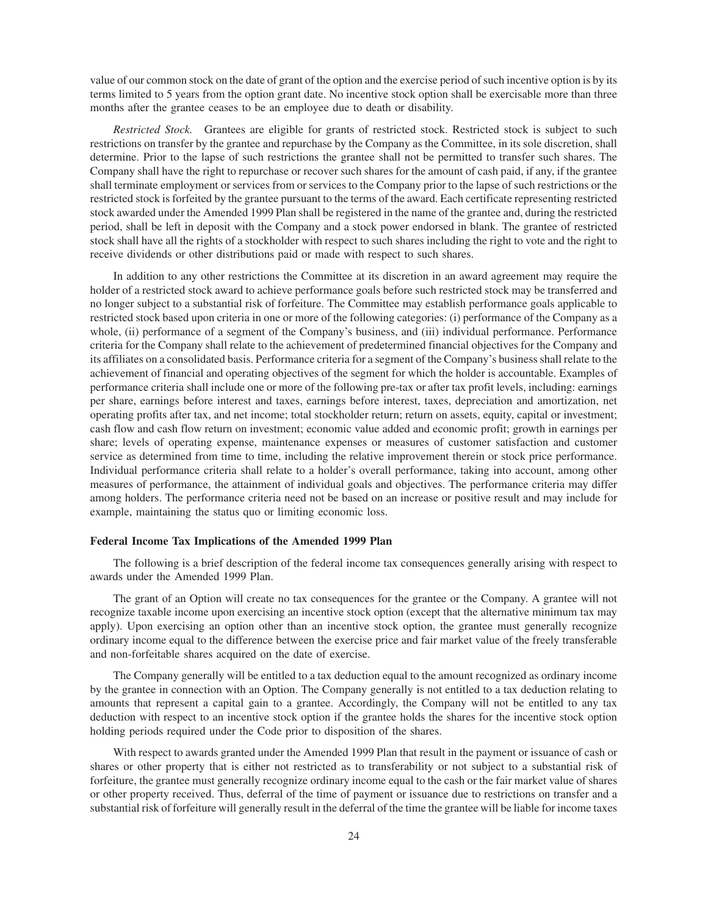value of our common stock on the date of grant of the option and the exercise period of such incentive option is by its terms limited to 5 years from the option grant date. No incentive stock option shall be exercisable more than three months after the grantee ceases to be an employee due to death or disability.

*Restricted Stock.* Grantees are eligible for grants of restricted stock. Restricted stock is subject to such restrictions on transfer by the grantee and repurchase by the Company as the Committee, in its sole discretion, shall determine. Prior to the lapse of such restrictions the grantee shall not be permitted to transfer such shares. The Company shall have the right to repurchase or recover such shares for the amount of cash paid, if any, if the grantee shall terminate employment or services from or services to the Company prior to the lapse of such restrictions or the restricted stock is forfeited by the grantee pursuant to the terms of the award. Each certificate representing restricted stock awarded under the Amended 1999 Plan shall be registered in the name of the grantee and, during the restricted period, shall be left in deposit with the Company and a stock power endorsed in blank. The grantee of restricted stock shall have all the rights of a stockholder with respect to such shares including the right to vote and the right to receive dividends or other distributions paid or made with respect to such shares.

In addition to any other restrictions the Committee at its discretion in an award agreement may require the holder of a restricted stock award to achieve performance goals before such restricted stock may be transferred and no longer subject to a substantial risk of forfeiture. The Committee may establish performance goals applicable to restricted stock based upon criteria in one or more of the following categories: (i) performance of the Company as a whole, (ii) performance of a segment of the Company's business, and (iii) individual performance. Performance criteria for the Company shall relate to the achievement of predetermined financial objectives for the Company and its affiliates on a consolidated basis. Performance criteria for a segment of the Company's business shall relate to the achievement of financial and operating objectives of the segment for which the holder is accountable. Examples of performance criteria shall include one or more of the following pre-tax or after tax profit levels, including: earnings per share, earnings before interest and taxes, earnings before interest, taxes, depreciation and amortization, net operating profits after tax, and net income; total stockholder return; return on assets, equity, capital or investment; cash flow and cash flow return on investment; economic value added and economic profit; growth in earnings per share; levels of operating expense, maintenance expenses or measures of customer satisfaction and customer service as determined from time to time, including the relative improvement therein or stock price performance. Individual performance criteria shall relate to a holder's overall performance, taking into account, among other measures of performance, the attainment of individual goals and objectives. The performance criteria may differ among holders. The performance criteria need not be based on an increase or positive result and may include for example, maintaining the status quo or limiting economic loss.

# **Federal Income Tax Implications of the Amended 1999 Plan**

The following is a brief description of the federal income tax consequences generally arising with respect to awards under the Amended 1999 Plan.

The grant of an Option will create no tax consequences for the grantee or the Company. A grantee will not recognize taxable income upon exercising an incentive stock option (except that the alternative minimum tax may apply). Upon exercising an option other than an incentive stock option, the grantee must generally recognize ordinary income equal to the difference between the exercise price and fair market value of the freely transferable and non-forfeitable shares acquired on the date of exercise.

The Company generally will be entitled to a tax deduction equal to the amount recognized as ordinary income by the grantee in connection with an Option. The Company generally is not entitled to a tax deduction relating to amounts that represent a capital gain to a grantee. Accordingly, the Company will not be entitled to any tax deduction with respect to an incentive stock option if the grantee holds the shares for the incentive stock option holding periods required under the Code prior to disposition of the shares.

With respect to awards granted under the Amended 1999 Plan that result in the payment or issuance of cash or shares or other property that is either not restricted as to transferability or not subject to a substantial risk of forfeiture, the grantee must generally recognize ordinary income equal to the cash or the fair market value of shares or other property received. Thus, deferral of the time of payment or issuance due to restrictions on transfer and a substantial risk of forfeiture will generally result in the deferral of the time the grantee will be liable for income taxes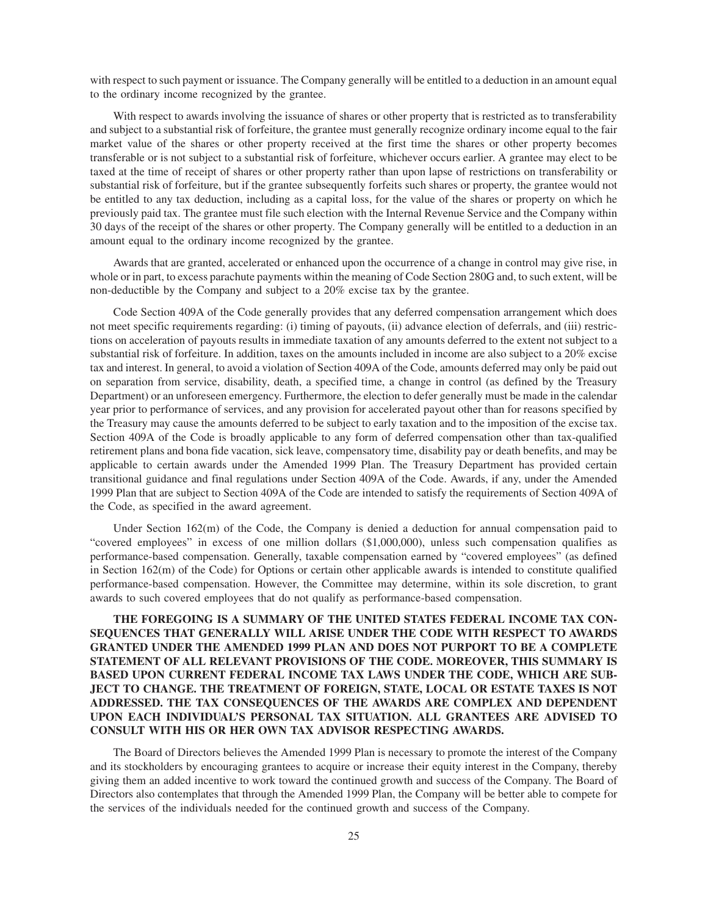with respect to such payment or issuance. The Company generally will be entitled to a deduction in an amount equal to the ordinary income recognized by the grantee.

With respect to awards involving the issuance of shares or other property that is restricted as to transferability and subject to a substantial risk of forfeiture, the grantee must generally recognize ordinary income equal to the fair market value of the shares or other property received at the first time the shares or other property becomes transferable or is not subject to a substantial risk of forfeiture, whichever occurs earlier. A grantee may elect to be taxed at the time of receipt of shares or other property rather than upon lapse of restrictions on transferability or substantial risk of forfeiture, but if the grantee subsequently forfeits such shares or property, the grantee would not be entitled to any tax deduction, including as a capital loss, for the value of the shares or property on which he previously paid tax. The grantee must file such election with the Internal Revenue Service and the Company within 30 days of the receipt of the shares or other property. The Company generally will be entitled to a deduction in an amount equal to the ordinary income recognized by the grantee.

Awards that are granted, accelerated or enhanced upon the occurrence of a change in control may give rise, in whole or in part, to excess parachute payments within the meaning of Code Section 280G and, to such extent, will be non-deductible by the Company and subject to a 20% excise tax by the grantee.

Code Section 409A of the Code generally provides that any deferred compensation arrangement which does not meet specific requirements regarding: (i) timing of payouts, (ii) advance election of deferrals, and (iii) restrictions on acceleration of payouts results in immediate taxation of any amounts deferred to the extent not subject to a substantial risk of forfeiture. In addition, taxes on the amounts included in income are also subject to a 20% excise tax and interest. In general, to avoid a violation of Section 409A of the Code, amounts deferred may only be paid out on separation from service, disability, death, a specified time, a change in control (as defined by the Treasury Department) or an unforeseen emergency. Furthermore, the election to defer generally must be made in the calendar year prior to performance of services, and any provision for accelerated payout other than for reasons specified by the Treasury may cause the amounts deferred to be subject to early taxation and to the imposition of the excise tax. Section 409A of the Code is broadly applicable to any form of deferred compensation other than tax-qualified retirement plans and bona fide vacation, sick leave, compensatory time, disability pay or death benefits, and may be applicable to certain awards under the Amended 1999 Plan. The Treasury Department has provided certain transitional guidance and final regulations under Section 409A of the Code. Awards, if any, under the Amended 1999 Plan that are subject to Section 409A of the Code are intended to satisfy the requirements of Section 409A of the Code, as specified in the award agreement.

Under Section 162(m) of the Code, the Company is denied a deduction for annual compensation paid to "covered employees" in excess of one million dollars (\$1,000,000), unless such compensation qualifies as performance-based compensation. Generally, taxable compensation earned by "covered employees" (as defined in Section 162(m) of the Code) for Options or certain other applicable awards is intended to constitute qualified performance-based compensation. However, the Committee may determine, within its sole discretion, to grant awards to such covered employees that do not qualify as performance-based compensation.

**THE FOREGOING IS A SUMMARY OF THE UNITED STATES FEDERAL INCOME TAX CON-SEQUENCES THAT GENERALLY WILL ARISE UNDER THE CODE WITH RESPECT TO AWARDS GRANTED UNDER THE AMENDED 1999 PLAN AND DOES NOT PURPORT TO BE A COMPLETE STATEMENT OF ALL RELEVANT PROVISIONS OF THE CODE. MOREOVER, THIS SUMMARY IS BASED UPON CURRENT FEDERAL INCOME TAX LAWS UNDER THE CODE, WHICH ARE SUB-JECT TO CHANGE. THE TREATMENT OF FOREIGN, STATE, LOCAL OR ESTATE TAXES IS NOT ADDRESSED. THE TAX CONSEQUENCES OF THE AWARDS ARE COMPLEX AND DEPENDENT UPON EACH INDIVIDUAL'S PERSONAL TAX SITUATION. ALL GRANTEES ARE ADVISED TO CONSULT WITH HIS OR HER OWN TAX ADVISOR RESPECTING AWARDS.**

The Board of Directors believes the Amended 1999 Plan is necessary to promote the interest of the Company and its stockholders by encouraging grantees to acquire or increase their equity interest in the Company, thereby giving them an added incentive to work toward the continued growth and success of the Company. The Board of Directors also contemplates that through the Amended 1999 Plan, the Company will be better able to compete for the services of the individuals needed for the continued growth and success of the Company.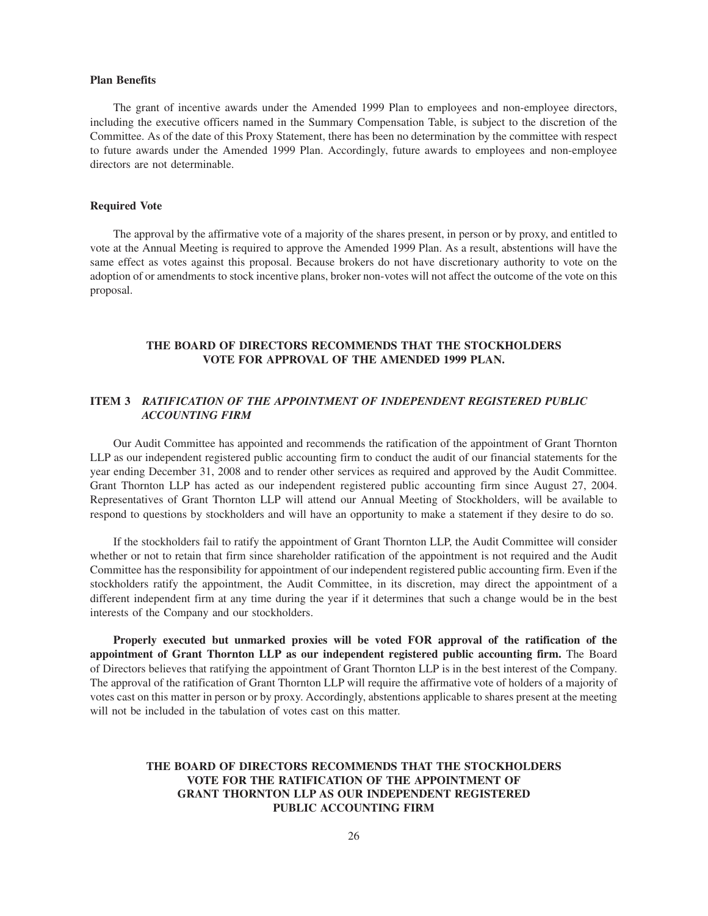# **Plan Benefits**

The grant of incentive awards under the Amended 1999 Plan to employees and non-employee directors, including the executive officers named in the Summary Compensation Table, is subject to the discretion of the Committee. As of the date of this Proxy Statement, there has been no determination by the committee with respect to future awards under the Amended 1999 Plan. Accordingly, future awards to employees and non-employee directors are not determinable.

# **Required Vote**

The approval by the affirmative vote of a majority of the shares present, in person or by proxy, and entitled to vote at the Annual Meeting is required to approve the Amended 1999 Plan. As a result, abstentions will have the same effect as votes against this proposal. Because brokers do not have discretionary authority to vote on the adoption of or amendments to stock incentive plans, broker non-votes will not affect the outcome of the vote on this proposal.

# **THE BOARD OF DIRECTORS RECOMMENDS THAT THE STOCKHOLDERS VOTE FOR APPROVAL OF THE AMENDED 1999 PLAN.**

# **ITEM 3** *RATIFICATION OF THE APPOINTMENT OF INDEPENDENT REGISTERED PUBLIC ACCOUNTING FIRM*

Our Audit Committee has appointed and recommends the ratification of the appointment of Grant Thornton LLP as our independent registered public accounting firm to conduct the audit of our financial statements for the year ending December 31, 2008 and to render other services as required and approved by the Audit Committee. Grant Thornton LLP has acted as our independent registered public accounting firm since August 27, 2004. Representatives of Grant Thornton LLP will attend our Annual Meeting of Stockholders, will be available to respond to questions by stockholders and will have an opportunity to make a statement if they desire to do so.

If the stockholders fail to ratify the appointment of Grant Thornton LLP, the Audit Committee will consider whether or not to retain that firm since shareholder ratification of the appointment is not required and the Audit Committee has the responsibility for appointment of our independent registered public accounting firm. Even if the stockholders ratify the appointment, the Audit Committee, in its discretion, may direct the appointment of a different independent firm at any time during the year if it determines that such a change would be in the best interests of the Company and our stockholders.

**Properly executed but unmarked proxies will be voted FOR approval of the ratification of the appointment of Grant Thornton LLP as our independent registered public accounting firm.** The Board of Directors believes that ratifying the appointment of Grant Thornton LLP is in the best interest of the Company. The approval of the ratification of Grant Thornton LLP will require the affirmative vote of holders of a majority of votes cast on this matter in person or by proxy. Accordingly, abstentions applicable to shares present at the meeting will not be included in the tabulation of votes cast on this matter.

# **THE BOARD OF DIRECTORS RECOMMENDS THAT THE STOCKHOLDERS VOTE FOR THE RATIFICATION OF THE APPOINTMENT OF GRANT THORNTON LLP AS OUR INDEPENDENT REGISTERED PUBLIC ACCOUNTING FIRM**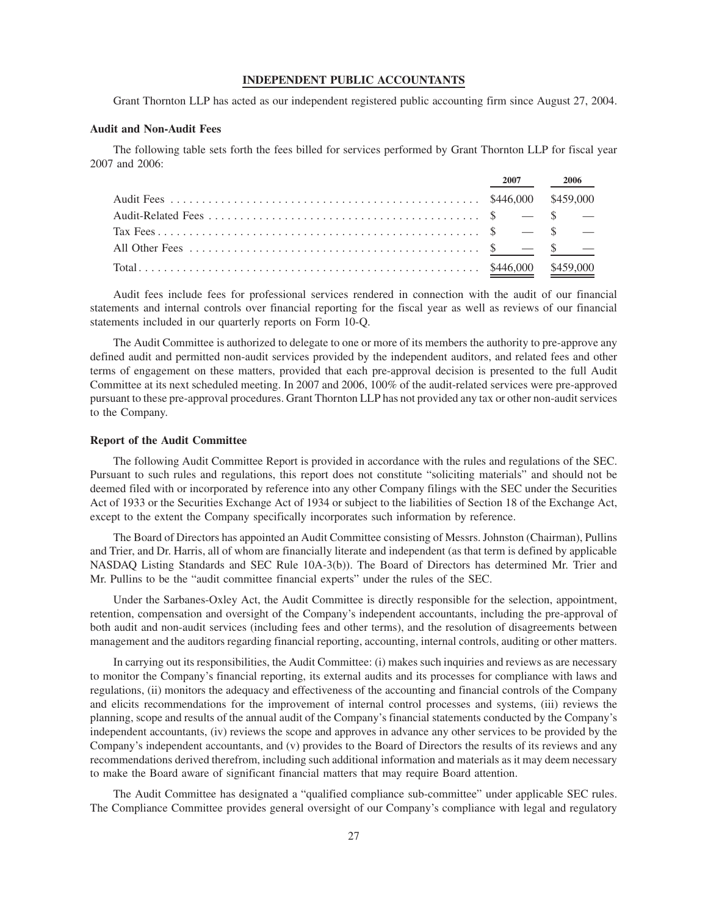# **INDEPENDENT PUBLIC ACCOUNTANTS**

Grant Thornton LLP has acted as our independent registered public accounting firm since August 27, 2004.

### **Audit and Non-Audit Fees**

The following table sets forth the fees billed for services performed by Grant Thornton LLP for fiscal year 2007 and 2006:

|  | 2007 2006 |
|--|-----------|
|  |           |
|  |           |
|  |           |
|  |           |
|  |           |

Audit fees include fees for professional services rendered in connection with the audit of our financial statements and internal controls over financial reporting for the fiscal year as well as reviews of our financial statements included in our quarterly reports on Form 10-Q.

The Audit Committee is authorized to delegate to one or more of its members the authority to pre-approve any defined audit and permitted non-audit services provided by the independent auditors, and related fees and other terms of engagement on these matters, provided that each pre-approval decision is presented to the full Audit Committee at its next scheduled meeting. In 2007 and 2006, 100% of the audit-related services were pre-approved pursuant to these pre-approval procedures. Grant Thornton LLP has not provided any tax or other non-audit services to the Company.

# **Report of the Audit Committee**

The following Audit Committee Report is provided in accordance with the rules and regulations of the SEC. Pursuant to such rules and regulations, this report does not constitute "soliciting materials" and should not be deemed filed with or incorporated by reference into any other Company filings with the SEC under the Securities Act of 1933 or the Securities Exchange Act of 1934 or subject to the liabilities of Section 18 of the Exchange Act, except to the extent the Company specifically incorporates such information by reference.

The Board of Directors has appointed an Audit Committee consisting of Messrs. Johnston (Chairman), Pullins and Trier, and Dr. Harris, all of whom are financially literate and independent (as that term is defined by applicable NASDAQ Listing Standards and SEC Rule 10A-3(b)). The Board of Directors has determined Mr. Trier and Mr. Pullins to be the "audit committee financial experts" under the rules of the SEC.

Under the Sarbanes-Oxley Act, the Audit Committee is directly responsible for the selection, appointment, retention, compensation and oversight of the Company's independent accountants, including the pre-approval of both audit and non-audit services (including fees and other terms), and the resolution of disagreements between management and the auditors regarding financial reporting, accounting, internal controls, auditing or other matters.

In carrying out its responsibilities, the Audit Committee: (i) makes such inquiries and reviews as are necessary to monitor the Company's financial reporting, its external audits and its processes for compliance with laws and regulations, (ii) monitors the adequacy and effectiveness of the accounting and financial controls of the Company and elicits recommendations for the improvement of internal control processes and systems, (iii) reviews the planning, scope and results of the annual audit of the Company's financial statements conducted by the Company's independent accountants, (iv) reviews the scope and approves in advance any other services to be provided by the Company's independent accountants, and (v) provides to the Board of Directors the results of its reviews and any recommendations derived therefrom, including such additional information and materials as it may deem necessary to make the Board aware of significant financial matters that may require Board attention.

The Audit Committee has designated a "qualified compliance sub-committee" under applicable SEC rules. The Compliance Committee provides general oversight of our Company's compliance with legal and regulatory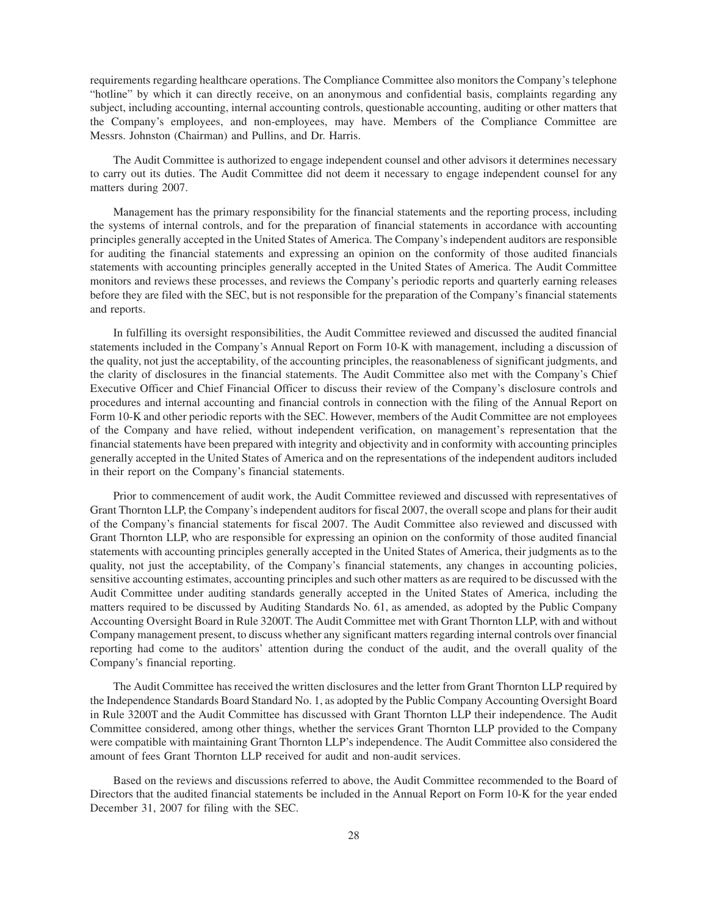requirements regarding healthcare operations. The Compliance Committee also monitors the Company's telephone "hotline" by which it can directly receive, on an anonymous and confidential basis, complaints regarding any subject, including accounting, internal accounting controls, questionable accounting, auditing or other matters that the Company's employees, and non-employees, may have. Members of the Compliance Committee are Messrs. Johnston (Chairman) and Pullins, and Dr. Harris.

The Audit Committee is authorized to engage independent counsel and other advisors it determines necessary to carry out its duties. The Audit Committee did not deem it necessary to engage independent counsel for any matters during 2007.

Management has the primary responsibility for the financial statements and the reporting process, including the systems of internal controls, and for the preparation of financial statements in accordance with accounting principles generally accepted in the United States of America. The Company's independent auditors are responsible for auditing the financial statements and expressing an opinion on the conformity of those audited financials statements with accounting principles generally accepted in the United States of America. The Audit Committee monitors and reviews these processes, and reviews the Company's periodic reports and quarterly earning releases before they are filed with the SEC, but is not responsible for the preparation of the Company's financial statements and reports.

In fulfilling its oversight responsibilities, the Audit Committee reviewed and discussed the audited financial statements included in the Company's Annual Report on Form 10-K with management, including a discussion of the quality, not just the acceptability, of the accounting principles, the reasonableness of significant judgments, and the clarity of disclosures in the financial statements. The Audit Committee also met with the Company's Chief Executive Officer and Chief Financial Officer to discuss their review of the Company's disclosure controls and procedures and internal accounting and financial controls in connection with the filing of the Annual Report on Form 10-K and other periodic reports with the SEC. However, members of the Audit Committee are not employees of the Company and have relied, without independent verification, on management's representation that the financial statements have been prepared with integrity and objectivity and in conformity with accounting principles generally accepted in the United States of America and on the representations of the independent auditors included in their report on the Company's financial statements.

Prior to commencement of audit work, the Audit Committee reviewed and discussed with representatives of Grant Thornton LLP, the Company's independent auditors for fiscal 2007, the overall scope and plans for their audit of the Company's financial statements for fiscal 2007. The Audit Committee also reviewed and discussed with Grant Thornton LLP, who are responsible for expressing an opinion on the conformity of those audited financial statements with accounting principles generally accepted in the United States of America, their judgments as to the quality, not just the acceptability, of the Company's financial statements, any changes in accounting policies, sensitive accounting estimates, accounting principles and such other matters as are required to be discussed with the Audit Committee under auditing standards generally accepted in the United States of America, including the matters required to be discussed by Auditing Standards No. 61, as amended, as adopted by the Public Company Accounting Oversight Board in Rule 3200T. The Audit Committee met with Grant Thornton LLP, with and without Company management present, to discuss whether any significant matters regarding internal controls over financial reporting had come to the auditors' attention during the conduct of the audit, and the overall quality of the Company's financial reporting.

The Audit Committee has received the written disclosures and the letter from Grant Thornton LLP required by the Independence Standards Board Standard No. 1, as adopted by the Public Company Accounting Oversight Board in Rule 3200T and the Audit Committee has discussed with Grant Thornton LLP their independence. The Audit Committee considered, among other things, whether the services Grant Thornton LLP provided to the Company were compatible with maintaining Grant Thornton LLP's independence. The Audit Committee also considered the amount of fees Grant Thornton LLP received for audit and non-audit services.

Based on the reviews and discussions referred to above, the Audit Committee recommended to the Board of Directors that the audited financial statements be included in the Annual Report on Form 10-K for the year ended December 31, 2007 for filing with the SEC.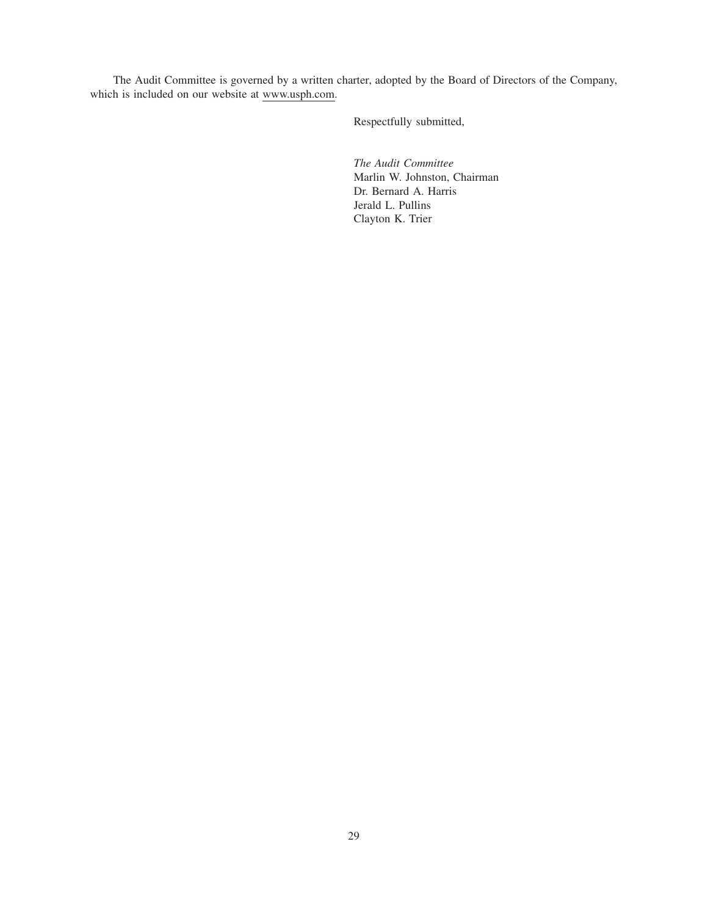The Audit Committee is governed by a written charter, adopted by the Board of Directors of the Company, which is included on our website at www.usph.com.

Respectfully submitted,

*The Audit Committee* Marlin W. Johnston, Chairman Dr. Bernard A. Harris Jerald L. Pullins Clayton K. Trier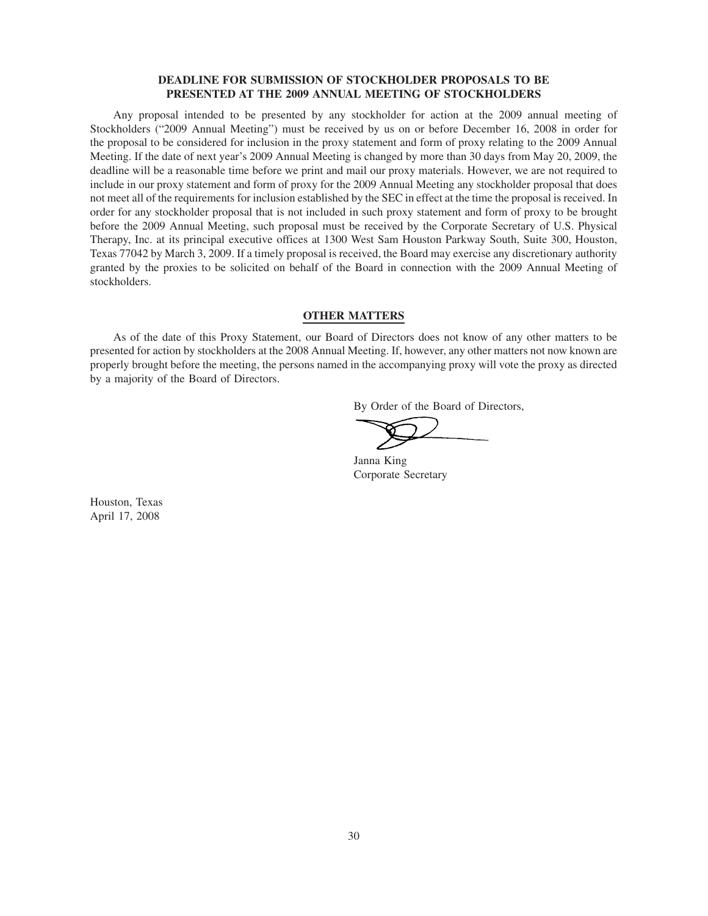# **DEADLINE FOR SUBMISSION OF STOCKHOLDER PROPOSALS TO BE PRESENTED AT THE 2009 ANNUAL MEETING OF STOCKHOLDERS**

Any proposal intended to be presented by any stockholder for action at the 2009 annual meeting of Stockholders ("2009 Annual Meeting") must be received by us on or before December 16, 2008 in order for the proposal to be considered for inclusion in the proxy statement and form of proxy relating to the 2009 Annual Meeting. If the date of next year's 2009 Annual Meeting is changed by more than 30 days from May 20, 2009, the deadline will be a reasonable time before we print and mail our proxy materials. However, we are not required to include in our proxy statement and form of proxy for the 2009 Annual Meeting any stockholder proposal that does not meet all of the requirements for inclusion established by the SEC in effect at the time the proposal is received. In order for any stockholder proposal that is not included in such proxy statement and form of proxy to be brought before the 2009 Annual Meeting, such proposal must be received by the Corporate Secretary of U.S. Physical Therapy, Inc. at its principal executive offices at 1300 West Sam Houston Parkway South, Suite 300, Houston, Texas 77042 by March 3, 2009. If a timely proposal is received, the Board may exercise any discretionary authority granted by the proxies to be solicited on behalf of the Board in connection with the 2009 Annual Meeting of stockholders.

# **OTHER MATTERS**

As of the date of this Proxy Statement, our Board of Directors does not know of any other matters to be presented for action by stockholders at the 2008 Annual Meeting. If, however, any other matters not now known are properly brought before the meeting, the persons named in the accompanying proxy will vote the proxy as directed by a majority of the Board of Directors.

By Order of the Board of Directors,

Janna King Corporate Secretary

Houston, Texas April 17, 2008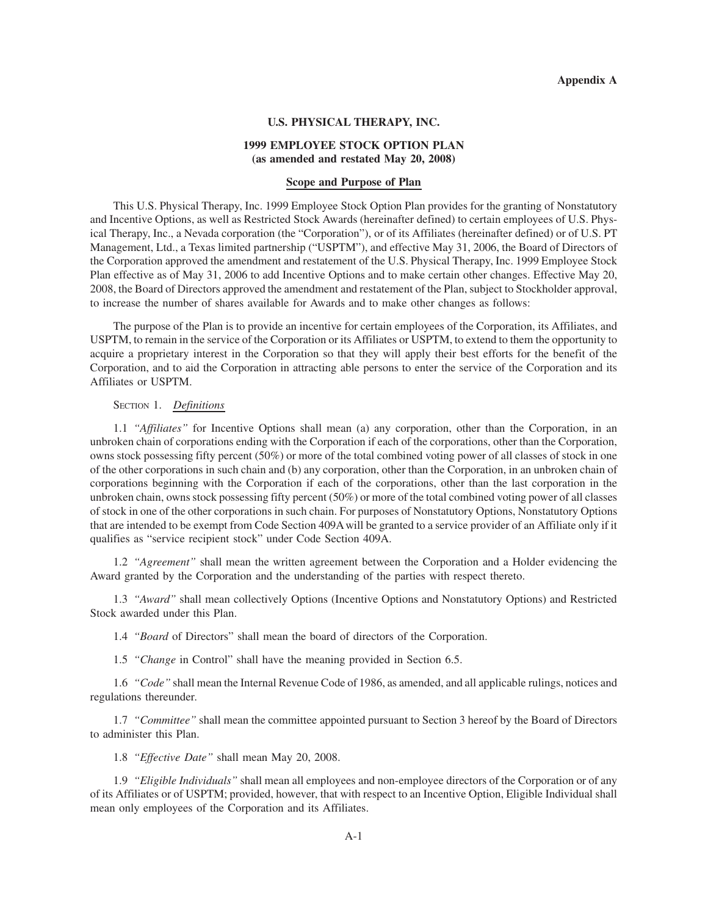#### **U.S. PHYSICAL THERAPY, INC.**

# **1999 EMPLOYEE STOCK OPTION PLAN (as amended and restated May 20, 2008)**

# **Scope and Purpose of Plan**

This U.S. Physical Therapy, Inc. 1999 Employee Stock Option Plan provides for the granting of Nonstatutory and Incentive Options, as well as Restricted Stock Awards (hereinafter defined) to certain employees of U.S. Physical Therapy, Inc., a Nevada corporation (the "Corporation"), or of its Affiliates (hereinafter defined) or of U.S. PT Management, Ltd., a Texas limited partnership ("USPTM"), and effective May 31, 2006, the Board of Directors of the Corporation approved the amendment and restatement of the U.S. Physical Therapy, Inc. 1999 Employee Stock Plan effective as of May 31, 2006 to add Incentive Options and to make certain other changes. Effective May 20, 2008, the Board of Directors approved the amendment and restatement of the Plan, subject to Stockholder approval, to increase the number of shares available for Awards and to make other changes as follows:

The purpose of the Plan is to provide an incentive for certain employees of the Corporation, its Affiliates, and USPTM, to remain in the service of the Corporation or its Affiliates or USPTM, to extend to them the opportunity to acquire a proprietary interest in the Corporation so that they will apply their best efforts for the benefit of the Corporation, and to aid the Corporation in attracting able persons to enter the service of the Corporation and its Affiliates or USPTM.

# SECTION 1. *Definitions*

1.1 *"Affiliates"* for Incentive Options shall mean (a) any corporation, other than the Corporation, in an unbroken chain of corporations ending with the Corporation if each of the corporations, other than the Corporation, owns stock possessing fifty percent (50%) or more of the total combined voting power of all classes of stock in one of the other corporations in such chain and (b) any corporation, other than the Corporation, in an unbroken chain of corporations beginning with the Corporation if each of the corporations, other than the last corporation in the unbroken chain, owns stock possessing fifty percent (50%) or more of the total combined voting power of all classes of stock in one of the other corporations in such chain. For purposes of Nonstatutory Options, Nonstatutory Options that are intended to be exempt from Code Section 409Awill be granted to a service provider of an Affiliate only if it qualifies as "service recipient stock" under Code Section 409A.

1.2 *"Agreement"* shall mean the written agreement between the Corporation and a Holder evidencing the Award granted by the Corporation and the understanding of the parties with respect thereto.

1.3 *"Award"* shall mean collectively Options (Incentive Options and Nonstatutory Options) and Restricted Stock awarded under this Plan.

1.4 *"Board* of Directors" shall mean the board of directors of the Corporation.

1.5 *"Change* in Control" shall have the meaning provided in Section 6.5.

1.6 *"Code"* shall mean the Internal Revenue Code of 1986, as amended, and all applicable rulings, notices and regulations thereunder.

1.7 *"Committee"* shall mean the committee appointed pursuant to Section 3 hereof by the Board of Directors to administer this Plan.

1.8 *"Effective Date"* shall mean May 20, 2008.

1.9 *"Eligible Individuals"* shall mean all employees and non-employee directors of the Corporation or of any of its Affiliates or of USPTM; provided, however, that with respect to an Incentive Option, Eligible Individual shall mean only employees of the Corporation and its Affiliates.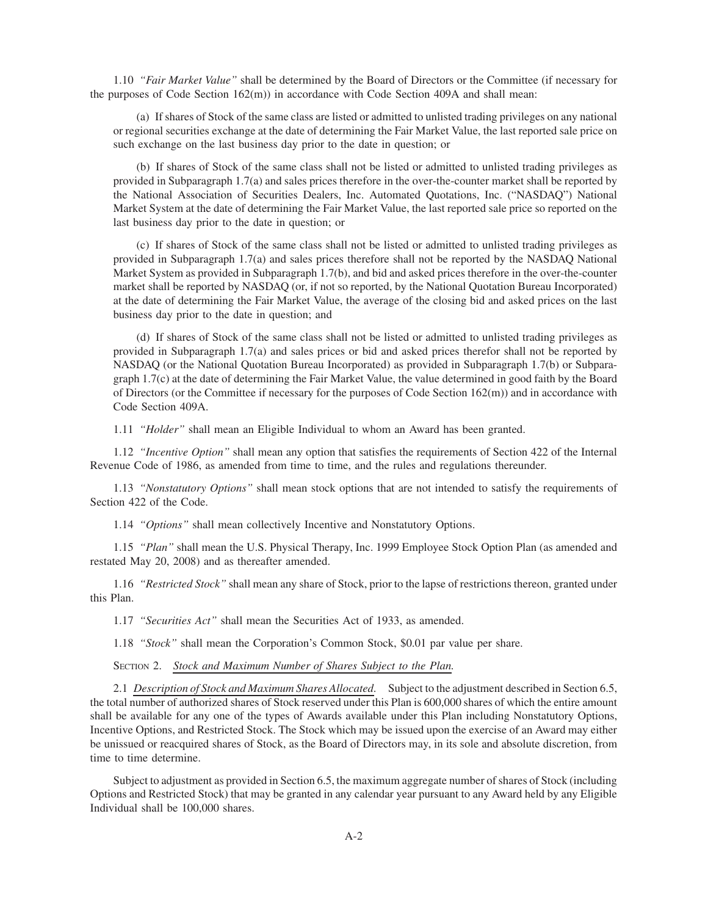1.10 *"Fair Market Value"* shall be determined by the Board of Directors or the Committee (if necessary for the purposes of Code Section 162(m)) in accordance with Code Section 409A and shall mean:

(a) If shares of Stock of the same class are listed or admitted to unlisted trading privileges on any national or regional securities exchange at the date of determining the Fair Market Value, the last reported sale price on such exchange on the last business day prior to the date in question; or

(b) If shares of Stock of the same class shall not be listed or admitted to unlisted trading privileges as provided in Subparagraph 1.7(a) and sales prices therefore in the over-the-counter market shall be reported by the National Association of Securities Dealers, Inc. Automated Quotations, Inc. ("NASDAQ") National Market System at the date of determining the Fair Market Value, the last reported sale price so reported on the last business day prior to the date in question; or

(c) If shares of Stock of the same class shall not be listed or admitted to unlisted trading privileges as provided in Subparagraph 1.7(a) and sales prices therefore shall not be reported by the NASDAQ National Market System as provided in Subparagraph 1.7(b), and bid and asked prices therefore in the over-the-counter market shall be reported by NASDAQ (or, if not so reported, by the National Quotation Bureau Incorporated) at the date of determining the Fair Market Value, the average of the closing bid and asked prices on the last business day prior to the date in question; and

(d) If shares of Stock of the same class shall not be listed or admitted to unlisted trading privileges as provided in Subparagraph 1.7(a) and sales prices or bid and asked prices therefor shall not be reported by NASDAQ (or the National Quotation Bureau Incorporated) as provided in Subparagraph 1.7(b) or Subparagraph 1.7(c) at the date of determining the Fair Market Value, the value determined in good faith by the Board of Directors (or the Committee if necessary for the purposes of Code Section 162(m)) and in accordance with Code Section 409A.

1.11 *"Holder"* shall mean an Eligible Individual to whom an Award has been granted.

1.12 *"Incentive Option"* shall mean any option that satisfies the requirements of Section 422 of the Internal Revenue Code of 1986, as amended from time to time, and the rules and regulations thereunder.

1.13 *"Nonstatutory Options"* shall mean stock options that are not intended to satisfy the requirements of Section 422 of the Code.

1.14 *"Options"* shall mean collectively Incentive and Nonstatutory Options.

1.15 *"Plan"* shall mean the U.S. Physical Therapy, Inc. 1999 Employee Stock Option Plan (as amended and restated May 20, 2008) and as thereafter amended.

1.16 *"Restricted Stock"* shall mean any share of Stock, prior to the lapse of restrictions thereon, granted under this Plan.

1.17 *"Securities Act"* shall mean the Securities Act of 1933, as amended.

1.18 *"Stock"* shall mean the Corporation's Common Stock, \$0.01 par value per share.

SECTION 2. *Stock and Maximum Number of Shares Subject to the Plan.*

2.1 *Description of Stock and Maximum Shares Allocated.* Subject to the adjustment described in Section 6.5, the total number of authorized shares of Stock reserved under this Plan is 600,000 shares of which the entire amount shall be available for any one of the types of Awards available under this Plan including Nonstatutory Options, Incentive Options, and Restricted Stock. The Stock which may be issued upon the exercise of an Award may either be unissued or reacquired shares of Stock, as the Board of Directors may, in its sole and absolute discretion, from time to time determine.

Subject to adjustment as provided in Section 6.5, the maximum aggregate number of shares of Stock (including Options and Restricted Stock) that may be granted in any calendar year pursuant to any Award held by any Eligible Individual shall be 100,000 shares.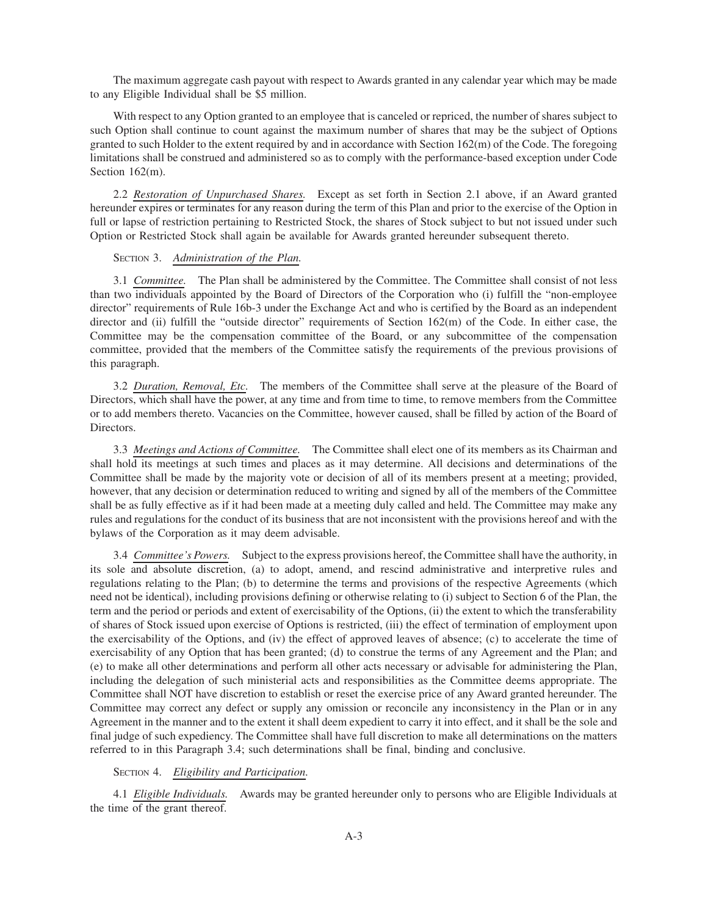The maximum aggregate cash payout with respect to Awards granted in any calendar year which may be made to any Eligible Individual shall be \$5 million.

With respect to any Option granted to an employee that is canceled or repriced, the number of shares subject to such Option shall continue to count against the maximum number of shares that may be the subject of Options granted to such Holder to the extent required by and in accordance with Section 162(m) of the Code. The foregoing limitations shall be construed and administered so as to comply with the performance-based exception under Code Section 162(m).

2.2 *Restoration of Unpurchased Shares.* Except as set forth in Section 2.1 above, if an Award granted hereunder expires or terminates for any reason during the term of this Plan and prior to the exercise of the Option in full or lapse of restriction pertaining to Restricted Stock, the shares of Stock subject to but not issued under such Option or Restricted Stock shall again be available for Awards granted hereunder subsequent thereto.

#### SECTION 3. *Administration of the Plan.*

3.1 *Committee.* The Plan shall be administered by the Committee. The Committee shall consist of not less than two individuals appointed by the Board of Directors of the Corporation who (i) fulfill the "non-employee director" requirements of Rule 16b-3 under the Exchange Act and who is certified by the Board as an independent director and (ii) fulfill the "outside director" requirements of Section 162(m) of the Code. In either case, the Committee may be the compensation committee of the Board, or any subcommittee of the compensation committee, provided that the members of the Committee satisfy the requirements of the previous provisions of this paragraph.

3.2 *Duration, Removal, Etc.* The members of the Committee shall serve at the pleasure of the Board of Directors, which shall have the power, at any time and from time to time, to remove members from the Committee or to add members thereto. Vacancies on the Committee, however caused, shall be filled by action of the Board of Directors.

3.3 *Meetings and Actions of Committee.* The Committee shall elect one of its members as its Chairman and shall hold its meetings at such times and places as it may determine. All decisions and determinations of the Committee shall be made by the majority vote or decision of all of its members present at a meeting; provided, however, that any decision or determination reduced to writing and signed by all of the members of the Committee shall be as fully effective as if it had been made at a meeting duly called and held. The Committee may make any rules and regulations for the conduct of its business that are not inconsistent with the provisions hereof and with the bylaws of the Corporation as it may deem advisable.

3.4 *Committee's Powers.* Subject to the express provisions hereof, the Committee shall have the authority, in its sole and absolute discretion, (a) to adopt, amend, and rescind administrative and interpretive rules and regulations relating to the Plan; (b) to determine the terms and provisions of the respective Agreements (which need not be identical), including provisions defining or otherwise relating to (i) subject to Section 6 of the Plan, the term and the period or periods and extent of exercisability of the Options, (ii) the extent to which the transferability of shares of Stock issued upon exercise of Options is restricted, (iii) the effect of termination of employment upon the exercisability of the Options, and (iv) the effect of approved leaves of absence; (c) to accelerate the time of exercisability of any Option that has been granted; (d) to construe the terms of any Agreement and the Plan; and (e) to make all other determinations and perform all other acts necessary or advisable for administering the Plan, including the delegation of such ministerial acts and responsibilities as the Committee deems appropriate. The Committee shall NOT have discretion to establish or reset the exercise price of any Award granted hereunder. The Committee may correct any defect or supply any omission or reconcile any inconsistency in the Plan or in any Agreement in the manner and to the extent it shall deem expedient to carry it into effect, and it shall be the sole and final judge of such expediency. The Committee shall have full discretion to make all determinations on the matters referred to in this Paragraph 3.4; such determinations shall be final, binding and conclusive.

#### SECTION 4. *Eligibility and Participation.*

4.1 *Eligible Individuals.* Awards may be granted hereunder only to persons who are Eligible Individuals at the time of the grant thereof.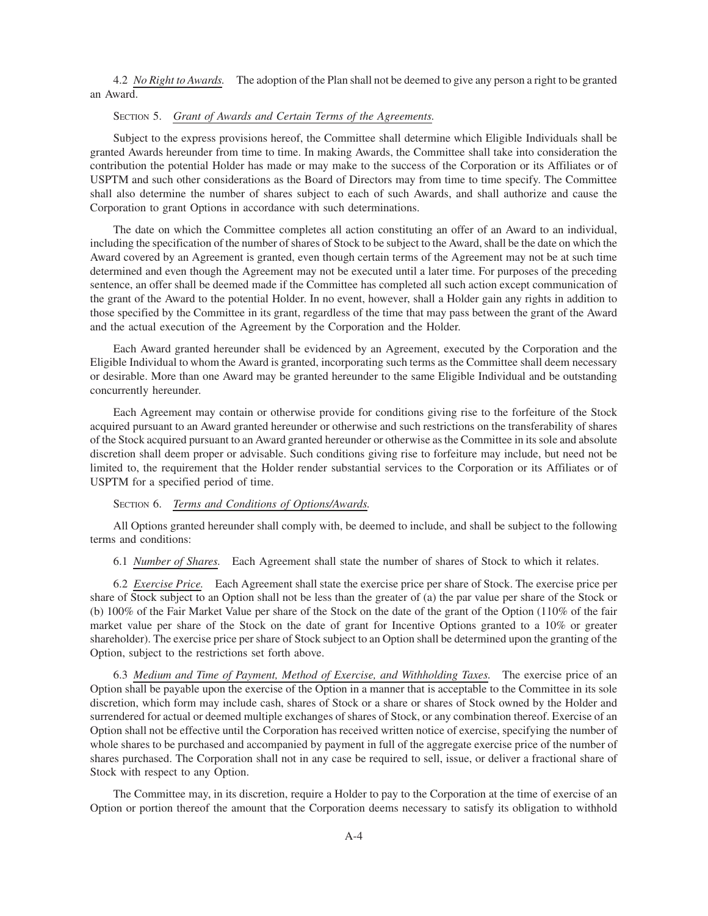4.2 *No Right to Awards.* The adoption of the Plan shall not be deemed to give any person a right to be granted an Award.

# SECTION 5. *Grant of Awards and Certain Terms of the Agreements.*

Subject to the express provisions hereof, the Committee shall determine which Eligible Individuals shall be granted Awards hereunder from time to time. In making Awards, the Committee shall take into consideration the contribution the potential Holder has made or may make to the success of the Corporation or its Affiliates or of USPTM and such other considerations as the Board of Directors may from time to time specify. The Committee shall also determine the number of shares subject to each of such Awards, and shall authorize and cause the Corporation to grant Options in accordance with such determinations.

The date on which the Committee completes all action constituting an offer of an Award to an individual, including the specification of the number of shares of Stock to be subject to the Award, shall be the date on which the Award covered by an Agreement is granted, even though certain terms of the Agreement may not be at such time determined and even though the Agreement may not be executed until a later time. For purposes of the preceding sentence, an offer shall be deemed made if the Committee has completed all such action except communication of the grant of the Award to the potential Holder. In no event, however, shall a Holder gain any rights in addition to those specified by the Committee in its grant, regardless of the time that may pass between the grant of the Award and the actual execution of the Agreement by the Corporation and the Holder.

Each Award granted hereunder shall be evidenced by an Agreement, executed by the Corporation and the Eligible Individual to whom the Award is granted, incorporating such terms as the Committee shall deem necessary or desirable. More than one Award may be granted hereunder to the same Eligible Individual and be outstanding concurrently hereunder.

Each Agreement may contain or otherwise provide for conditions giving rise to the forfeiture of the Stock acquired pursuant to an Award granted hereunder or otherwise and such restrictions on the transferability of shares of the Stock acquired pursuant to an Award granted hereunder or otherwise as the Committee in its sole and absolute discretion shall deem proper or advisable. Such conditions giving rise to forfeiture may include, but need not be limited to, the requirement that the Holder render substantial services to the Corporation or its Affiliates or of USPTM for a specified period of time.

# SECTION 6. *Terms and Conditions of Options/Awards.*

All Options granted hereunder shall comply with, be deemed to include, and shall be subject to the following terms and conditions:

6.1 *Number of Shares.* Each Agreement shall state the number of shares of Stock to which it relates.

6.2 *Exercise Price.* Each Agreement shall state the exercise price per share of Stock. The exercise price per share of Stock subject to an Option shall not be less than the greater of (a) the par value per share of the Stock or (b) 100% of the Fair Market Value per share of the Stock on the date of the grant of the Option (110% of the fair market value per share of the Stock on the date of grant for Incentive Options granted to a 10% or greater shareholder). The exercise price per share of Stock subject to an Option shall be determined upon the granting of the Option, subject to the restrictions set forth above.

6.3 *Medium and Time of Payment, Method of Exercise, and Withholding Taxes.* The exercise price of an Option shall be payable upon the exercise of the Option in a manner that is acceptable to the Committee in its sole discretion, which form may include cash, shares of Stock or a share or shares of Stock owned by the Holder and surrendered for actual or deemed multiple exchanges of shares of Stock, or any combination thereof. Exercise of an Option shall not be effective until the Corporation has received written notice of exercise, specifying the number of whole shares to be purchased and accompanied by payment in full of the aggregate exercise price of the number of shares purchased. The Corporation shall not in any case be required to sell, issue, or deliver a fractional share of Stock with respect to any Option.

The Committee may, in its discretion, require a Holder to pay to the Corporation at the time of exercise of an Option or portion thereof the amount that the Corporation deems necessary to satisfy its obligation to withhold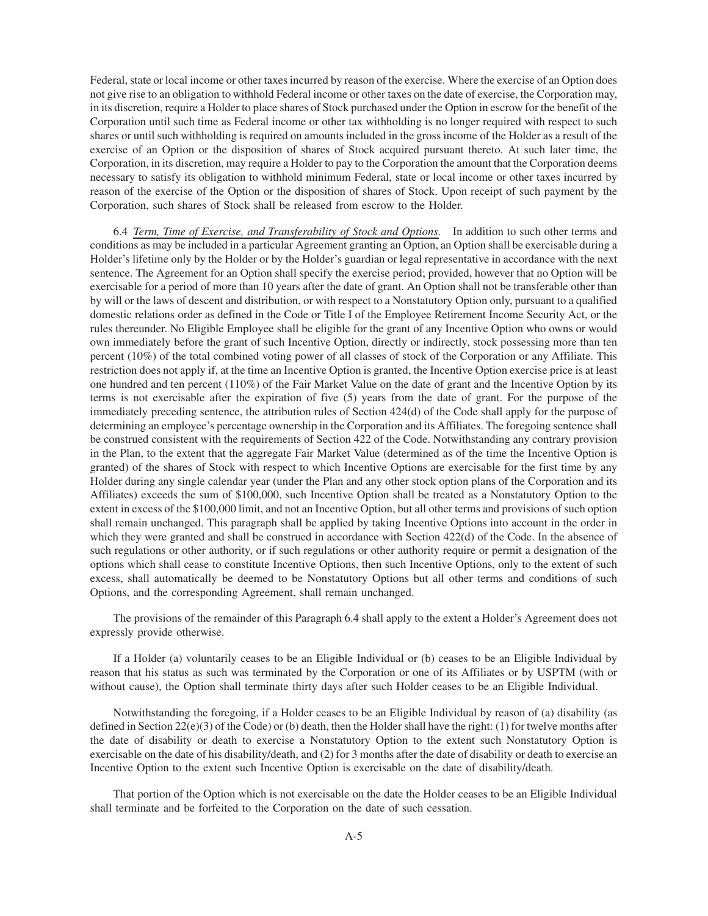Federal, state or local income or other taxes incurred by reason of the exercise. Where the exercise of an Option does not give rise to an obligation to withhold Federal income or other taxes on the date of exercise, the Corporation may, in its discretion, require a Holder to place shares of Stock purchased under the Option in escrow for the benefit of the Corporation until such time as Federal income or other tax withholding is no longer required with respect to such shares or until such withholding is required on amounts included in the gross income of the Holder as a result of the exercise of an Option or the disposition of shares of Stock acquired pursuant thereto. At such later time, the Corporation, in its discretion, may require a Holder to pay to the Corporation the amount that the Corporation deems necessary to satisfy its obligation to withhold minimum Federal, state or local income or other taxes incurred by reason of the exercise of the Option or the disposition of shares of Stock. Upon receipt of such payment by the Corporation, such shares of Stock shall be released from escrow to the Holder.

6.4 *Term, Time of Exercise, and Transferability of Stock and Options.* In addition to such other terms and conditions as may be included in a particular Agreement granting an Option, an Option shall be exercisable during a Holder's lifetime only by the Holder or by the Holder's guardian or legal representative in accordance with the next sentence. The Agreement for an Option shall specify the exercise period; provided, however that no Option will be exercisable for a period of more than 10 years after the date of grant. An Option shall not be transferable other than by will or the laws of descent and distribution, or with respect to a Nonstatutory Option only, pursuant to a qualified domestic relations order as defined in the Code or Title I of the Employee Retirement Income Security Act, or the rules thereunder. No Eligible Employee shall be eligible for the grant of any Incentive Option who owns or would own immediately before the grant of such Incentive Option, directly or indirectly, stock possessing more than ten percent (10%) of the total combined voting power of all classes of stock of the Corporation or any Affiliate. This restriction does not apply if, at the time an Incentive Option is granted, the Incentive Option exercise price is at least one hundred and ten percent (110%) of the Fair Market Value on the date of grant and the Incentive Option by its terms is not exercisable after the expiration of five (5) years from the date of grant. For the purpose of the immediately preceding sentence, the attribution rules of Section 424(d) of the Code shall apply for the purpose of determining an employee's percentage ownership in the Corporation and its Affiliates. The foregoing sentence shall be construed consistent with the requirements of Section 422 of the Code. Notwithstanding any contrary provision in the Plan, to the extent that the aggregate Fair Market Value (determined as of the time the Incentive Option is granted) of the shares of Stock with respect to which Incentive Options are exercisable for the first time by any Holder during any single calendar year (under the Plan and any other stock option plans of the Corporation and its Affiliates) exceeds the sum of \$100,000, such Incentive Option shall be treated as a Nonstatutory Option to the extent in excess of the \$100,000 limit, and not an Incentive Option, but all other terms and provisions of such option shall remain unchanged. This paragraph shall be applied by taking Incentive Options into account in the order in which they were granted and shall be construed in accordance with Section 422(d) of the Code. In the absence of such regulations or other authority, or if such regulations or other authority require or permit a designation of the options which shall cease to constitute Incentive Options, then such Incentive Options, only to the extent of such excess, shall automatically be deemed to be Nonstatutory Options but all other terms and conditions of such Options, and the corresponding Agreement, shall remain unchanged.

The provisions of the remainder of this Paragraph 6.4 shall apply to the extent a Holder's Agreement does not expressly provide otherwise.

If a Holder (a) voluntarily ceases to be an Eligible Individual or (b) ceases to be an Eligible Individual by reason that his status as such was terminated by the Corporation or one of its Affiliates or by USPTM (with or without cause), the Option shall terminate thirty days after such Holder ceases to be an Eligible Individual.

Notwithstanding the foregoing, if a Holder ceases to be an Eligible Individual by reason of (a) disability (as defined in Section  $22(e)(3)$  of the Code) or (b) death, then the Holder shall have the right: (1) for twelve months after the date of disability or death to exercise a Nonstatutory Option to the extent such Nonstatutory Option is exercisable on the date of his disability/death, and (2) for 3 months after the date of disability or death to exercise an Incentive Option to the extent such Incentive Option is exercisable on the date of disability/death.

That portion of the Option which is not exercisable on the date the Holder ceases to be an Eligible Individual shall terminate and be forfeited to the Corporation on the date of such cessation.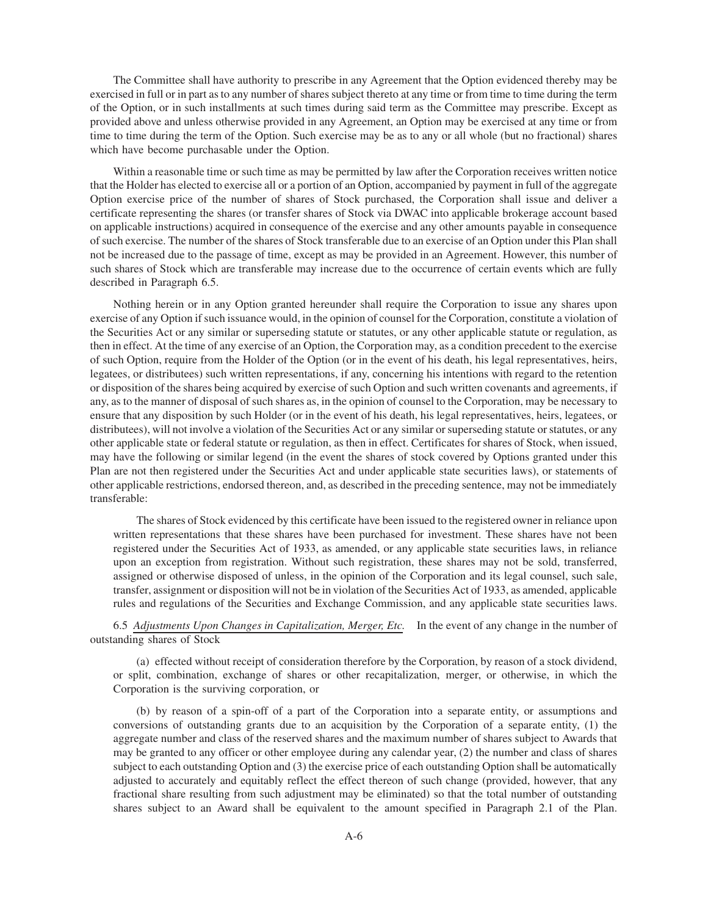The Committee shall have authority to prescribe in any Agreement that the Option evidenced thereby may be exercised in full or in part as to any number of shares subject thereto at any time or from time to time during the term of the Option, or in such installments at such times during said term as the Committee may prescribe. Except as provided above and unless otherwise provided in any Agreement, an Option may be exercised at any time or from time to time during the term of the Option. Such exercise may be as to any or all whole (but no fractional) shares which have become purchasable under the Option.

Within a reasonable time or such time as may be permitted by law after the Corporation receives written notice that the Holder has elected to exercise all or a portion of an Option, accompanied by payment in full of the aggregate Option exercise price of the number of shares of Stock purchased, the Corporation shall issue and deliver a certificate representing the shares (or transfer shares of Stock via DWAC into applicable brokerage account based on applicable instructions) acquired in consequence of the exercise and any other amounts payable in consequence of such exercise. The number of the shares of Stock transferable due to an exercise of an Option under this Plan shall not be increased due to the passage of time, except as may be provided in an Agreement. However, this number of such shares of Stock which are transferable may increase due to the occurrence of certain events which are fully described in Paragraph 6.5.

Nothing herein or in any Option granted hereunder shall require the Corporation to issue any shares upon exercise of any Option if such issuance would, in the opinion of counsel for the Corporation, constitute a violation of the Securities Act or any similar or superseding statute or statutes, or any other applicable statute or regulation, as then in effect. At the time of any exercise of an Option, the Corporation may, as a condition precedent to the exercise of such Option, require from the Holder of the Option (or in the event of his death, his legal representatives, heirs, legatees, or distributees) such written representations, if any, concerning his intentions with regard to the retention or disposition of the shares being acquired by exercise of such Option and such written covenants and agreements, if any, as to the manner of disposal of such shares as, in the opinion of counsel to the Corporation, may be necessary to ensure that any disposition by such Holder (or in the event of his death, his legal representatives, heirs, legatees, or distributees), will not involve a violation of the Securities Act or any similar or superseding statute or statutes, or any other applicable state or federal statute or regulation, as then in effect. Certificates for shares of Stock, when issued, may have the following or similar legend (in the event the shares of stock covered by Options granted under this Plan are not then registered under the Securities Act and under applicable state securities laws), or statements of other applicable restrictions, endorsed thereon, and, as described in the preceding sentence, may not be immediately transferable:

The shares of Stock evidenced by this certificate have been issued to the registered owner in reliance upon written representations that these shares have been purchased for investment. These shares have not been registered under the Securities Act of 1933, as amended, or any applicable state securities laws, in reliance upon an exception from registration. Without such registration, these shares may not be sold, transferred, assigned or otherwise disposed of unless, in the opinion of the Corporation and its legal counsel, such sale, transfer, assignment or disposition will not be in violation of the Securities Act of 1933, as amended, applicable rules and regulations of the Securities and Exchange Commission, and any applicable state securities laws.

6.5 *Adjustments Upon Changes in Capitalization, Merger, Etc.* In the event of any change in the number of outstanding shares of Stock

(a) effected without receipt of consideration therefore by the Corporation, by reason of a stock dividend, or split, combination, exchange of shares or other recapitalization, merger, or otherwise, in which the Corporation is the surviving corporation, or

(b) by reason of a spin-off of a part of the Corporation into a separate entity, or assumptions and conversions of outstanding grants due to an acquisition by the Corporation of a separate entity, (1) the aggregate number and class of the reserved shares and the maximum number of shares subject to Awards that may be granted to any officer or other employee during any calendar year, (2) the number and class of shares subject to each outstanding Option and (3) the exercise price of each outstanding Option shall be automatically adjusted to accurately and equitably reflect the effect thereon of such change (provided, however, that any fractional share resulting from such adjustment may be eliminated) so that the total number of outstanding shares subject to an Award shall be equivalent to the amount specified in Paragraph 2.1 of the Plan.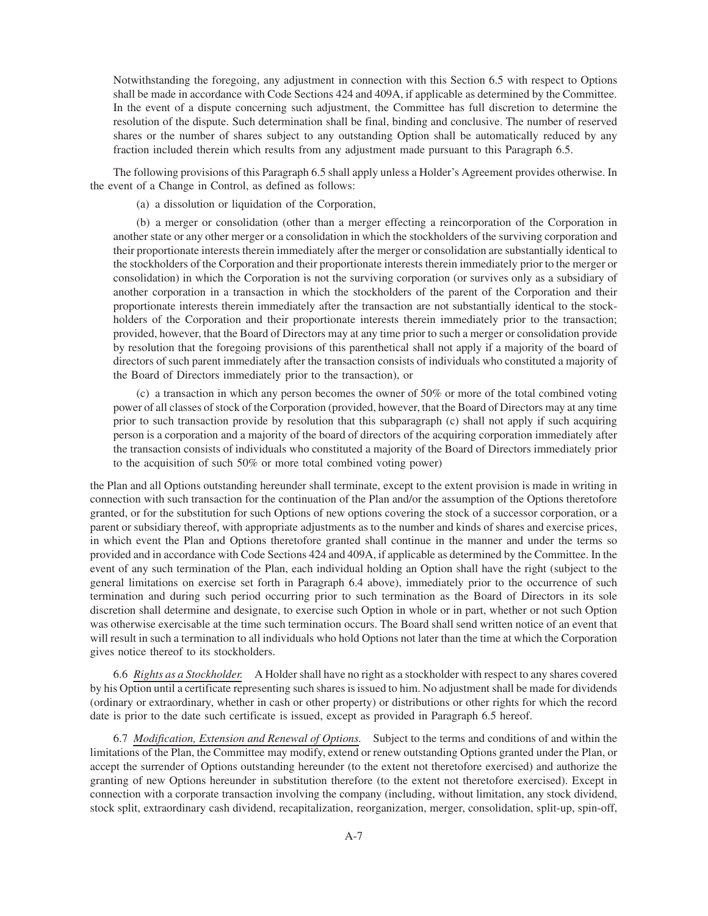Notwithstanding the foregoing, any adjustment in connection with this Section 6.5 with respect to Options shall be made in accordance with Code Sections 424 and 409A, if applicable as determined by the Committee. In the event of a dispute concerning such adjustment, the Committee has full discretion to determine the resolution of the dispute. Such determination shall be final, binding and conclusive. The number of reserved shares or the number of shares subject to any outstanding Option shall be automatically reduced by any fraction included therein which results from any adjustment made pursuant to this Paragraph 6.5.

The following provisions of this Paragraph 6.5 shall apply unless a Holder's Agreement provides otherwise. In the event of a Change in Control, as defined as follows:

(a) a dissolution or liquidation of the Corporation,

(b) a merger or consolidation (other than a merger effecting a reincorporation of the Corporation in another state or any other merger or a consolidation in which the stockholders of the surviving corporation and their proportionate interests therein immediately after the merger or consolidation are substantially identical to the stockholders of the Corporation and their proportionate interests therein immediately prior to the merger or consolidation) in which the Corporation is not the surviving corporation (or survives only as a subsidiary of another corporation in a transaction in which the stockholders of the parent of the Corporation and their proportionate interests therein immediately after the transaction are not substantially identical to the stockholders of the Corporation and their proportionate interests therein immediately prior to the transaction; provided, however, that the Board of Directors may at any time prior to such a merger or consolidation provide by resolution that the foregoing provisions of this parenthetical shall not apply if a majority of the board of directors of such parent immediately after the transaction consists of individuals who constituted a majority of the Board of Directors immediately prior to the transaction), or

(c) a transaction in which any person becomes the owner of 50% or more of the total combined voting power of all classes of stock of the Corporation (provided, however, that the Board of Directors may at any time prior to such transaction provide by resolution that this subparagraph (c) shall not apply if such acquiring person is a corporation and a majority of the board of directors of the acquiring corporation immediately after the transaction consists of individuals who constituted a majority of the Board of Directors immediately prior to the acquisition of such 50% or more total combined voting power)

the Plan and all Options outstanding hereunder shall terminate, except to the extent provision is made in writing in connection with such transaction for the continuation of the Plan and/or the assumption of the Options theretofore granted, or for the substitution for such Options of new options covering the stock of a successor corporation, or a parent or subsidiary thereof, with appropriate adjustments as to the number and kinds of shares and exercise prices, in which event the Plan and Options theretofore granted shall continue in the manner and under the terms so provided and in accordance with Code Sections 424 and 409A, if applicable as determined by the Committee. In the event of any such termination of the Plan, each individual holding an Option shall have the right (subject to the general limitations on exercise set forth in Paragraph 6.4 above), immediately prior to the occurrence of such termination and during such period occurring prior to such termination as the Board of Directors in its sole discretion shall determine and designate, to exercise such Option in whole or in part, whether or not such Option was otherwise exercisable at the time such termination occurs. The Board shall send written notice of an event that will result in such a termination to all individuals who hold Options not later than the time at which the Corporation gives notice thereof to its stockholders.

6.6 *Rights as a Stockholder.* A Holder shall have no right as a stockholder with respect to any shares covered by his Option until a certificate representing such shares is issued to him. No adjustment shall be made for dividends (ordinary or extraordinary, whether in cash or other property) or distributions or other rights for which the record date is prior to the date such certificate is issued, except as provided in Paragraph 6.5 hereof.

6.7 *Modification, Extension and Renewal of Options.* Subject to the terms and conditions of and within the limitations of the Plan, the Committee may modify, extend or renew outstanding Options granted under the Plan, or accept the surrender of Options outstanding hereunder (to the extent not theretofore exercised) and authorize the granting of new Options hereunder in substitution therefore (to the extent not theretofore exercised). Except in connection with a corporate transaction involving the company (including, without limitation, any stock dividend, stock split, extraordinary cash dividend, recapitalization, reorganization, merger, consolidation, split-up, spin-off,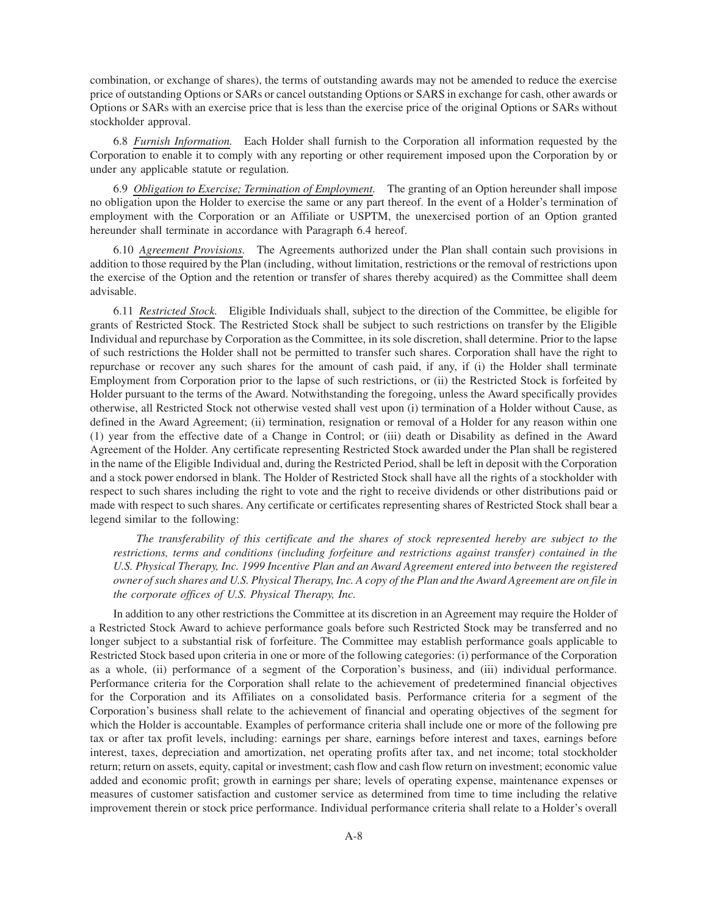combination, or exchange of shares), the terms of outstanding awards may not be amended to reduce the exercise price of outstanding Options or SARs or cancel outstanding Options or SARS in exchange for cash, other awards or Options or SARs with an exercise price that is less than the exercise price of the original Options or SARs without stockholder approval.

6.8 *Furnish Information.* Each Holder shall furnish to the Corporation all information requested by the Corporation to enable it to comply with any reporting or other requirement imposed upon the Corporation by or under any applicable statute or regulation.

6.9 *Obligation to Exercise; Termination of Employment.* The granting of an Option hereunder shall impose no obligation upon the Holder to exercise the same or any part thereof. In the event of a Holder's termination of employment with the Corporation or an Affiliate or USPTM, the unexercised portion of an Option granted hereunder shall terminate in accordance with Paragraph 6.4 hereof.

6.10 *Agreement Provisions.* The Agreements authorized under the Plan shall contain such provisions in addition to those required by the Plan (including, without limitation, restrictions or the removal of restrictions upon the exercise of the Option and the retention or transfer of shares thereby acquired) as the Committee shall deem advisable.

6.11 *Restricted Stock.* Eligible Individuals shall, subject to the direction of the Committee, be eligible for grants of Restricted Stock. The Restricted Stock shall be subject to such restrictions on transfer by the Eligible Individual and repurchase by Corporation as the Committee, in its sole discretion, shall determine. Prior to the lapse of such restrictions the Holder shall not be permitted to transfer such shares. Corporation shall have the right to repurchase or recover any such shares for the amount of cash paid, if any, if (i) the Holder shall terminate Employment from Corporation prior to the lapse of such restrictions, or (ii) the Restricted Stock is forfeited by Holder pursuant to the terms of the Award. Notwithstanding the foregoing, unless the Award specifically provides otherwise, all Restricted Stock not otherwise vested shall vest upon (i) termination of a Holder without Cause, as defined in the Award Agreement; (ii) termination, resignation or removal of a Holder for any reason within one (1) year from the effective date of a Change in Control; or (iii) death or Disability as defined in the Award Agreement of the Holder. Any certificate representing Restricted Stock awarded under the Plan shall be registered in the name of the Eligible Individual and, during the Restricted Period, shall be left in deposit with the Corporation and a stock power endorsed in blank. The Holder of Restricted Stock shall have all the rights of a stockholder with respect to such shares including the right to vote and the right to receive dividends or other distributions paid or made with respect to such shares. Any certificate or certificates representing shares of Restricted Stock shall bear a legend similar to the following:

*The transferability of this certificate and the shares of stock represented hereby are subject to the restrictions, terms and conditions (including forfeiture and restrictions against transfer) contained in the U.S. Physical Therapy, Inc. 1999 Incentive Plan and an Award Agreement entered into between the registered owner of such shares and U.S. Physical Therapy, Inc. A copy of the Plan and the Award Agreement are on file in the corporate offices of U.S. Physical Therapy, Inc.*

In addition to any other restrictions the Committee at its discretion in an Agreement may require the Holder of a Restricted Stock Award to achieve performance goals before such Restricted Stock may be transferred and no longer subject to a substantial risk of forfeiture. The Committee may establish performance goals applicable to Restricted Stock based upon criteria in one or more of the following categories: (i) performance of the Corporation as a whole, (ii) performance of a segment of the Corporation's business, and (iii) individual performance. Performance criteria for the Corporation shall relate to the achievement of predetermined financial objectives for the Corporation and its Affiliates on a consolidated basis. Performance criteria for a segment of the Corporation's business shall relate to the achievement of financial and operating objectives of the segment for which the Holder is accountable. Examples of performance criteria shall include one or more of the following pre tax or after tax profit levels, including: earnings per share, earnings before interest and taxes, earnings before interest, taxes, depreciation and amortization, net operating profits after tax, and net income; total stockholder return; return on assets, equity, capital or investment; cash flow and cash flow return on investment; economic value added and economic profit; growth in earnings per share; levels of operating expense, maintenance expenses or measures of customer satisfaction and customer service as determined from time to time including the relative improvement therein or stock price performance. Individual performance criteria shall relate to a Holder's overall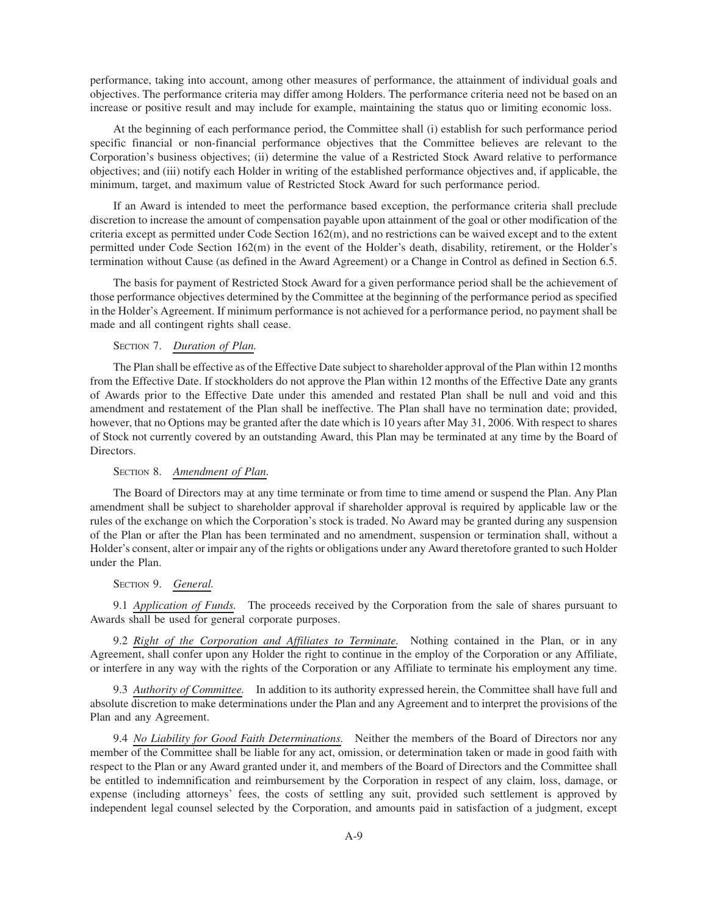performance, taking into account, among other measures of performance, the attainment of individual goals and objectives. The performance criteria may differ among Holders. The performance criteria need not be based on an increase or positive result and may include for example, maintaining the status quo or limiting economic loss.

At the beginning of each performance period, the Committee shall (i) establish for such performance period specific financial or non-financial performance objectives that the Committee believes are relevant to the Corporation's business objectives; (ii) determine the value of a Restricted Stock Award relative to performance objectives; and (iii) notify each Holder in writing of the established performance objectives and, if applicable, the minimum, target, and maximum value of Restricted Stock Award for such performance period.

If an Award is intended to meet the performance based exception, the performance criteria shall preclude discretion to increase the amount of compensation payable upon attainment of the goal or other modification of the criteria except as permitted under Code Section 162(m), and no restrictions can be waived except and to the extent permitted under Code Section 162(m) in the event of the Holder's death, disability, retirement, or the Holder's termination without Cause (as defined in the Award Agreement) or a Change in Control as defined in Section 6.5.

The basis for payment of Restricted Stock Award for a given performance period shall be the achievement of those performance objectives determined by the Committee at the beginning of the performance period as specified in the Holder's Agreement. If minimum performance is not achieved for a performance period, no payment shall be made and all contingent rights shall cease.

# SECTION 7. *Duration of Plan.*

The Plan shall be effective as of the Effective Date subject to shareholder approval of the Plan within 12 months from the Effective Date. If stockholders do not approve the Plan within 12 months of the Effective Date any grants of Awards prior to the Effective Date under this amended and restated Plan shall be null and void and this amendment and restatement of the Plan shall be ineffective. The Plan shall have no termination date; provided, however, that no Options may be granted after the date which is 10 years after May 31, 2006. With respect to shares of Stock not currently covered by an outstanding Award, this Plan may be terminated at any time by the Board of Directors.

# SECTION 8. *Amendment of Plan.*

The Board of Directors may at any time terminate or from time to time amend or suspend the Plan. Any Plan amendment shall be subject to shareholder approval if shareholder approval is required by applicable law or the rules of the exchange on which the Corporation's stock is traded. No Award may be granted during any suspension of the Plan or after the Plan has been terminated and no amendment, suspension or termination shall, without a Holder's consent, alter or impair any of the rights or obligations under any Award theretofore granted to such Holder under the Plan.

# SECTION 9. *General.*

9.1 *Application of Funds.* The proceeds received by the Corporation from the sale of shares pursuant to Awards shall be used for general corporate purposes.

9.2 *Right of the Corporation and Affiliates to Terminate.* Nothing contained in the Plan, or in any Agreement, shall confer upon any Holder the right to continue in the employ of the Corporation or any Affiliate, or interfere in any way with the rights of the Corporation or any Affiliate to terminate his employment any time.

9.3 *Authority of Committee.* In addition to its authority expressed herein, the Committee shall have full and absolute discretion to make determinations under the Plan and any Agreement and to interpret the provisions of the Plan and any Agreement.

9.4 *No Liability for Good Faith Determinations.* Neither the members of the Board of Directors nor any member of the Committee shall be liable for any act, omission, or determination taken or made in good faith with respect to the Plan or any Award granted under it, and members of the Board of Directors and the Committee shall be entitled to indemnification and reimbursement by the Corporation in respect of any claim, loss, damage, or expense (including attorneys' fees, the costs of settling any suit, provided such settlement is approved by independent legal counsel selected by the Corporation, and amounts paid in satisfaction of a judgment, except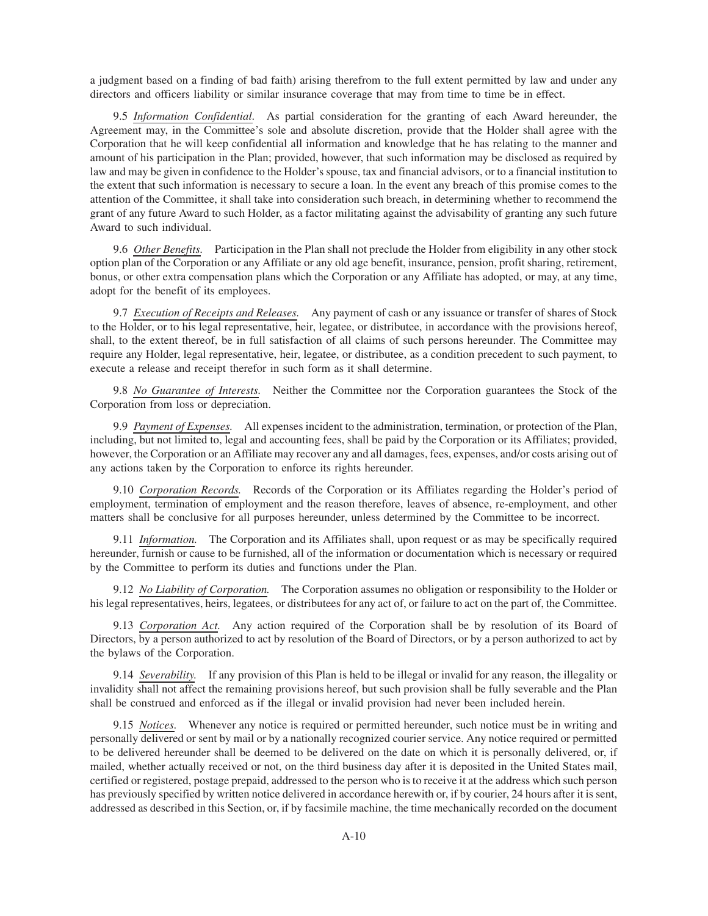a judgment based on a finding of bad faith) arising therefrom to the full extent permitted by law and under any directors and officers liability or similar insurance coverage that may from time to time be in effect.

9.5 *Information Confidential.* As partial consideration for the granting of each Award hereunder, the Agreement may, in the Committee's sole and absolute discretion, provide that the Holder shall agree with the Corporation that he will keep confidential all information and knowledge that he has relating to the manner and amount of his participation in the Plan; provided, however, that such information may be disclosed as required by law and may be given in confidence to the Holder's spouse, tax and financial advisors, or to a financial institution to the extent that such information is necessary to secure a loan. In the event any breach of this promise comes to the attention of the Committee, it shall take into consideration such breach, in determining whether to recommend the grant of any future Award to such Holder, as a factor militating against the advisability of granting any such future Award to such individual.

9.6 *Other Benefits.* Participation in the Plan shall not preclude the Holder from eligibility in any other stock option plan of the Corporation or any Affiliate or any old age benefit, insurance, pension, profit sharing, retirement, bonus, or other extra compensation plans which the Corporation or any Affiliate has adopted, or may, at any time, adopt for the benefit of its employees.

9.7 *Execution of Receipts and Releases.* Any payment of cash or any issuance or transfer of shares of Stock to the Holder, or to his legal representative, heir, legatee, or distributee, in accordance with the provisions hereof, shall, to the extent thereof, be in full satisfaction of all claims of such persons hereunder. The Committee may require any Holder, legal representative, heir, legatee, or distributee, as a condition precedent to such payment, to execute a release and receipt therefor in such form as it shall determine.

9.8 *No Guarantee of Interests.* Neither the Committee nor the Corporation guarantees the Stock of the Corporation from loss or depreciation.

9.9 *Payment of Expenses.* All expenses incident to the administration, termination, or protection of the Plan, including, but not limited to, legal and accounting fees, shall be paid by the Corporation or its Affiliates; provided, however, the Corporation or an Affiliate may recover any and all damages, fees, expenses, and/or costs arising out of any actions taken by the Corporation to enforce its rights hereunder.

9.10 *Corporation Records.* Records of the Corporation or its Affiliates regarding the Holder's period of employment, termination of employment and the reason therefore, leaves of absence, re-employment, and other matters shall be conclusive for all purposes hereunder, unless determined by the Committee to be incorrect.

9.11 *Information.* The Corporation and its Affiliates shall, upon request or as may be specifically required hereunder, furnish or cause to be furnished, all of the information or documentation which is necessary or required by the Committee to perform its duties and functions under the Plan.

9.12 *No Liability of Corporation.* The Corporation assumes no obligation or responsibility to the Holder or his legal representatives, heirs, legatees, or distributees for any act of, or failure to act on the part of, the Committee.

9.13 *Corporation Act.* Any action required of the Corporation shall be by resolution of its Board of Directors, by a person authorized to act by resolution of the Board of Directors, or by a person authorized to act by the bylaws of the Corporation.

9.14 *Severability.* If any provision of this Plan is held to be illegal or invalid for any reason, the illegality or invalidity shall not affect the remaining provisions hereof, but such provision shall be fully severable and the Plan shall be construed and enforced as if the illegal or invalid provision had never been included herein.

9.15 *Notices.* Whenever any notice is required or permitted hereunder, such notice must be in writing and personally delivered or sent by mail or by a nationally recognized courier service. Any notice required or permitted to be delivered hereunder shall be deemed to be delivered on the date on which it is personally delivered, or, if mailed, whether actually received or not, on the third business day after it is deposited in the United States mail, certified or registered, postage prepaid, addressed to the person who is to receive it at the address which such person has previously specified by written notice delivered in accordance herewith or, if by courier, 24 hours after it is sent, addressed as described in this Section, or, if by facsimile machine, the time mechanically recorded on the document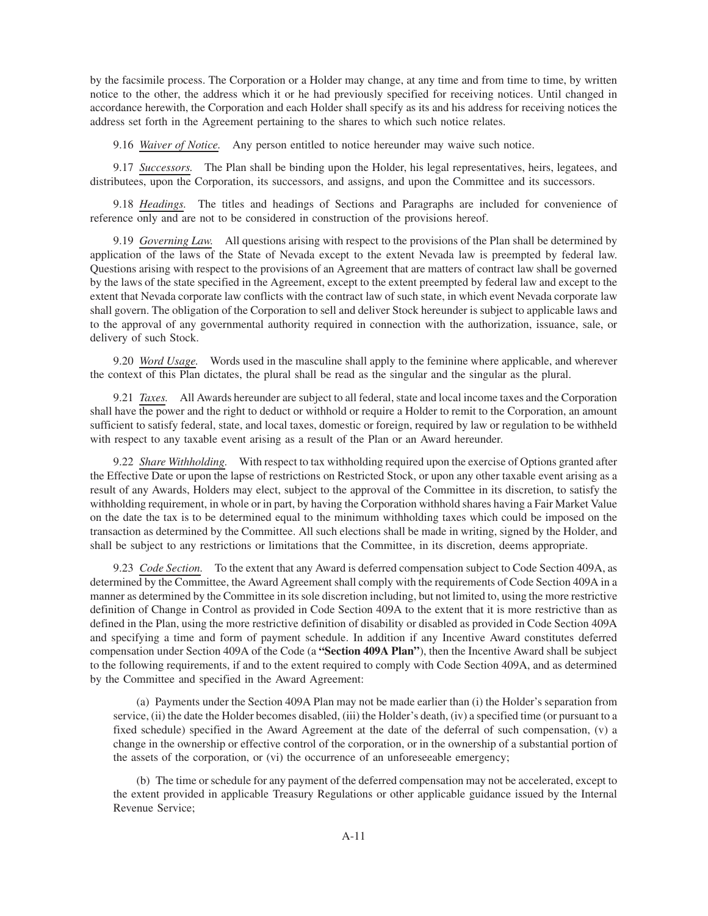by the facsimile process. The Corporation or a Holder may change, at any time and from time to time, by written notice to the other, the address which it or he had previously specified for receiving notices. Until changed in accordance herewith, the Corporation and each Holder shall specify as its and his address for receiving notices the address set forth in the Agreement pertaining to the shares to which such notice relates.

9.16 *Waiver of Notice.* Any person entitled to notice hereunder may waive such notice.

9.17 *Successors.* The Plan shall be binding upon the Holder, his legal representatives, heirs, legatees, and distributees, upon the Corporation, its successors, and assigns, and upon the Committee and its successors.

9.18 *Headings.* The titles and headings of Sections and Paragraphs are included for convenience of reference only and are not to be considered in construction of the provisions hereof.

9.19 *Governing Law.* All questions arising with respect to the provisions of the Plan shall be determined by application of the laws of the State of Nevada except to the extent Nevada law is preempted by federal law. Questions arising with respect to the provisions of an Agreement that are matters of contract law shall be governed by the laws of the state specified in the Agreement, except to the extent preempted by federal law and except to the extent that Nevada corporate law conflicts with the contract law of such state, in which event Nevada corporate law shall govern. The obligation of the Corporation to sell and deliver Stock hereunder is subject to applicable laws and to the approval of any governmental authority required in connection with the authorization, issuance, sale, or delivery of such Stock.

9.20 *Word Usage.* Words used in the masculine shall apply to the feminine where applicable, and wherever the context of this Plan dictates, the plural shall be read as the singular and the singular as the plural.

9.21 *Taxes.* All Awards hereunder are subject to all federal, state and local income taxes and the Corporation shall have the power and the right to deduct or withhold or require a Holder to remit to the Corporation, an amount sufficient to satisfy federal, state, and local taxes, domestic or foreign, required by law or regulation to be withheld with respect to any taxable event arising as a result of the Plan or an Award hereunder.

9.22 *Share Withholding.* With respect to tax withholding required upon the exercise of Options granted after the Effective Date or upon the lapse of restrictions on Restricted Stock, or upon any other taxable event arising as a result of any Awards, Holders may elect, subject to the approval of the Committee in its discretion, to satisfy the withholding requirement, in whole or in part, by having the Corporation withhold shares having a Fair Market Value on the date the tax is to be determined equal to the minimum withholding taxes which could be imposed on the transaction as determined by the Committee. All such elections shall be made in writing, signed by the Holder, and shall be subject to any restrictions or limitations that the Committee, in its discretion, deems appropriate.

9.23 *Code Section.* To the extent that any Award is deferred compensation subject to Code Section 409A, as determined by the Committee, the Award Agreement shall comply with the requirements of Code Section 409A in a manner as determined by the Committee in its sole discretion including, but not limited to, using the more restrictive definition of Change in Control as provided in Code Section 409A to the extent that it is more restrictive than as defined in the Plan, using the more restrictive definition of disability or disabled as provided in Code Section 409A and specifying a time and form of payment schedule. In addition if any Incentive Award constitutes deferred compensation under Section 409A of the Code (a **"Section 409A Plan"**), then the Incentive Award shall be subject to the following requirements, if and to the extent required to comply with Code Section 409A, and as determined by the Committee and specified in the Award Agreement:

(a) Payments under the Section 409A Plan may not be made earlier than (i) the Holder's separation from service, (ii) the date the Holder becomes disabled, (iii) the Holder's death, (iv) a specified time (or pursuant to a fixed schedule) specified in the Award Agreement at the date of the deferral of such compensation, (v) a change in the ownership or effective control of the corporation, or in the ownership of a substantial portion of the assets of the corporation, or (vi) the occurrence of an unforeseeable emergency;

(b) The time or schedule for any payment of the deferred compensation may not be accelerated, except to the extent provided in applicable Treasury Regulations or other applicable guidance issued by the Internal Revenue Service;